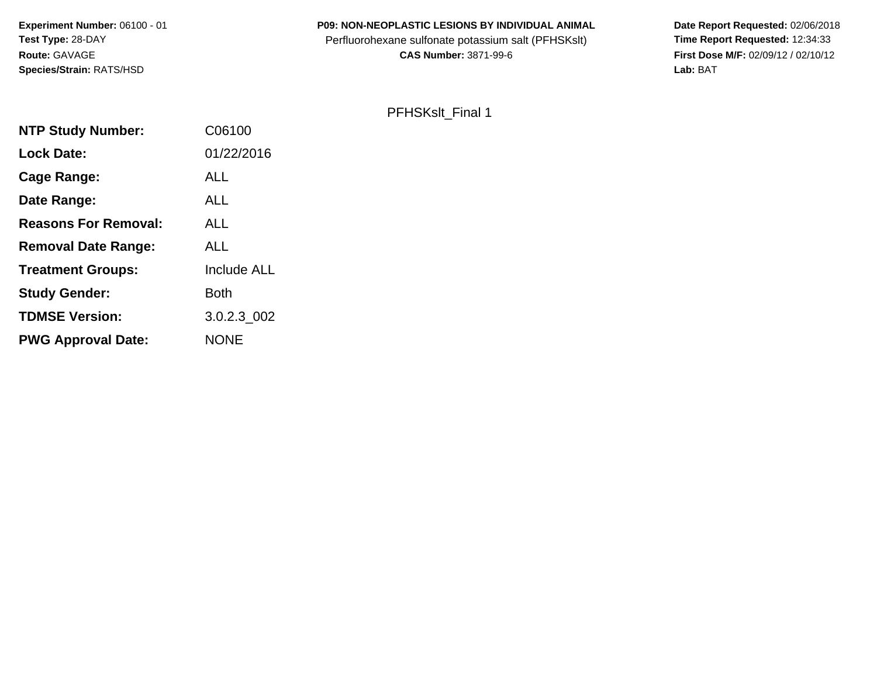# **P09: NON-NEOPLASTIC LESIONS BY INDIVIDUAL ANIMAL**

Perfluorohexane sulfonate potassium salt (PFHSKslt)<br>**CAS Number:** 3871-99-6

 **Date Report Requested:** 02/06/2018 **First Dose M/F:** 02/09/12 / 02/10/12<br>Lab: BAT **Lab:** BAT

# PFHSKslt\_Final 1

| C06100             |
|--------------------|
| 01/22/2016         |
| <b>ALL</b>         |
| <b>ALL</b>         |
| ALL                |
| <b>ALL</b>         |
| <b>Include ALL</b> |
| <b>Both</b>        |
| 3.0.2.3 002        |
| <b>NONE</b>        |
|                    |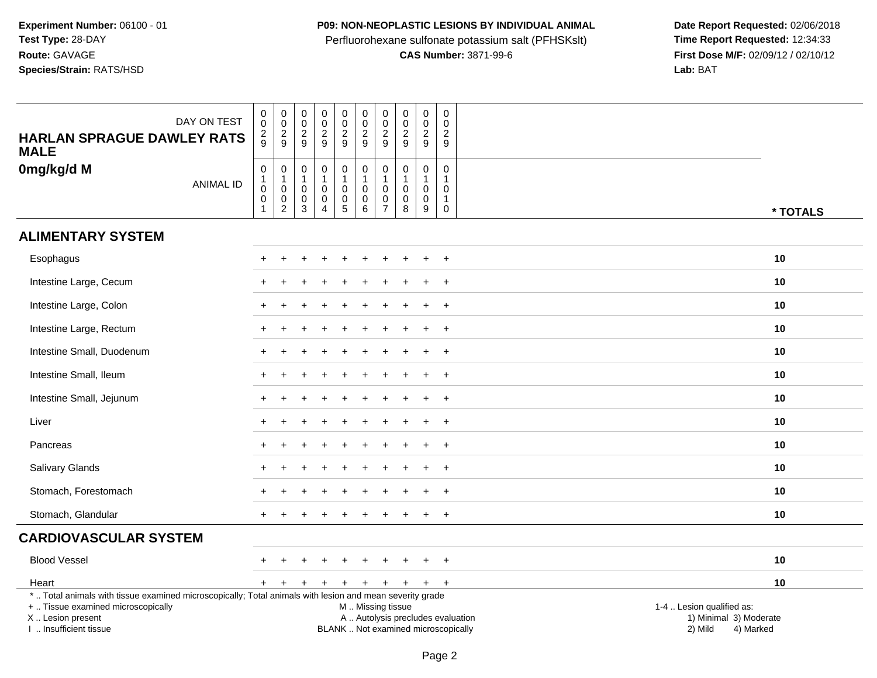## **P09: NON-NEOPLASTIC LESIONS BY INDIVIDUAL ANIMAL**

Perfluorohexane sulfonate potassium salt (PFHSKslt)<br>**CAS Number:** 3871-99-6

Date Report Requested: 02/06/2018<br>Time Report Requested: 12:34:33 **First Dose M/F:** 02/09/12 / 02/10/12<br>Lab: BAT **Lab:** BAT

| <b>HARLAN SPRAGUE DAWLEY RATS</b><br><b>MALE</b>                                                         | DAY ON TEST      | 0<br>$\ddot{\mathbf{0}}$<br>$\overline{\mathbf{c}}$<br>9 | $\mathbf 0$<br>$\pmb{0}$<br>$\frac{2}{9}$                       | $\mathbf 0$<br>$\ddot{\mathbf{0}}$<br>$\sqrt{2}$<br>9                     | $\pmb{0}$<br>$\ddot{\mathbf{0}}$<br>$\overline{c}$<br>9           | $\pmb{0}$<br>$\overline{0}$<br>$\frac{2}{9}$                | $\mathbf 0$<br>$\overline{0}$<br>$\sqrt{2}$<br>9                     | 0<br>0<br>$\overline{c}$<br>9                     | $\pmb{0}$<br>$\overline{0}$<br>$\overline{2}$<br>9           | 0<br>0<br>$\overline{c}$<br>9                        | $\mathbf 0$<br>$\mathbf 0$<br>$\overline{2}$<br>9                        |                           |
|----------------------------------------------------------------------------------------------------------|------------------|----------------------------------------------------------|-----------------------------------------------------------------|---------------------------------------------------------------------------|-------------------------------------------------------------------|-------------------------------------------------------------|----------------------------------------------------------------------|---------------------------------------------------|--------------------------------------------------------------|------------------------------------------------------|--------------------------------------------------------------------------|---------------------------|
| 0mg/kg/d M                                                                                               | <b>ANIMAL ID</b> | $\pmb{0}$<br>$\mathbf{1}$<br>$\mathbf 0$<br>$\mathbf 0$  | $\pmb{0}$<br>$\overline{1}$<br>0<br>$\pmb{0}$<br>$\overline{c}$ | $\mathbf 0$<br>$\mathbf{1}$<br>$\mathbf 0$<br>$\mathbf 0$<br>$\mathbf{3}$ | $\mathsf 0$<br>$\pmb{0}$<br>$\mathsf{O}\xspace$<br>$\overline{4}$ | $\pmb{0}$<br>$\overline{1}$<br>$\mathbf 0$<br>$\frac{0}{5}$ | $\pmb{0}$<br>$\mathbf{1}$<br>$\mathbf 0$<br>$\mathsf{O}\xspace$<br>6 | $\mathbf 0$<br>$\mathbf 0$<br>0<br>$\overline{7}$ | $\pmb{0}$<br>$\mathbf{1}$<br>$\mathbf 0$<br>$\mathbf 0$<br>8 | 0<br>$\mathbf{1}$<br>$\mathbf 0$<br>$\mathbf 0$<br>9 | $\mathbf 0$<br>$\mathbf{1}$<br>$\Omega$<br>$\overline{1}$<br>$\mathbf 0$ | * TOTALS                  |
| <b>ALIMENTARY SYSTEM</b>                                                                                 |                  |                                                          |                                                                 |                                                                           |                                                                   |                                                             |                                                                      |                                                   |                                                              |                                                      |                                                                          |                           |
| Esophagus                                                                                                |                  |                                                          |                                                                 |                                                                           |                                                                   |                                                             |                                                                      |                                                   |                                                              | $\ddot{}$                                            | $+$                                                                      | 10                        |
| Intestine Large, Cecum                                                                                   |                  |                                                          |                                                                 |                                                                           |                                                                   |                                                             |                                                                      |                                                   |                                                              |                                                      | $\ddot{}$                                                                | 10                        |
| Intestine Large, Colon                                                                                   |                  |                                                          |                                                                 |                                                                           |                                                                   |                                                             |                                                                      |                                                   |                                                              |                                                      | $\ddot{}$                                                                | 10                        |
| Intestine Large, Rectum                                                                                  |                  |                                                          |                                                                 |                                                                           |                                                                   |                                                             |                                                                      |                                                   |                                                              |                                                      | $\ddot{}$                                                                | 10                        |
| Intestine Small, Duodenum                                                                                |                  |                                                          |                                                                 |                                                                           |                                                                   |                                                             |                                                                      |                                                   |                                                              |                                                      | $\ddot{}$                                                                | 10                        |
| Intestine Small, Ileum                                                                                   |                  |                                                          |                                                                 |                                                                           |                                                                   |                                                             |                                                                      |                                                   |                                                              | +                                                    | $+$                                                                      | 10                        |
| Intestine Small, Jejunum                                                                                 |                  |                                                          |                                                                 |                                                                           |                                                                   |                                                             |                                                                      |                                                   |                                                              |                                                      | $\overline{+}$                                                           | 10                        |
| Liver                                                                                                    |                  |                                                          |                                                                 |                                                                           |                                                                   |                                                             |                                                                      |                                                   |                                                              | $\ddot{}$                                            | $+$                                                                      | 10                        |
| Pancreas                                                                                                 |                  |                                                          |                                                                 |                                                                           |                                                                   |                                                             |                                                                      |                                                   |                                                              |                                                      | $\ddot{}$                                                                | 10                        |
| Salivary Glands                                                                                          |                  |                                                          |                                                                 |                                                                           |                                                                   |                                                             |                                                                      |                                                   |                                                              |                                                      |                                                                          | 10                        |
| Stomach, Forestomach                                                                                     |                  |                                                          |                                                                 |                                                                           |                                                                   |                                                             |                                                                      |                                                   |                                                              | $\ddot{}$                                            | $\overline{+}$                                                           | 10                        |
| Stomach, Glandular                                                                                       |                  |                                                          |                                                                 |                                                                           |                                                                   |                                                             |                                                                      |                                                   |                                                              |                                                      | $\overline{+}$                                                           | 10                        |
| <b>CARDIOVASCULAR SYSTEM</b>                                                                             |                  |                                                          |                                                                 |                                                                           |                                                                   |                                                             |                                                                      |                                                   |                                                              |                                                      |                                                                          |                           |
| <b>Blood Vessel</b>                                                                                      |                  |                                                          |                                                                 |                                                                           |                                                                   |                                                             |                                                                      |                                                   |                                                              | $\pm$                                                | $\overline{+}$                                                           | 10                        |
| Heart                                                                                                    |                  | $+$                                                      | $\ddot{}$                                                       | $\pm$                                                                     | $+$                                                               | $+$                                                         | $+$                                                                  | $+$                                               | $+$                                                          | $+$                                                  | $+$                                                                      | 10                        |
| *  Total animals with tissue examined microscopically; Total animals with lesion and mean severity grade |                  |                                                          |                                                                 |                                                                           |                                                                   |                                                             |                                                                      |                                                   |                                                              |                                                      |                                                                          |                           |
| +  Tissue examined microscopically                                                                       |                  |                                                          |                                                                 |                                                                           |                                                                   |                                                             | M  Missing tissue                                                    |                                                   |                                                              |                                                      |                                                                          | 1-4  Lesion qualified as: |
| X  Lesion present                                                                                        |                  |                                                          |                                                                 |                                                                           |                                                                   |                                                             | A  Autolysis precludes evaluation                                    |                                                   |                                                              |                                                      |                                                                          | 1) Minimal 3) Moderate    |
| I  Insufficient tissue                                                                                   |                  |                                                          |                                                                 |                                                                           |                                                                   |                                                             | BLANK  Not examined microscopically                                  |                                                   |                                                              |                                                      |                                                                          | 2) Mild<br>4) Marked      |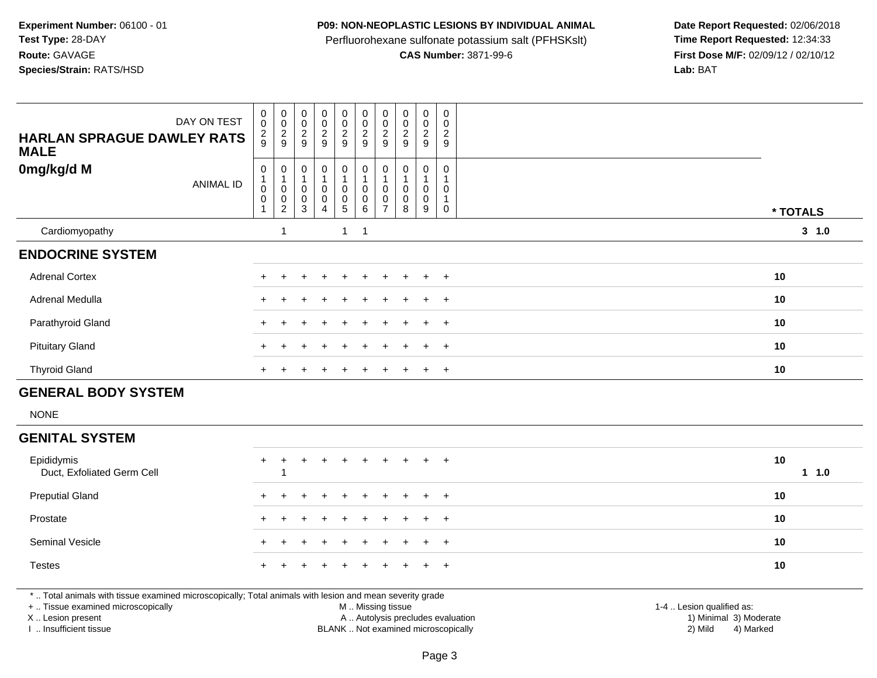#### **P09: NON-NEOPLASTIC LESIONS BY INDIVIDUAL ANIMAL**

Perfluorohexane sulfonate potassium salt (PFHSKslt)<br>**CAS Number:** 3871-99-6

 **Date Report Requested:** 02/06/2018 **First Dose M/F:** 02/09/12 / 02/10/12<br>Lab: BAT **Lab:** BAT

| DAY ON TEST<br><b>HARLAN SPRAGUE DAWLEY RATS</b><br><b>MALE</b> | 0<br>$\pmb{0}$<br>$\frac{2}{9}$              | $_{\rm 0}^{\rm 0}$<br>$\frac{2}{9}$           | $\pmb{0}$<br>$\pmb{0}$<br>$\frac{2}{9}$          | $_{\rm 0}^{\rm 0}$<br>$\frac{2}{9}$                       | $\begin{smallmatrix}0\\0\end{smallmatrix}$<br>$\frac{2}{9}$ | $\begin{smallmatrix} 0\\0 \end{smallmatrix}$<br>$\frac{2}{9}$     | 0<br>$\boldsymbol{0}$<br>$\frac{2}{9}$ | $\pmb{0}$<br>$\pmb{0}$<br>$\mathbf 2$<br>9 | $\pmb{0}$<br>$\pmb{0}$<br>$\frac{2}{9}$ | $\mathbf 0$<br>$\mathbf 0$<br>$\frac{2}{9}$ |    |          |
|-----------------------------------------------------------------|----------------------------------------------|-----------------------------------------------|--------------------------------------------------|-----------------------------------------------------------|-------------------------------------------------------------|-------------------------------------------------------------------|----------------------------------------|--------------------------------------------|-----------------------------------------|---------------------------------------------|----|----------|
| 0mg/kg/d M<br>ANIMAL ID                                         | 0<br>$\boldsymbol{0}$<br>0<br>$\overline{1}$ | 0<br>$\pmb{0}$<br>$\pmb{0}$<br>$\overline{c}$ | 0<br>$\overline{1}$<br>$\pmb{0}$<br>$\,0\,$<br>3 | $\mathbf 0$<br>$\pmb{0}$<br>$\mathbf 0$<br>$\overline{4}$ | 0<br>0<br>$\frac{0}{5}$                                     | $\boldsymbol{0}$<br>$\overline{1}$<br>$\pmb{0}$<br>$\pmb{0}$<br>6 | 0<br>0<br>0<br>$\overline{ }$          | 0<br>0<br>0<br>8                           | 0<br>0<br>0<br>9                        | $\mathbf 0$<br>0<br>$\mathbf 0$             |    | * TOTALS |
| Cardiomyopathy                                                  |                                              |                                               |                                                  |                                                           | $\mathbf{1}$                                                | $\overline{\phantom{0}}$ 1                                        |                                        |                                            |                                         |                                             |    | 3 1.0    |
| <b>ENDOCRINE SYSTEM</b>                                         |                                              |                                               |                                                  |                                                           |                                                             |                                                                   |                                        |                                            |                                         |                                             |    |          |
| <b>Adrenal Cortex</b>                                           |                                              |                                               |                                                  |                                                           |                                                             |                                                                   |                                        |                                            | $+$                                     | $+$                                         | 10 |          |
| Adrenal Medulla                                                 | $+$                                          |                                               |                                                  |                                                           |                                                             |                                                                   |                                        | $\pm$                                      | $+$                                     | $+$                                         | 10 |          |
| Parathyroid Gland                                               |                                              |                                               |                                                  |                                                           |                                                             |                                                                   |                                        |                                            | $\pm$                                   | $+$                                         | 10 |          |
| <b>Pituitary Gland</b>                                          |                                              |                                               |                                                  |                                                           | $\pm$                                                       | $\pm$                                                             |                                        | ÷.                                         | $\ddot{}$                               | $+$                                         | 10 |          |
| <b>Thyroid Gland</b>                                            |                                              |                                               |                                                  |                                                           |                                                             |                                                                   |                                        |                                            | $\ddot{}$                               | $+$                                         | 10 |          |
| <b>GENERAL BODY SYSTEM</b>                                      |                                              |                                               |                                                  |                                                           |                                                             |                                                                   |                                        |                                            |                                         |                                             |    |          |
| <b>NONE</b>                                                     |                                              |                                               |                                                  |                                                           |                                                             |                                                                   |                                        |                                            |                                         |                                             |    |          |
| <b>GENITAL SYSTEM</b>                                           |                                              |                                               |                                                  |                                                           |                                                             |                                                                   |                                        |                                            |                                         |                                             |    |          |

| Epididymis<br>Duct, Exfoliated Germ Cell |  | + + + + + + + + + + |  |  |  | 10 | $1 \t1.0$ |
|------------------------------------------|--|---------------------|--|--|--|----|-----------|
| <b>Preputial Gland</b>                   |  | + + + + + + + + + + |  |  |  | 10 |           |
| Prostate                                 |  | + + + + + + + + + + |  |  |  | 10 |           |
| <b>Seminal Vesicle</b>                   |  | + + + + + + + + + + |  |  |  | 10 |           |
| <b>Testes</b>                            |  | + + + + + + + + + + |  |  |  | 10 |           |

\* .. Total animals with tissue examined microscopically; Total animals with lesion and mean severity grade

+ .. Tissue examined microscopically

X .. Lesion present

I .. Insufficient tissue

M .. Missing tissue

Lesion present A .. Autolysis precludes evaluation 1) Minimal 3) Moderate

1-4 .. Lesion qualified as:<br>1) Minimal 3) Moderate BLANK .. Not examined microscopically 2) Mild 4) Marked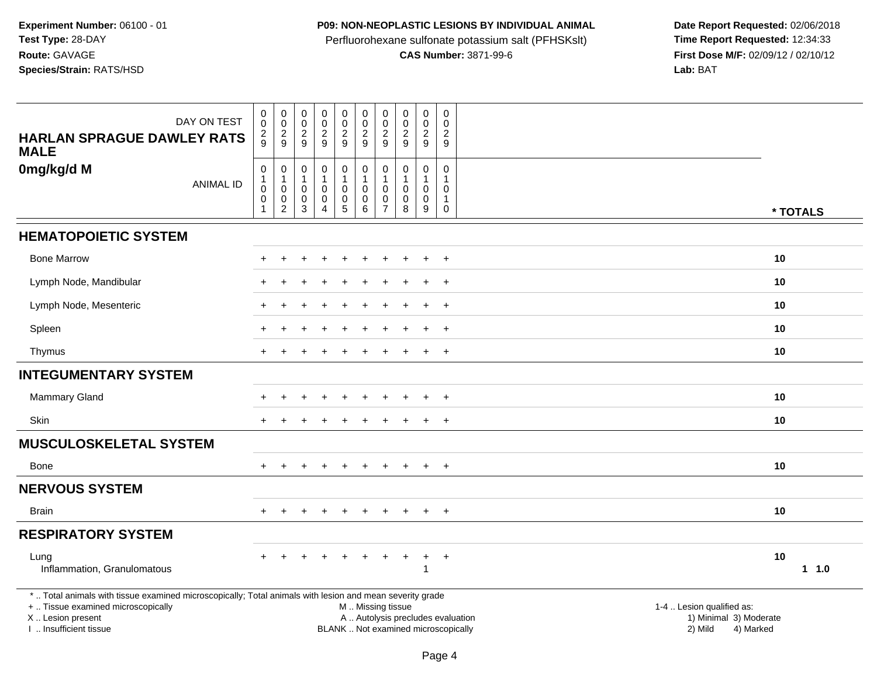## **P09: NON-NEOPLASTIC LESIONS BY INDIVIDUAL ANIMAL**

Perfluorohexane sulfonate potassium salt (PFHSKslt)<br>**CAS Number:** 3871-99-6

| DAY ON TEST                                                                                                                                                                                   | $\mathbf 0$<br>$\pmb{0}$                                     | $\pmb{0}$<br>$\overline{0}$                                                      | $\pmb{0}$<br>$\mathsf 0$        | $\mathsf{O}\xspace$<br>$\overline{0}$                                   | $\begin{smallmatrix}0\\0\end{smallmatrix}$                                        | $\pmb{0}$<br>$\ddot{\mathbf{0}}$                                   | $\mathbf 0$<br>$\mathbf 0$                                       | $\mathbf 0$<br>$\ddot{\mathbf{0}}$                              | $\pmb{0}$<br>$\mathbf 0$                       | $\mathbf 0$<br>$\mathbf 0$                                                |                                                                                                                                                         |
|-----------------------------------------------------------------------------------------------------------------------------------------------------------------------------------------------|--------------------------------------------------------------|----------------------------------------------------------------------------------|---------------------------------|-------------------------------------------------------------------------|-----------------------------------------------------------------------------------|--------------------------------------------------------------------|------------------------------------------------------------------|-----------------------------------------------------------------|------------------------------------------------|---------------------------------------------------------------------------|---------------------------------------------------------------------------------------------------------------------------------------------------------|
| <b>HARLAN SPRAGUE DAWLEY RATS</b><br><b>MALE</b>                                                                                                                                              | $\overline{c}$<br>9                                          | $\overline{\mathbf{c}}$<br>9                                                     | $\overline{c}$<br>9             | $\overline{a}$<br>9                                                     | $\overline{c}$<br>9                                                               | $\overline{c}$<br>9                                                | $\overline{2}$<br>9                                              | $\overline{c}$<br>9                                             | $\sqrt{2}$<br>9                                | $\boldsymbol{2}$<br>$\boldsymbol{9}$                                      |                                                                                                                                                         |
| 0mg/kg/d M<br><b>ANIMAL ID</b>                                                                                                                                                                | $\pmb{0}$<br>$\mathbf{1}$<br>$\mathbf 0$<br>$\mathbf 0$<br>1 | $\boldsymbol{0}$<br>$\mathbf{1}$<br>$\mathbf 0$<br>$\mathbf 0$<br>$\overline{c}$ | 0<br>1<br>$\mathbf 0$<br>0<br>3 | $\mathsf{O}$<br>$\mathbf{1}$<br>$\mathbf 0$<br>$\mathsf{O}\xspace$<br>4 | $\pmb{0}$<br>$\mathbf{1}$<br>$\mathbf 0$<br>$\begin{array}{c} 0 \\ 5 \end{array}$ | $\pmb{0}$<br>$\mathbf{1}$<br>$\mathbf 0$<br>$\mathbf 0$<br>$\,6\,$ | $\mathbf 0$<br>$\overline{1}$<br>$\Omega$<br>0<br>$\overline{7}$ | $\mathbf 0$<br>$\mathbf{1}$<br>$\mathbf{0}$<br>$\mathbf 0$<br>8 | $\mathbf 0$<br>$\mathbf 0$<br>$\mathbf 0$<br>9 | $\mathbf 0$<br>$\mathbf{1}$<br>$\mathbf 0$<br>$\mathbf{1}$<br>$\mathbf 0$ | * TOTALS                                                                                                                                                |
| <b>HEMATOPOIETIC SYSTEM</b>                                                                                                                                                                   |                                                              |                                                                                  |                                 |                                                                         |                                                                                   |                                                                    |                                                                  |                                                                 |                                                |                                                                           |                                                                                                                                                         |
| <b>Bone Marrow</b>                                                                                                                                                                            |                                                              |                                                                                  |                                 |                                                                         |                                                                                   |                                                                    |                                                                  |                                                                 | ÷.                                             | $\overline{+}$                                                            | 10                                                                                                                                                      |
| Lymph Node, Mandibular                                                                                                                                                                        |                                                              |                                                                                  |                                 |                                                                         |                                                                                   |                                                                    |                                                                  |                                                                 |                                                | $\ddot{}$                                                                 | 10                                                                                                                                                      |
| Lymph Node, Mesenteric                                                                                                                                                                        |                                                              |                                                                                  |                                 |                                                                         |                                                                                   |                                                                    |                                                                  |                                                                 |                                                | $\ddot{}$                                                                 | 10                                                                                                                                                      |
| Spleen                                                                                                                                                                                        |                                                              |                                                                                  |                                 |                                                                         |                                                                                   |                                                                    |                                                                  |                                                                 |                                                | $\overline{+}$                                                            | 10                                                                                                                                                      |
| Thymus                                                                                                                                                                                        |                                                              |                                                                                  |                                 |                                                                         |                                                                                   |                                                                    |                                                                  |                                                                 |                                                | $\overline{+}$                                                            | 10                                                                                                                                                      |
| <b>INTEGUMENTARY SYSTEM</b>                                                                                                                                                                   |                                                              |                                                                                  |                                 |                                                                         |                                                                                   |                                                                    |                                                                  |                                                                 |                                                |                                                                           |                                                                                                                                                         |
| <b>Mammary Gland</b>                                                                                                                                                                          |                                                              |                                                                                  |                                 |                                                                         |                                                                                   |                                                                    |                                                                  |                                                                 |                                                |                                                                           | 10                                                                                                                                                      |
| Skin                                                                                                                                                                                          |                                                              |                                                                                  |                                 |                                                                         |                                                                                   |                                                                    |                                                                  |                                                                 | ÷                                              | $\overline{+}$                                                            | 10                                                                                                                                                      |
| <b>MUSCULOSKELETAL SYSTEM</b>                                                                                                                                                                 |                                                              |                                                                                  |                                 |                                                                         |                                                                                   |                                                                    |                                                                  |                                                                 |                                                |                                                                           |                                                                                                                                                         |
| Bone                                                                                                                                                                                          |                                                              |                                                                                  |                                 |                                                                         |                                                                                   |                                                                    |                                                                  |                                                                 |                                                | $+$                                                                       | 10                                                                                                                                                      |
| <b>NERVOUS SYSTEM</b>                                                                                                                                                                         |                                                              |                                                                                  |                                 |                                                                         |                                                                                   |                                                                    |                                                                  |                                                                 |                                                |                                                                           |                                                                                                                                                         |
| <b>Brain</b>                                                                                                                                                                                  |                                                              |                                                                                  |                                 |                                                                         | $\ddot{}$                                                                         | $\div$                                                             |                                                                  |                                                                 | $\overline{+}$                                 | $^{+}$                                                                    | 10                                                                                                                                                      |
| <b>RESPIRATORY SYSTEM</b>                                                                                                                                                                     |                                                              |                                                                                  |                                 |                                                                         |                                                                                   |                                                                    |                                                                  |                                                                 |                                                |                                                                           |                                                                                                                                                         |
| Lung<br>Inflammation, Granulomatous                                                                                                                                                           |                                                              |                                                                                  |                                 |                                                                         |                                                                                   |                                                                    |                                                                  |                                                                 | ÷<br>1                                         | $^{+}$                                                                    | 10<br>$1 1.0$                                                                                                                                           |
| *  Total animals with tissue examined microscopically; Total animals with lesion and mean severity grade<br>+  Tissue examined microscopically<br>X  Lesion present<br>I. Insufficient tissue |                                                              |                                                                                  |                                 |                                                                         |                                                                                   | M  Missing tissue                                                  |                                                                  |                                                                 |                                                |                                                                           | 1-4  Lesion qualified as:<br>A  Autolysis precludes evaluation<br>1) Minimal 3) Moderate<br>BLANK  Not examined microscopically<br>2) Mild<br>4) Marked |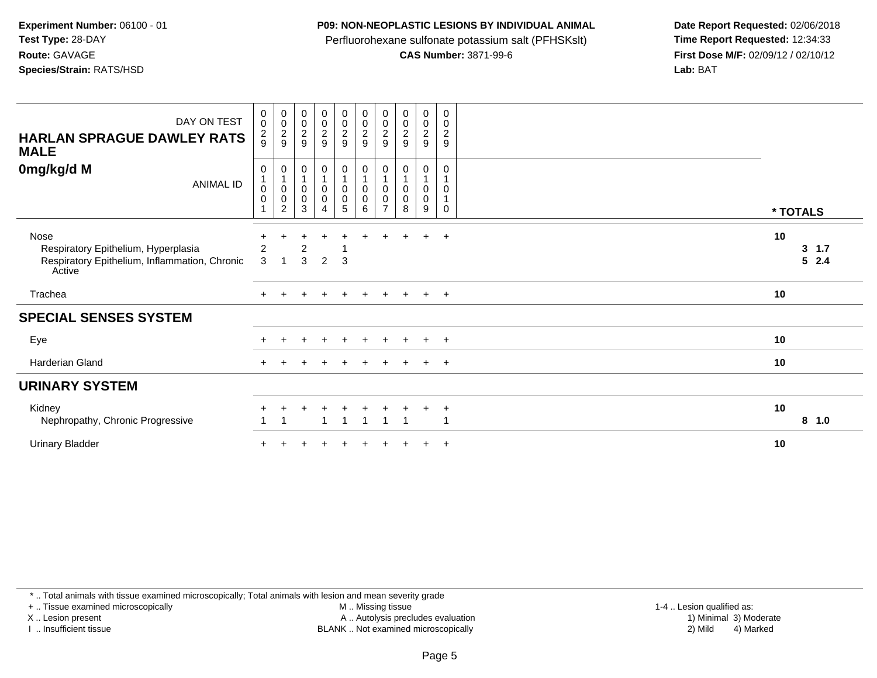#### **P09: NON-NEOPLASTIC LESIONS BY INDIVIDUAL ANIMAL**

Perfluorohexane sulfonate potassium salt (PFHSKslt)<br>**CAS Number:** 3871-99-6

 **Date Report Requested:** 02/06/2018 **First Dose M/F:** 02/09/12 / 02/10/12<br>Lab: BAT **Lab:** BAT

| DAY ON TEST<br><b>HARLAN SPRAGUE DAWLEY RATS</b><br><b>MALE</b>                                        | 0<br>$\pmb{0}$<br>$\frac{2}{9}$                                       | 00029                                           | 00029                                                               | 00029                                                                                      | $\begin{array}{c} 0 \\ 0 \\ 2 \\ 9 \end{array}$  | 00029                                                                                | $\begin{smallmatrix} 0\\0 \end{smallmatrix}$<br>$\overline{2}$<br>9   | $\begin{smallmatrix} 0\\0\\2 \end{smallmatrix}$<br>9 | $\begin{smallmatrix} 0\\0\\2 \end{smallmatrix}$<br>9         | $\pmb{0}$<br>$\pmb{0}$<br>$\overline{c}$<br>$\boldsymbol{9}$ |          |                |
|--------------------------------------------------------------------------------------------------------|-----------------------------------------------------------------------|-------------------------------------------------|---------------------------------------------------------------------|--------------------------------------------------------------------------------------------|--------------------------------------------------|--------------------------------------------------------------------------------------|-----------------------------------------------------------------------|------------------------------------------------------|--------------------------------------------------------------|--------------------------------------------------------------|----------|----------------|
| 0mg/kg/d M<br><b>ANIMAL ID</b>                                                                         | $\pmb{0}$<br>$\mathbf{1}$<br>$\mathbf 0$<br>$\pmb{0}$<br>$\mathbf{1}$ | 0<br>$\mathbf 0$<br>$\pmb{0}$<br>$\overline{c}$ | $\pmb{0}$<br>$\mathbf{1}$<br>$\pmb{0}$<br>$\mathbf 0$<br>$\sqrt{3}$ | $\begin{smallmatrix}0\1\end{smallmatrix}$<br>$\pmb{0}$<br>$\overline{0}$<br>$\overline{4}$ | $\mathbf 0$<br>0<br>$\pmb{0}$<br>$5\phantom{.0}$ | $\begin{smallmatrix}0\\1\end{smallmatrix}$<br>$\pmb{0}$<br>$\overline{0}$<br>$\,6\,$ | $\pmb{0}$<br>$\mathbf{1}$<br>$\pmb{0}$<br>$\pmb{0}$<br>$\overline{7}$ | 0<br>$\mathbf{1}$<br>$\pmb{0}$<br>$\pmb{0}$<br>8     | $\mathbf 0$<br>$\mathbf{1}$<br>$\pmb{0}$<br>$\mathbf 0$<br>9 | $\mathbf 0$<br>1<br>0<br>$\mathbf 1$<br>0                    | * TOTALS |                |
| Nose<br>Respiratory Epithelium, Hyperplasia<br>Respiratory Epithelium, Inflammation, Chronic<br>Active | 2<br>3                                                                | 1                                               | 2<br>3                                                              | $\overline{2}$                                                                             | 3                                                |                                                                                      |                                                                       |                                                      | $\ddot{}$                                                    | $+$                                                          | 10       | 3, 1.7<br>52.4 |
| Trachea                                                                                                |                                                                       |                                                 |                                                                     |                                                                                            |                                                  |                                                                                      |                                                                       |                                                      | $\pm$                                                        | $+$                                                          | 10       |                |
| <b>SPECIAL SENSES SYSTEM</b>                                                                           |                                                                       |                                                 |                                                                     |                                                                                            |                                                  |                                                                                      |                                                                       |                                                      |                                                              |                                                              |          |                |
| Eye                                                                                                    |                                                                       |                                                 |                                                                     | $\ddot{}$                                                                                  | $+$                                              | $\ddot{}$                                                                            | $\ddot{}$                                                             |                                                      | $+$                                                          | $+$                                                          | 10       |                |
| Harderian Gland                                                                                        | $+$                                                                   |                                                 |                                                                     |                                                                                            |                                                  |                                                                                      |                                                                       |                                                      | $\pm$                                                        | $+$                                                          | 10       |                |
| <b>URINARY SYSTEM</b>                                                                                  |                                                                       |                                                 |                                                                     |                                                                                            |                                                  |                                                                                      |                                                                       |                                                      |                                                              |                                                              |          |                |
| Kidney<br>Nephropathy, Chronic Progressive                                                             |                                                                       |                                                 |                                                                     |                                                                                            |                                                  | 1                                                                                    | 1                                                                     |                                                      |                                                              | $\overline{+}$<br>-1                                         | 10       | 8 1.0          |
| <b>Urinary Bladder</b>                                                                                 |                                                                       |                                                 |                                                                     |                                                                                            |                                                  |                                                                                      |                                                                       |                                                      |                                                              | $\overline{+}$                                               | 10       |                |

\* .. Total animals with tissue examined microscopically; Total animals with lesion and mean severity grade

+ .. Tissue examined microscopically

X .. Lesion present

I .. Insufficient tissue

M .. Missing tissue

Lesion present A .. Autolysis precludes evaluation 1) Minimal 3) Moderate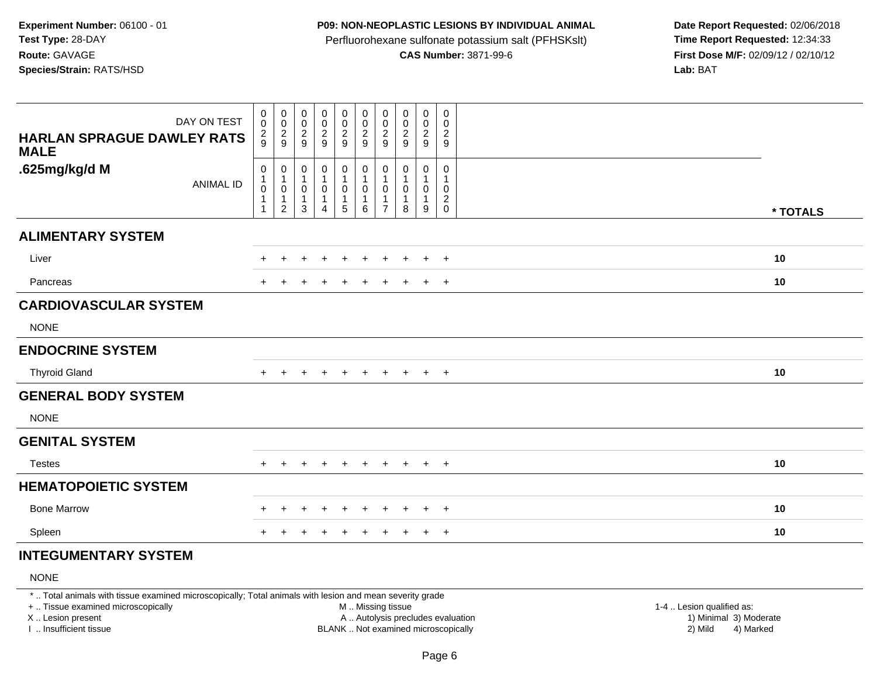#### **P09: NON-NEOPLASTIC LESIONS BY INDIVIDUAL ANIMAL**

Perfluorohexane sulfonate potassium salt (PFHSKslt)<br>**CAS Number:** 3871-99-6

 **Date Report Requested:** 02/06/2018 **First Dose M/F:** 02/09/12 / 02/10/12<br>**Lab:** BAT **Lab:** BAT

| <b>HARLAN SPRAGUE DAWLEY RATS</b><br><b>MALE</b> | DAY ON TEST      | $\pmb{0}$<br>$\mathbf 0$<br>$\frac{2}{9}$                                | $\pmb{0}$<br>$\mathbf 0$<br>$\frac{2}{9}$             | $\pmb{0}$<br>$\mathbf 0$<br>$\frac{2}{9}$ | $\begin{array}{c} 0 \\ 0 \\ 2 \\ 9 \end{array}$               | $\mathbf 0$<br>$\begin{smallmatrix} 0\\2\\9 \end{smallmatrix}$               | $\pmb{0}$<br>$\frac{0}{2}$                                          | $\boldsymbol{0}$<br>0<br>$\overline{c}$<br>$9\,$         | $\pmb{0}$<br>$\pmb{0}$<br>$\overline{2}$<br>9 | $\mathbf 0$<br>$\mathbf 0$<br>$\frac{2}{9}$ | 0<br>$\mathbf 0$<br>$\overline{c}$<br>9                           |          |
|--------------------------------------------------|------------------|--------------------------------------------------------------------------|-------------------------------------------------------|-------------------------------------------|---------------------------------------------------------------|------------------------------------------------------------------------------|---------------------------------------------------------------------|----------------------------------------------------------|-----------------------------------------------|---------------------------------------------|-------------------------------------------------------------------|----------|
| .625mg/kg/d M                                    | <b>ANIMAL ID</b> | $\mathbf 0$<br>$\mathbf{1}$<br>$\pmb{0}$<br>$\mathbf{1}$<br>$\mathbf{1}$ | 0<br>1<br>$\pmb{0}$<br>$\mathbf{1}$<br>$\overline{c}$ | $\pmb{0}$<br>1<br>0<br>$\mathbf{1}$<br>3  | $\pmb{0}$<br>$\mathbf{1}$<br>$\pmb{0}$<br>1<br>$\overline{4}$ | $\mathbf 0$<br>$\overline{1}$<br>$\mathbf 0$<br>$\overline{1}$<br>$\sqrt{5}$ | $\pmb{0}$<br>$\mathbf{1}$<br>$\mathbf 0$<br>$\mathbf{1}$<br>$\,6\,$ | 0<br>$\mathbf{1}$<br>0<br>$\mathbf{1}$<br>$\overline{7}$ | 0<br>1<br>0<br>$\mathbf{1}$<br>8              | 0<br>$\mathbf{1}$<br>0<br>$\mathbf{1}$<br>9 | 0<br>$\mathbf{1}$<br>$\mathbf 0$<br>$\overline{c}$<br>$\mathbf 0$ | * TOTALS |
| <b>ALIMENTARY SYSTEM</b>                         |                  |                                                                          |                                                       |                                           |                                                               |                                                                              |                                                                     |                                                          |                                               |                                             |                                                                   |          |
| Liver                                            |                  | +                                                                        | +                                                     | +                                         | $\ddot{}$                                                     | $\ddot{}$                                                                    | $\ddot{}$                                                           | $\ddot{}$                                                | $\ddot{}$                                     | $+$                                         | $+$                                                               | 10       |
| Pancreas                                         |                  | $+$                                                                      |                                                       |                                           | $\mathbf +$                                                   | ٠                                                                            | $\pm$                                                               |                                                          |                                               | $+$                                         | $+$                                                               | 10       |
| <b>CARDIOVASCULAR SYSTEM</b>                     |                  |                                                                          |                                                       |                                           |                                                               |                                                                              |                                                                     |                                                          |                                               |                                             |                                                                   |          |
| <b>NONE</b>                                      |                  |                                                                          |                                                       |                                           |                                                               |                                                                              |                                                                     |                                                          |                                               |                                             |                                                                   |          |
| <b>ENDOCRINE SYSTEM</b>                          |                  |                                                                          |                                                       |                                           |                                                               |                                                                              |                                                                     |                                                          |                                               |                                             |                                                                   |          |
| <b>Thyroid Gland</b>                             |                  | $+$                                                                      | $\div$                                                | $\div$                                    | $\pm$                                                         | $\pm$                                                                        | $\pm$                                                               | $\ddot{}$                                                | $\pm$                                         | $+$                                         | $+$                                                               | 10       |
| <b>GENERAL BODY SYSTEM</b>                       |                  |                                                                          |                                                       |                                           |                                                               |                                                                              |                                                                     |                                                          |                                               |                                             |                                                                   |          |
| <b>NONE</b>                                      |                  |                                                                          |                                                       |                                           |                                                               |                                                                              |                                                                     |                                                          |                                               |                                             |                                                                   |          |
| <b>GENITAL SYSTEM</b>                            |                  |                                                                          |                                                       |                                           |                                                               |                                                                              |                                                                     |                                                          |                                               |                                             |                                                                   |          |
| <b>Testes</b>                                    |                  | $+$                                                                      | $+$                                                   | $+$                                       | $+$                                                           | $+$                                                                          | $+$                                                                 | $+$                                                      | $+$                                           | $+$ $+$                                     |                                                                   | 10       |
| <b>HEMATOPOIETIC SYSTEM</b>                      |                  |                                                                          |                                                       |                                           |                                                               |                                                                              |                                                                     |                                                          |                                               |                                             |                                                                   |          |
| <b>Bone Marrow</b>                               |                  | $\pm$                                                                    | $\div$                                                | $\ddot{}$                                 | $\ddot{}$                                                     | $\ddot{}$                                                                    | $\pm$                                                               | $\ddot{}$                                                | $\ddot{}$                                     | $+$                                         | $+$                                                               | 10       |
| Spleen                                           |                  |                                                                          |                                                       |                                           |                                                               |                                                                              |                                                                     |                                                          |                                               | $\ddot{}$                                   | $+$                                                               | 10       |

# **INTEGUMENTARY SYSTEM**

# NONE

\* .. Total animals with tissue examined microscopically; Total animals with lesion and mean severity grade

+ .. Tissue examined microscopically

X .. Lesion present

I .. Insufficient tissue

 M .. Missing tissueA .. Autolysis precludes evaluation

 1-4 .. Lesion qualified as: BLANK .. Not examined microscopically 2) Mild 4) Marked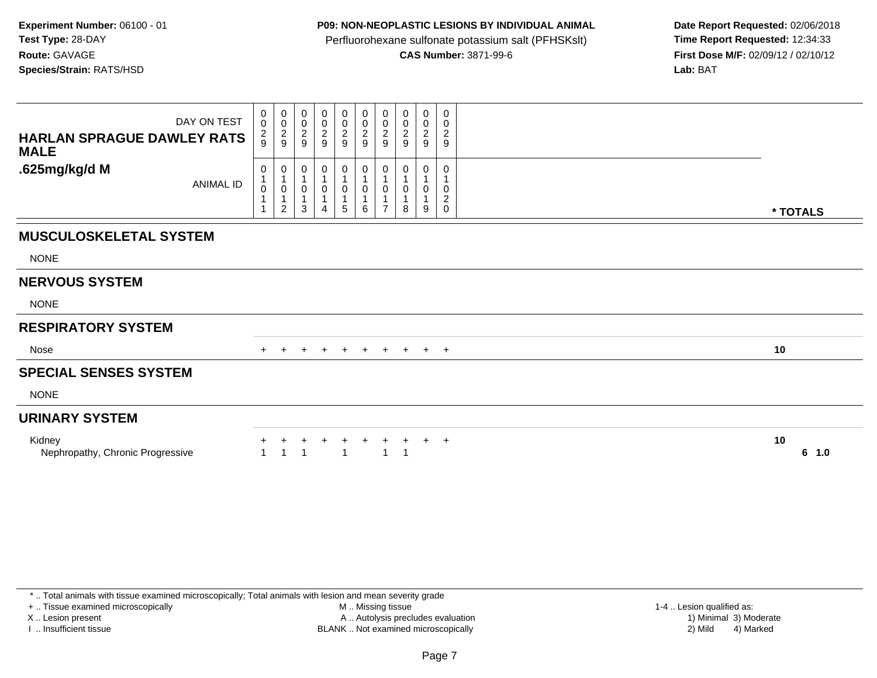## **P09: NON-NEOPLASTIC LESIONS BY INDIVIDUAL ANIMAL**

Perfluorohexane sulfonate potassium salt (PFHSKslt)<br>**CAS Number:** 3871-99-6

 **Date Report Requested:** 02/06/2018 **First Dose M/F:** 02/09/12 / 02/10/12<br>Lab: BAT **Lab:** BAT

| DAY ON TEST<br>HARLAN SPRAGUE DAWLEY RATS<br><b>MALE</b> | $_{\rm 0}^{\rm 0}$<br>$\frac{2}{9}$ | $\begin{matrix} 0 \\ 0 \\ 2 \\ 9 \end{matrix}$     | $\begin{matrix} 0 \\ 0 \\ 2 \\ 9 \end{matrix}$ | $\begin{matrix} 0 \\ 0 \\ 2 \end{matrix}$<br>9 | 00029               | $\begin{array}{c} 0 \\ 0 \\ 2 \\ 9 \end{array}$ | $\begin{matrix} 0 \\ 0 \\ 2 \end{matrix}$<br>9 | $\begin{array}{c} 0 \\ 0 \\ 2 \\ 9 \end{array}$ | $\begin{smallmatrix} 0\\0\\2 \end{smallmatrix}$<br>9 | 0<br>$\mathbf 0$<br>$\boldsymbol{2}$<br>$\boldsymbol{9}$ |             |
|----------------------------------------------------------|-------------------------------------|----------------------------------------------------|------------------------------------------------|------------------------------------------------|---------------------|-------------------------------------------------|------------------------------------------------|-------------------------------------------------|------------------------------------------------------|----------------------------------------------------------|-------------|
| .625mg/kg/d M<br>ANIMAL ID                               | 0<br>0                              | 0<br>$\pmb{0}$<br>$\overline{1}$<br>$\overline{2}$ | 0<br>1<br>0<br>$\mathbf{1}$<br>3               | 0<br>0<br>4                                    | 0<br>$\pmb{0}$<br>5 | 0<br>0<br>6                                     | 0<br>0                                         | 0<br>0<br>8                                     | 0<br>0<br>9                                          | 0<br>0<br>$\sqrt{2}$<br>$\mathsf{O}\xspace$              | * TOTALS    |
| <b>MUSCULOSKELETAL SYSTEM</b>                            |                                     |                                                    |                                                |                                                |                     |                                                 |                                                |                                                 |                                                      |                                                          |             |
| <b>NONE</b>                                              |                                     |                                                    |                                                |                                                |                     |                                                 |                                                |                                                 |                                                      |                                                          |             |
| <b>NERVOUS SYSTEM</b>                                    |                                     |                                                    |                                                |                                                |                     |                                                 |                                                |                                                 |                                                      |                                                          |             |
| <b>NONE</b>                                              |                                     |                                                    |                                                |                                                |                     |                                                 |                                                |                                                 |                                                      |                                                          |             |
| <b>RESPIRATORY SYSTEM</b>                                |                                     |                                                    |                                                |                                                |                     |                                                 |                                                |                                                 |                                                      |                                                          |             |
| Nose                                                     | $+$                                 |                                                    | $\ddot{}$                                      | $+$                                            | $\overline{+}$      | $+$                                             | $+$                                            | $+$                                             |                                                      | $+$ $+$                                                  | 10          |
| <b>SPECIAL SENSES SYSTEM</b>                             |                                     |                                                    |                                                |                                                |                     |                                                 |                                                |                                                 |                                                      |                                                          |             |
| <b>NONE</b>                                              |                                     |                                                    |                                                |                                                |                     |                                                 |                                                |                                                 |                                                      |                                                          |             |
| <b>URINARY SYSTEM</b>                                    |                                     |                                                    |                                                |                                                |                     |                                                 |                                                |                                                 |                                                      |                                                          |             |
| Kidney<br>Nephropathy, Chronic Progressive               |                                     |                                                    |                                                |                                                |                     | $\pm$                                           |                                                |                                                 | $\pm$                                                | $+$                                                      | 10<br>6 1.0 |

\* .. Total animals with tissue examined microscopically; Total animals with lesion and mean severity grade

+ .. Tissue examined microscopically

X .. Lesion present

I .. Insufficient tissue

M .. Missing tissue

 Lesion present A .. Autolysis precludes evaluation 1) Minimal 3) ModerateBLANK .. Not examined microscopically 2) Mild 4) Marked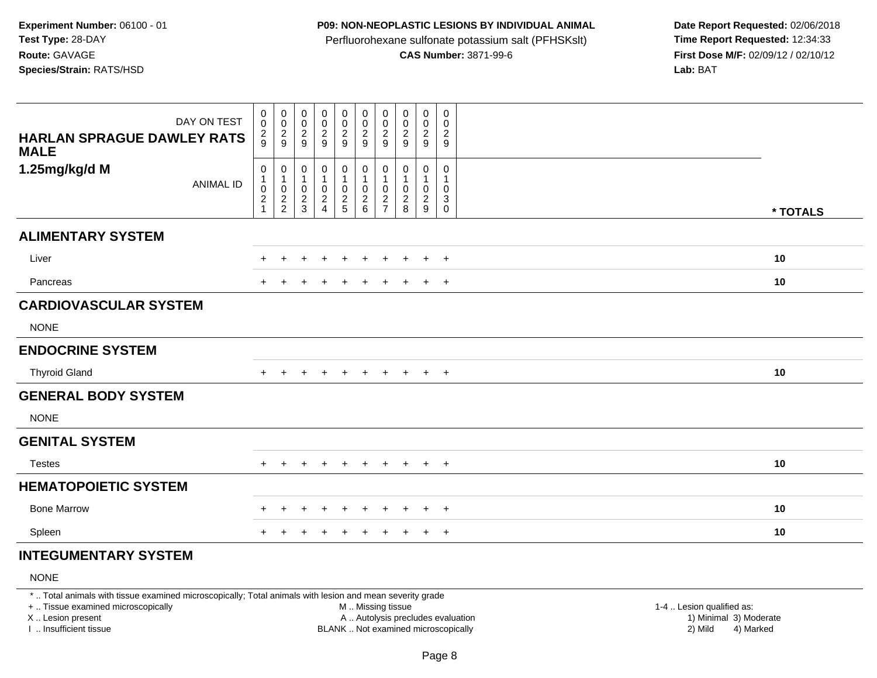#### **P09: NON-NEOPLASTIC LESIONS BY INDIVIDUAL ANIMAL**

Perfluorohexane sulfonate potassium salt (PFHSKslt)<br>**CAS Number:** 3871-99-6

 **Date Report Requested:** 02/06/2018 **First Dose M/F:** 02/09/12 / 02/10/12<br>**Lab:** BAT **Lab:** BAT

| <b>HARLAN SPRAGUE DAWLEY RATS</b><br><b>MALE</b> | DAY ON TEST      | $\,0\,$<br>$\mathbf 0$<br>$\frac{2}{9}$                                | $\pmb{0}$<br>$\mathbf 0$<br>$\frac{2}{9}$                 | $\pmb{0}$<br>$\mathbf 0$<br>$\frac{2}{9}$        | $\begin{array}{c} 0 \\ 0 \\ 2 \\ 9 \end{array}$                        | $\mathbf 0$<br>$\begin{smallmatrix} 0\\2\\9 \end{smallmatrix}$ | $\pmb{0}$<br>$\begin{smallmatrix} 0\\2\\9 \end{smallmatrix}$    | $\boldsymbol{0}$<br>0<br>$\overline{c}$<br>$9\,$       | $\pmb{0}$<br>0<br>$\overline{2}$<br>9 | $\mathbf 0$<br>$\mathbf 0$<br>$\frac{2}{9}$             | 0<br>0<br>$\overline{c}$<br>9                                      |          |
|--------------------------------------------------|------------------|------------------------------------------------------------------------|-----------------------------------------------------------|--------------------------------------------------|------------------------------------------------------------------------|----------------------------------------------------------------|-----------------------------------------------------------------|--------------------------------------------------------|---------------------------------------|---------------------------------------------------------|--------------------------------------------------------------------|----------|
| 1.25mg/kg/d M                                    | <b>ANIMAL ID</b> | $\mathbf 0$<br>$\mathbf{1}$<br>$\pmb{0}$<br>$\sqrt{2}$<br>$\mathbf{1}$ | 0<br>1<br>$\pmb{0}$<br>$\boldsymbol{2}$<br>$\overline{2}$ | $\pmb{0}$<br>$\mathbf 1$<br>0<br>$\sqrt{2}$<br>3 | $\pmb{0}$<br>$\mathbf{1}$<br>$\pmb{0}$<br>$\sqrt{2}$<br>$\overline{4}$ | $\mathbf 0$<br>$\mathbf 1$<br>$\mathbf 0$<br>$\frac{2}{5}$     | $\pmb{0}$<br>$\mathbf{1}$<br>$\mathbf 0$<br>$\overline{c}$<br>6 | 0<br>$\mathbf{1}$<br>0<br>$\sqrt{2}$<br>$\overline{7}$ | 0<br>1<br>0<br>$\boldsymbol{2}$<br>8  | 0<br>$\mathbf{1}$<br>$\mathbf 0$<br>$\overline{c}$<br>9 | 0<br>$\mathbf{1}$<br>0<br>$\ensuremath{\mathsf{3}}$<br>$\mathbf 0$ | * TOTALS |
| <b>ALIMENTARY SYSTEM</b>                         |                  |                                                                        |                                                           |                                                  |                                                                        |                                                                |                                                                 |                                                        |                                       |                                                         |                                                                    |          |
| Liver                                            |                  | +                                                                      | +                                                         | +                                                | $\ddot{}$                                                              | $\ddot{}$                                                      | $\ddot{}$                                                       | $\ddot{}$                                              | $\ddot{}$                             | $+$                                                     | $+$                                                                | 10       |
| Pancreas                                         |                  | $+$                                                                    |                                                           |                                                  | $\mathbf +$                                                            | ٠                                                              | $\pm$                                                           |                                                        |                                       | $+$                                                     | $+$                                                                | 10       |
| <b>CARDIOVASCULAR SYSTEM</b>                     |                  |                                                                        |                                                           |                                                  |                                                                        |                                                                |                                                                 |                                                        |                                       |                                                         |                                                                    |          |
| <b>NONE</b>                                      |                  |                                                                        |                                                           |                                                  |                                                                        |                                                                |                                                                 |                                                        |                                       |                                                         |                                                                    |          |
| <b>ENDOCRINE SYSTEM</b>                          |                  |                                                                        |                                                           |                                                  |                                                                        |                                                                |                                                                 |                                                        |                                       |                                                         |                                                                    |          |
| <b>Thyroid Gland</b>                             |                  | $+$                                                                    | $\div$                                                    | $\div$                                           | $\pm$                                                                  | $\pm$                                                          | $\pm$                                                           | $\ddot{}$                                              | $\pm$                                 | $+$                                                     | $+$                                                                | 10       |
| <b>GENERAL BODY SYSTEM</b>                       |                  |                                                                        |                                                           |                                                  |                                                                        |                                                                |                                                                 |                                                        |                                       |                                                         |                                                                    |          |
| <b>NONE</b>                                      |                  |                                                                        |                                                           |                                                  |                                                                        |                                                                |                                                                 |                                                        |                                       |                                                         |                                                                    |          |
| <b>GENITAL SYSTEM</b>                            |                  |                                                                        |                                                           |                                                  |                                                                        |                                                                |                                                                 |                                                        |                                       |                                                         |                                                                    |          |
| <b>Testes</b>                                    |                  | $+$                                                                    | $+$                                                       | $+$                                              | $+$                                                                    | $+$                                                            | $+$                                                             | $+$                                                    | $+$                                   | $+$ $+$                                                 |                                                                    | 10       |
| <b>HEMATOPOIETIC SYSTEM</b>                      |                  |                                                                        |                                                           |                                                  |                                                                        |                                                                |                                                                 |                                                        |                                       |                                                         |                                                                    |          |
| <b>Bone Marrow</b>                               |                  | $\pm$                                                                  | $\div$                                                    | $\ddot{}$                                        | $\ddot{}$                                                              | $\ddot{}$                                                      | $\pm$                                                           | $\ddot{}$                                              | $\ddot{}$                             | $+$                                                     | $+$                                                                | 10       |
| Spleen                                           |                  |                                                                        |                                                           |                                                  |                                                                        |                                                                |                                                                 |                                                        |                                       | $\ddot{}$                                               | $+$                                                                | 10       |

# **INTEGUMENTARY SYSTEM**

# NONE

\* .. Total animals with tissue examined microscopically; Total animals with lesion and mean severity grade

+ .. Tissue examined microscopically

X .. Lesion present

I .. Insufficient tissue

 M .. Missing tissueA .. Autolysis precludes evaluation

 1-4 .. Lesion qualified as: BLANK .. Not examined microscopically 2) Mild 4) Marked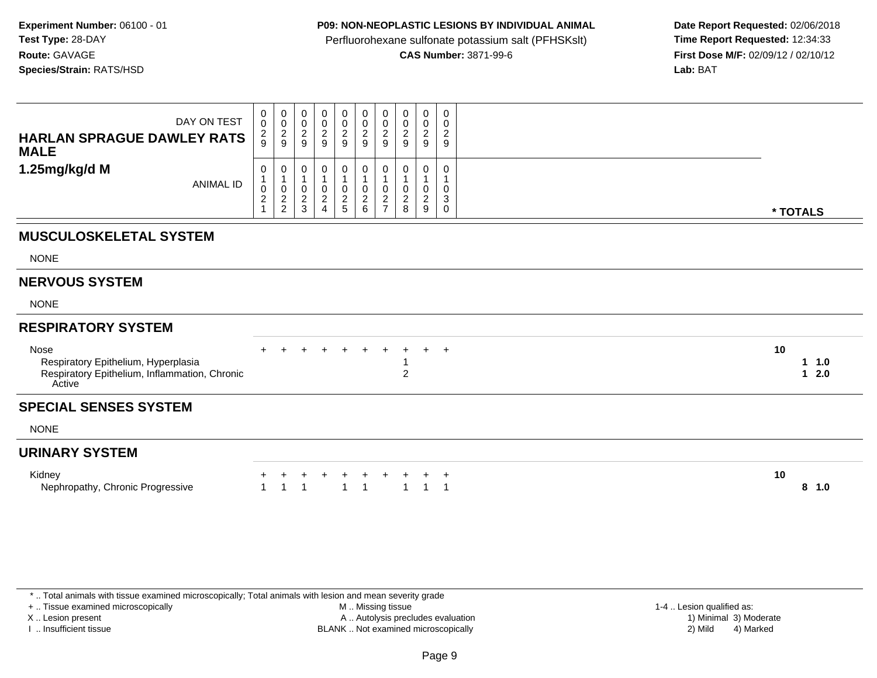## **P09: NON-NEOPLASTIC LESIONS BY INDIVIDUAL ANIMAL**

Perfluorohexane sulfonate potassium salt (PFHSKslt)<br>**CAS Number:** 3871-99-6

 **Date Report Requested:** 02/06/2018 **First Dose M/F:** 02/09/12 / 02/10/12<br>**Lab:** BAT **Lab:** BAT

| DAY ON TEST<br><b>HARLAN SPRAGUE DAWLEY RATS</b><br><b>MALE</b>                                        | $_{0}^{0}$<br>$\frac{2}{9}$ | $\begin{smallmatrix} 0\\0 \end{smallmatrix}$<br>$\frac{2}{9}$ | 0<br>$\mathsf 0$<br>$\overline{\mathbf{c}}$<br>9 | 0<br>$\pmb{0}$<br>$\frac{2}{9}$                                      | $\begin{array}{c} 0 \\ 0 \\ 2 \\ 9 \end{array}$ | $\begin{array}{c} 0 \\ 0 \\ 2 \\ 9 \end{array}$ | $\begin{smallmatrix} 0\\0\\2 \end{smallmatrix}$<br>9 | 0<br>0<br>$\overline{c}$<br>9   | 0<br>$\pmb{0}$<br>$\boldsymbol{2}$<br>9             | 0<br>0<br>$\overline{c}$<br>9 |                                       |  |
|--------------------------------------------------------------------------------------------------------|-----------------------------|---------------------------------------------------------------|--------------------------------------------------|----------------------------------------------------------------------|-------------------------------------------------|-------------------------------------------------|------------------------------------------------------|---------------------------------|-----------------------------------------------------|-------------------------------|---------------------------------------|--|
| 1.25mg/kg/d M<br><b>ANIMAL ID</b>                                                                      | 0<br>0<br>$\frac{2}{1}$     | $\pmb{0}$<br>$\overline{1}$<br>$\frac{2}{2}$                  | 0<br>0<br>$\frac{2}{3}$                          | 0<br>$\mathbf{1}$<br>$\pmb{0}$<br>$\boldsymbol{2}$<br>$\overline{4}$ | 0<br>$\mathbf{1}$<br>$\pmb{0}$<br>$\frac{2}{5}$ | 0<br>0<br>$\frac{2}{6}$                         | 0<br>$\boldsymbol{0}$<br>$\frac{2}{7}$               | 0<br>0<br>$\boldsymbol{2}$<br>8 | 0<br>$\mathbf{1}$<br>$\mathbf 0$<br>$\sqrt{2}$<br>9 | 0<br>0<br>3<br>0              | * TOTALS                              |  |
| <b>MUSCULOSKELETAL SYSTEM</b>                                                                          |                             |                                                               |                                                  |                                                                      |                                                 |                                                 |                                                      |                                 |                                                     |                               |                                       |  |
| <b>NONE</b>                                                                                            |                             |                                                               |                                                  |                                                                      |                                                 |                                                 |                                                      |                                 |                                                     |                               |                                       |  |
| <b>NERVOUS SYSTEM</b>                                                                                  |                             |                                                               |                                                  |                                                                      |                                                 |                                                 |                                                      |                                 |                                                     |                               |                                       |  |
| <b>NONE</b>                                                                                            |                             |                                                               |                                                  |                                                                      |                                                 |                                                 |                                                      |                                 |                                                     |                               |                                       |  |
| <b>RESPIRATORY SYSTEM</b>                                                                              |                             |                                                               |                                                  |                                                                      |                                                 |                                                 |                                                      |                                 |                                                     |                               |                                       |  |
| Nose<br>Respiratory Epithelium, Hyperplasia<br>Respiratory Epithelium, Inflammation, Chronic<br>Active |                             |                                                               |                                                  |                                                                      |                                                 |                                                 | $\ddot{}$                                            | $\overline{2}$                  | $+$                                                 | $+$                           | 10<br>$1 \t1.0$<br>2.0<br>$\mathbf 1$ |  |
| <b>SPECIAL SENSES SYSTEM</b>                                                                           |                             |                                                               |                                                  |                                                                      |                                                 |                                                 |                                                      |                                 |                                                     |                               |                                       |  |
| <b>NONE</b>                                                                                            |                             |                                                               |                                                  |                                                                      |                                                 |                                                 |                                                      |                                 |                                                     |                               |                                       |  |
| <b>URINARY SYSTEM</b>                                                                                  |                             |                                                               |                                                  |                                                                      |                                                 |                                                 |                                                      |                                 |                                                     |                               |                                       |  |
| Kidney<br>Nephropathy, Chronic Progressive                                                             |                             |                                                               |                                                  |                                                                      | $\overline{ }$                                  | +                                               |                                                      |                                 |                                                     | $\ddot{}$<br>-1               | 10<br>8, 1.0                          |  |

\* .. Total animals with tissue examined microscopically; Total animals with lesion and mean severity grade

+ .. Tissue examined microscopically

X .. Lesion present

I .. Insufficient tissue

 M .. Missing tissueA .. Autolysis precludes evaluation

BLANK .. Not examined microscopically 2) Mild 4) Marked

1-4 .. Lesion qualified as:<br>1) Minimal 3) Moderate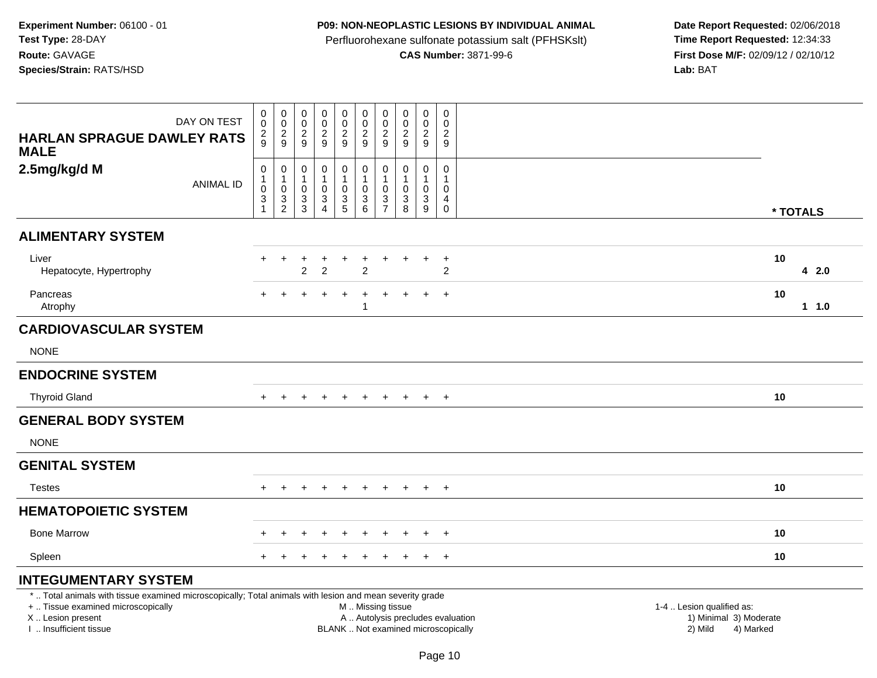## **P09: NON-NEOPLASTIC LESIONS BY INDIVIDUAL ANIMAL**

Perfluorohexane sulfonate potassium salt (PFHSKslt)<br>**CAS Number:** 3871-99-6

| DAY ON TEST                                                                                                                                                                                   | $\pmb{0}$<br>$\pmb{0}$                                                                | $\mathbf 0$<br>$\ddot{\mathbf{0}}$                          | $\pmb{0}$<br>$\mathsf{O}\xspace$<br>$\boldsymbol{2}$ | $\pmb{0}$<br>$\ddot{\mathbf{0}}$<br>$\sqrt{2}$                    | $\mathsf 0$<br>$\mathsf{O}\xspace$<br>$\sqrt{2}$            | $\pmb{0}$<br>$\mathbf 0$<br>$\sqrt{2}$                             | $\pmb{0}$<br>$\mathbf 0$<br>$\overline{c}$                                                | $\mathbf 0$<br>$\mathbf 0$<br>$\sqrt{2}$                                     | $\mathbf 0$<br>$\mathbf 0$<br>$\overline{c}$            | $\pmb{0}$<br>$\Omega$<br>$\overline{2}$              |                                                                                                                  |
|-----------------------------------------------------------------------------------------------------------------------------------------------------------------------------------------------|---------------------------------------------------------------------------------------|-------------------------------------------------------------|------------------------------------------------------|-------------------------------------------------------------------|-------------------------------------------------------------|--------------------------------------------------------------------|-------------------------------------------------------------------------------------------|------------------------------------------------------------------------------|---------------------------------------------------------|------------------------------------------------------|------------------------------------------------------------------------------------------------------------------|
| <b>HARLAN SPRAGUE DAWLEY RATS</b><br><b>MALE</b>                                                                                                                                              | $\frac{2}{9}$                                                                         | $\frac{2}{9}$                                               | 9                                                    | 9                                                                 | 9                                                           | 9                                                                  | 9                                                                                         | 9                                                                            | 9                                                       | 9                                                    |                                                                                                                  |
| 2.5mg/kg/d M<br><b>ANIMAL ID</b>                                                                                                                                                              | $\pmb{0}$<br>$\mathbf{1}$<br>$\pmb{0}$<br>$\ensuremath{\mathsf{3}}$<br>$\overline{1}$ | $\mathbf 0$<br>$\mathbf{1}$<br>$\mathsf 0$<br>$\frac{3}{2}$ | 0<br>$\mathbf{1}$<br>0<br>$\frac{3}{3}$              | $\mathbf 0$<br>1<br>$\mathbf 0$<br>$\mathbf{3}$<br>$\overline{4}$ | $\mathbf 0$<br>$\mathbf{1}$<br>$\mathbf 0$<br>$\frac{3}{5}$ | 0<br>$\overline{1}$<br>$\mathbf 0$<br>$\sqrt{3}$<br>$6\phantom{1}$ | $\mathbf 0$<br>$\mathbf{1}$<br>$\mathbf 0$<br>$\ensuremath{\mathsf{3}}$<br>$\overline{7}$ | $\mathbf 0$<br>$\mathbf{1}$<br>$\mathbf 0$<br>$\ensuremath{\mathsf{3}}$<br>8 | 0<br>$\mathbf{1}$<br>$\mathbf 0$<br>3<br>$\overline{9}$ | 0<br>$\mathbf{1}$<br>$\mathbf 0$<br>4<br>$\mathbf 0$ | * TOTALS                                                                                                         |
| <b>ALIMENTARY SYSTEM</b>                                                                                                                                                                      |                                                                                       |                                                             |                                                      |                                                                   |                                                             |                                                                    |                                                                                           |                                                                              |                                                         |                                                      |                                                                                                                  |
| Liver<br>Hepatocyte, Hypertrophy                                                                                                                                                              | $+$                                                                                   | $\ddot{}$                                                   | $\ddot{}$<br>$\overline{2}$                          | $\ddot{}$<br>$\overline{2}$                                       | $+$                                                         | $\ddot{}$<br>$\overline{2}$                                        | $\ddot{}$                                                                                 | $\pm$                                                                        | $\ddot{}$                                               | $+$<br>$\overline{2}$                                | 10<br>42.0                                                                                                       |
| Pancreas<br>Atrophy                                                                                                                                                                           | $+$                                                                                   |                                                             |                                                      |                                                                   |                                                             | $\div$<br>-1                                                       |                                                                                           |                                                                              | $\ddot{}$                                               | $+$                                                  | 10<br>1 1.0                                                                                                      |
| <b>CARDIOVASCULAR SYSTEM</b>                                                                                                                                                                  |                                                                                       |                                                             |                                                      |                                                                   |                                                             |                                                                    |                                                                                           |                                                                              |                                                         |                                                      |                                                                                                                  |
| <b>NONE</b>                                                                                                                                                                                   |                                                                                       |                                                             |                                                      |                                                                   |                                                             |                                                                    |                                                                                           |                                                                              |                                                         |                                                      |                                                                                                                  |
| <b>ENDOCRINE SYSTEM</b>                                                                                                                                                                       |                                                                                       |                                                             |                                                      |                                                                   |                                                             |                                                                    |                                                                                           |                                                                              |                                                         |                                                      |                                                                                                                  |
| <b>Thyroid Gland</b>                                                                                                                                                                          |                                                                                       |                                                             |                                                      |                                                                   |                                                             |                                                                    |                                                                                           |                                                                              | $\ddot{}$                                               | $+$                                                  | 10                                                                                                               |
| <b>GENERAL BODY SYSTEM</b>                                                                                                                                                                    |                                                                                       |                                                             |                                                      |                                                                   |                                                             |                                                                    |                                                                                           |                                                                              |                                                         |                                                      |                                                                                                                  |
| <b>NONE</b>                                                                                                                                                                                   |                                                                                       |                                                             |                                                      |                                                                   |                                                             |                                                                    |                                                                                           |                                                                              |                                                         |                                                      |                                                                                                                  |
| <b>GENITAL SYSTEM</b>                                                                                                                                                                         |                                                                                       |                                                             |                                                      |                                                                   |                                                             |                                                                    |                                                                                           |                                                                              |                                                         |                                                      |                                                                                                                  |
| <b>Testes</b>                                                                                                                                                                                 |                                                                                       |                                                             |                                                      | $\div$                                                            | $\pm$                                                       | $\ddot{}$                                                          | $\ddot{}$                                                                                 |                                                                              | $\ddot{}$                                               | $+$                                                  | 10                                                                                                               |
| <b>HEMATOPOIETIC SYSTEM</b>                                                                                                                                                                   |                                                                                       |                                                             |                                                      |                                                                   |                                                             |                                                                    |                                                                                           |                                                                              |                                                         |                                                      |                                                                                                                  |
| <b>Bone Marrow</b>                                                                                                                                                                            |                                                                                       |                                                             |                                                      |                                                                   |                                                             |                                                                    |                                                                                           |                                                                              |                                                         | $\overline{+}$                                       | 10                                                                                                               |
| Spleen                                                                                                                                                                                        |                                                                                       |                                                             |                                                      |                                                                   |                                                             |                                                                    |                                                                                           |                                                                              | $\ddot{+}$                                              | $+$                                                  | 10                                                                                                               |
| <b>INTEGUMENTARY SYSTEM</b>                                                                                                                                                                   |                                                                                       |                                                             |                                                      |                                                                   |                                                             |                                                                    |                                                                                           |                                                                              |                                                         |                                                      |                                                                                                                  |
| *  Total animals with tissue examined microscopically; Total animals with lesion and mean severity grade<br>+  Tissue examined microscopically<br>X  Lesion present<br>I  Insufficient tissue |                                                                                       |                                                             |                                                      |                                                                   |                                                             | M  Missing tissue<br>BLANK  Not examined microscopically           |                                                                                           |                                                                              |                                                         |                                                      | 1-4  Lesion qualified as:<br>A  Autolysis precludes evaluation<br>1) Minimal 3) Moderate<br>2) Mild<br>4) Marked |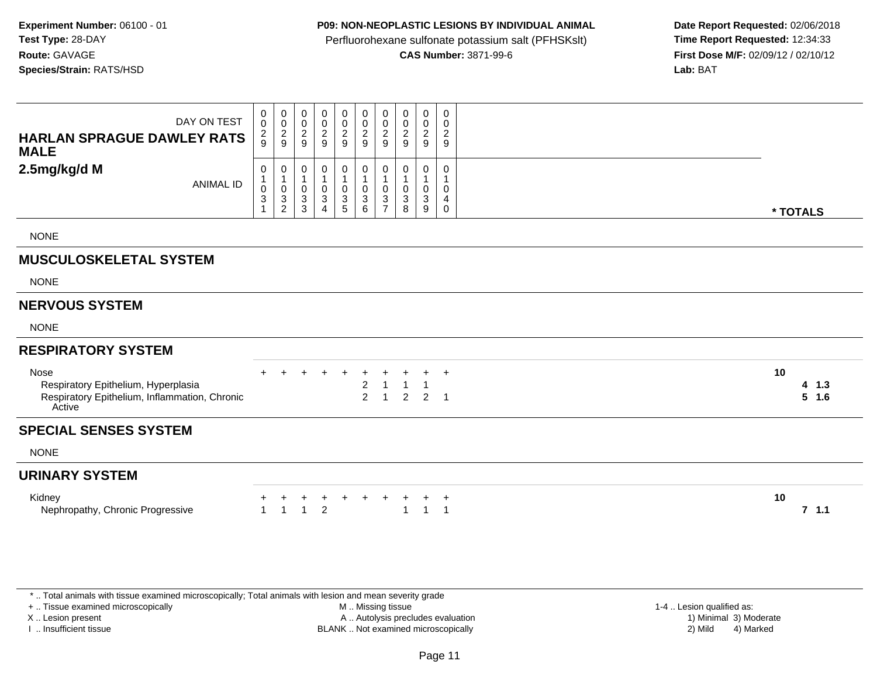### **P09: NON-NEOPLASTIC LESIONS BY INDIVIDUAL ANIMAL**

Perfluorohexane sulfonate potassium salt (PFHSKslt)<br>**CAS Number:** 3871-99-6

 **Date Report Requested:** 02/06/2018 **First Dose M/F:** 02/09/12 / 02/10/12<br>**Lab:** BAT **Lab:** BAT

| DAY ON TEST<br><b>HARLAN SPRAGUE DAWLEY RATS</b><br><b>MALE</b>                                        | 0<br>$\pmb{0}$<br>$\frac{2}{9}$                                             | $\mathbf 0$<br>$\pmb{0}$<br>$\frac{2}{9}$     | $\pmb{0}$<br>$\pmb{0}$<br>$\frac{2}{9}$                                       | $\mathbf 0$<br>$\frac{0}{2}$    | $\mathbf 0$<br>$\frac{0}{2}$                                      | 0<br>$\pmb{0}$<br>$\boldsymbol{2}$<br>9                            | $\pmb{0}$<br>$\pmb{0}$<br>$\sqrt{2}$<br>9     | 0<br>0<br>$\overline{\mathbf{c}}$<br>9 | 0<br>$\pmb{0}$<br>$\frac{2}{9}$ | 0<br>$\mathbf 0$<br>$\overline{a}$<br>9 |                      |
|--------------------------------------------------------------------------------------------------------|-----------------------------------------------------------------------------|-----------------------------------------------|-------------------------------------------------------------------------------|---------------------------------|-------------------------------------------------------------------|--------------------------------------------------------------------|-----------------------------------------------|----------------------------------------|---------------------------------|-----------------------------------------|----------------------|
| 2.5mg/kg/d M<br><b>ANIMAL ID</b>                                                                       | 0<br>$\mathbf{1}$<br>$\pmb{0}$<br>$\ensuremath{\mathsf{3}}$<br>$\mathbf{1}$ | 0<br>$\mathbf{1}$<br>0<br>3<br>$\overline{c}$ | 0<br>$\mathbf{1}$<br>$\pmb{0}$<br>$\ensuremath{\mathsf{3}}$<br>$\mathfrak{S}$ | 0<br>$\pmb{0}$<br>$\frac{3}{4}$ | 0<br>$\overline{1}$<br>$\begin{array}{c} 0 \\ 3 \\ 5 \end{array}$ | 0<br>$\mathbf{1}$<br>$\mathbf 0$<br>$\ensuremath{\mathsf{3}}$<br>6 | 0<br>$\mathbf{1}$<br>0<br>3<br>$\overline{7}$ | 0<br>0<br>3<br>8                       | 0<br>0<br>$\mathbf{3}$<br>9     | 0<br>$\overline{1}$<br>0<br>4<br>0      | * TOTALS             |
| <b>NONE</b>                                                                                            |                                                                             |                                               |                                                                               |                                 |                                                                   |                                                                    |                                               |                                        |                                 |                                         |                      |
| <b>MUSCULOSKELETAL SYSTEM</b>                                                                          |                                                                             |                                               |                                                                               |                                 |                                                                   |                                                                    |                                               |                                        |                                 |                                         |                      |
| <b>NONE</b>                                                                                            |                                                                             |                                               |                                                                               |                                 |                                                                   |                                                                    |                                               |                                        |                                 |                                         |                      |
| <b>NERVOUS SYSTEM</b>                                                                                  |                                                                             |                                               |                                                                               |                                 |                                                                   |                                                                    |                                               |                                        |                                 |                                         |                      |
| <b>NONE</b>                                                                                            |                                                                             |                                               |                                                                               |                                 |                                                                   |                                                                    |                                               |                                        |                                 |                                         |                      |
| <b>RESPIRATORY SYSTEM</b>                                                                              |                                                                             |                                               |                                                                               |                                 |                                                                   |                                                                    |                                               |                                        |                                 |                                         |                      |
| Nose<br>Respiratory Epithelium, Hyperplasia<br>Respiratory Epithelium, Inflammation, Chronic<br>Active |                                                                             |                                               |                                                                               |                                 |                                                                   | $\boldsymbol{2}$<br>$\overline{2}$                                 | $\overline{1}$                                | $\overline{2}$                         | $\overline{2}$                  | $\ddot{}$<br>$\overline{1}$             | 10<br>4 1.3<br>5 1.6 |
| <b>SPECIAL SENSES SYSTEM</b>                                                                           |                                                                             |                                               |                                                                               |                                 |                                                                   |                                                                    |                                               |                                        |                                 |                                         |                      |
| <b>NONE</b>                                                                                            |                                                                             |                                               |                                                                               |                                 |                                                                   |                                                                    |                                               |                                        |                                 |                                         |                      |
| <b>URINARY SYSTEM</b>                                                                                  |                                                                             |                                               |                                                                               |                                 |                                                                   |                                                                    |                                               |                                        |                                 |                                         |                      |
| Kidney<br>Nephropathy, Chronic Progressive                                                             | $\overline{1}$                                                              | $\overline{1}$                                | $^+$<br>$\overline{1}$                                                        | $\ddot{}$<br>$\overline{2}$     | +                                                                 | $\ddot{}$                                                          | +                                             | $\overline{1}$                         | $\ddot{}$<br>$\overline{1}$     | $\ddot{}$<br>$\overline{1}$             | 10<br>7, 1.1         |

\* .. Total animals with tissue examined microscopically; Total animals with lesion and mean severity grade

+ .. Tissue examined microscopically

X .. Lesion present

I .. Insufficient tissue

 M .. Missing tissueA .. Autolysis precludes evaluation

1-4 .. Lesion qualified as:<br>1) Minimal 3) Moderate BLANK .. Not examined microscopically 2) Mild 4) Marked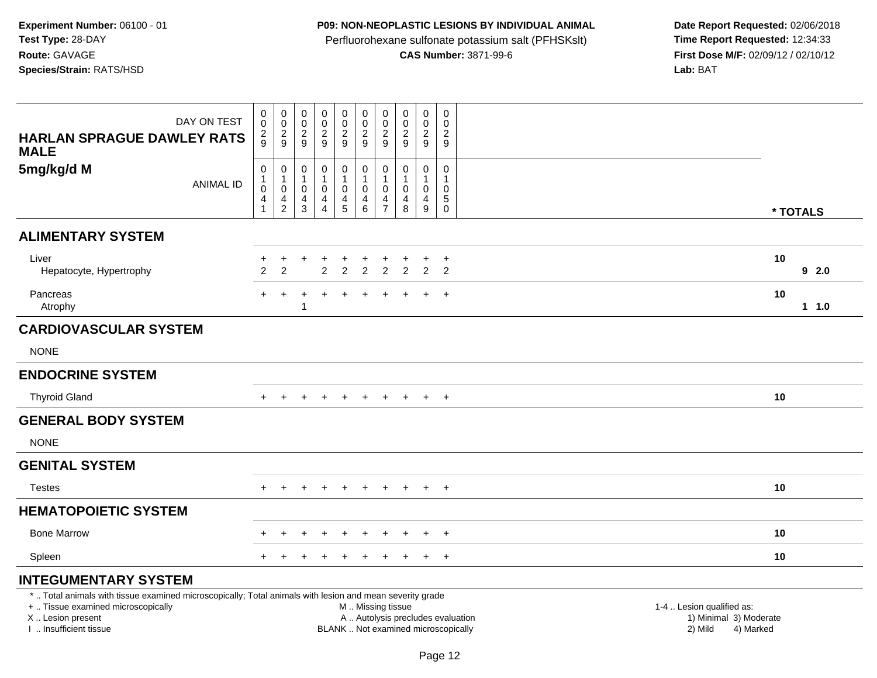## **P09: NON-NEOPLASTIC LESIONS BY INDIVIDUAL ANIMAL**

Perfluorohexane sulfonate potassium salt (PFHSKslt)<br>**CAS Number:** 3871-99-6

| <b>HARLAN SPRAGUE DAWLEY RATS</b><br><b>MALE</b>                                                                                                                                              | DAY ON TEST      | $\pmb{0}$<br>$\mathbf 0$<br>$\frac{2}{9}$                  | $\mathsf{O}\xspace$<br>$\mathbf 0$<br>$\overline{c}$<br>9                  | $\pmb{0}$<br>$\mathbf 0$<br>$\overline{c}$<br>9 | $\mathsf 0$<br>$\mathbf 0$<br>$\boldsymbol{2}$<br>9                          | $\pmb{0}$<br>$\pmb{0}$<br>$\overline{c}$<br>9   | $\mathbf 0$<br>$\mathbf 0$<br>$\overline{c}$<br>9                             | 0<br>$\mathbf 0$<br>2<br>9                        | $\pmb{0}$<br>$\mathsf{O}\xspace$<br>$\boldsymbol{2}$<br>9       | $\mathbf 0$<br>$\mathbf 0$<br>$\overline{c}$<br>9 | $\mathbf 0$<br>$\mathbf 0$<br>$\overline{c}$<br>9                       |                                                                                                                                                         |
|-----------------------------------------------------------------------------------------------------------------------------------------------------------------------------------------------|------------------|------------------------------------------------------------|----------------------------------------------------------------------------|-------------------------------------------------|------------------------------------------------------------------------------|-------------------------------------------------|-------------------------------------------------------------------------------|---------------------------------------------------|-----------------------------------------------------------------|---------------------------------------------------|-------------------------------------------------------------------------|---------------------------------------------------------------------------------------------------------------------------------------------------------|
| 5mg/kg/d M                                                                                                                                                                                    | <b>ANIMAL ID</b> | $\pmb{0}$<br>$\overline{1}$<br>$\pmb{0}$<br>$\overline{4}$ | $\pmb{0}$<br>$\mathbf{1}$<br>$\pmb{0}$<br>$\overline{4}$<br>$\overline{c}$ | 0<br>0<br>4<br>3                                | $\mathbf 0$<br>$\mathbf{1}$<br>$\pmb{0}$<br>$\overline{4}$<br>$\overline{4}$ | 0<br>$\mathbf{1}$<br>$\pmb{0}$<br>$\frac{4}{5}$ | $\pmb{0}$<br>$\mathbf{1}$<br>$\mathbf 0$<br>$\overline{4}$<br>$6\phantom{1}6$ | $\mathbf 0$<br>$\mathbf 0$<br>4<br>$\overline{7}$ | $\pmb{0}$<br>$\mathbf{1}$<br>$\mathbf 0$<br>$\overline{4}$<br>8 | $\mathbf 0$<br>$\mathbf 0$<br>$\overline{4}$<br>9 | $\mathbf 0$<br>$\mathbf{1}$<br>$\mathbf 0$<br>$\sqrt{5}$<br>$\mathbf 0$ | * TOTALS                                                                                                                                                |
| <b>ALIMENTARY SYSTEM</b>                                                                                                                                                                      |                  |                                                            |                                                                            |                                                 |                                                                              |                                                 |                                                                               |                                                   |                                                                 |                                                   |                                                                         |                                                                                                                                                         |
| Liver<br>Hepatocyte, Hypertrophy                                                                                                                                                              |                  | $\overline{2}$                                             | $\ddot{}$<br>2                                                             | $\ddot{}$                                       | $\ddot{}$<br>2                                                               | $\ddot{}$<br>$\overline{c}$                     | $\ddot{}$<br>$\overline{a}$                                                   | $\ddot{}$<br>$\overline{c}$                       | $\overline{2}$                                                  | $\ddot{}$<br>$\overline{2}$                       | $\ddot{}$<br>$\overline{2}$                                             | 10<br>92.0                                                                                                                                              |
| Pancreas<br>Atrophy                                                                                                                                                                           |                  | $+$                                                        | $\ddot{}$                                                                  |                                                 | $\overline{ }$                                                               | $\ddot{}$                                       | $\ddot{}$                                                                     | $\div$                                            |                                                                 | $+$                                               | $+$                                                                     | 10<br>1 1.0                                                                                                                                             |
| <b>CARDIOVASCULAR SYSTEM</b>                                                                                                                                                                  |                  |                                                            |                                                                            |                                                 |                                                                              |                                                 |                                                                               |                                                   |                                                                 |                                                   |                                                                         |                                                                                                                                                         |
| <b>NONE</b>                                                                                                                                                                                   |                  |                                                            |                                                                            |                                                 |                                                                              |                                                 |                                                                               |                                                   |                                                                 |                                                   |                                                                         |                                                                                                                                                         |
| <b>ENDOCRINE SYSTEM</b>                                                                                                                                                                       |                  |                                                            |                                                                            |                                                 |                                                                              |                                                 |                                                                               |                                                   |                                                                 |                                                   |                                                                         |                                                                                                                                                         |
| <b>Thyroid Gland</b>                                                                                                                                                                          |                  | $+$                                                        | $\pm$                                                                      |                                                 |                                                                              |                                                 |                                                                               |                                                   |                                                                 | $+$                                               | $+$                                                                     | 10                                                                                                                                                      |
| <b>GENERAL BODY SYSTEM</b>                                                                                                                                                                    |                  |                                                            |                                                                            |                                                 |                                                                              |                                                 |                                                                               |                                                   |                                                                 |                                                   |                                                                         |                                                                                                                                                         |
| <b>NONE</b>                                                                                                                                                                                   |                  |                                                            |                                                                            |                                                 |                                                                              |                                                 |                                                                               |                                                   |                                                                 |                                                   |                                                                         |                                                                                                                                                         |
| <b>GENITAL SYSTEM</b>                                                                                                                                                                         |                  |                                                            |                                                                            |                                                 |                                                                              |                                                 |                                                                               |                                                   |                                                                 |                                                   |                                                                         |                                                                                                                                                         |
| <b>Testes</b>                                                                                                                                                                                 |                  |                                                            |                                                                            |                                                 |                                                                              | $\div$                                          | $\ddot{}$                                                                     |                                                   |                                                                 | $\pm$                                             | $+$                                                                     | 10                                                                                                                                                      |
| <b>HEMATOPOIETIC SYSTEM</b>                                                                                                                                                                   |                  |                                                            |                                                                            |                                                 |                                                                              |                                                 |                                                                               |                                                   |                                                                 |                                                   |                                                                         |                                                                                                                                                         |
| <b>Bone Marrow</b>                                                                                                                                                                            |                  |                                                            |                                                                            |                                                 |                                                                              |                                                 |                                                                               |                                                   |                                                                 |                                                   | $\pm$                                                                   | 10                                                                                                                                                      |
| Spleen                                                                                                                                                                                        |                  | $+$                                                        |                                                                            |                                                 |                                                                              |                                                 |                                                                               |                                                   |                                                                 | $\ddot{}$                                         | $+$                                                                     | 10                                                                                                                                                      |
| <b>INTEGUMENTARY SYSTEM</b>                                                                                                                                                                   |                  |                                                            |                                                                            |                                                 |                                                                              |                                                 |                                                                               |                                                   |                                                                 |                                                   |                                                                         |                                                                                                                                                         |
| *  Total animals with tissue examined microscopically; Total animals with lesion and mean severity grade<br>+  Tissue examined microscopically<br>X  Lesion present<br>I. Insufficient tissue |                  |                                                            |                                                                            |                                                 |                                                                              |                                                 | M  Missing tissue                                                             |                                                   |                                                                 |                                                   |                                                                         | 1-4  Lesion qualified as:<br>A  Autolysis precludes evaluation<br>1) Minimal 3) Moderate<br>BLANK  Not examined microscopically<br>2) Mild<br>4) Marked |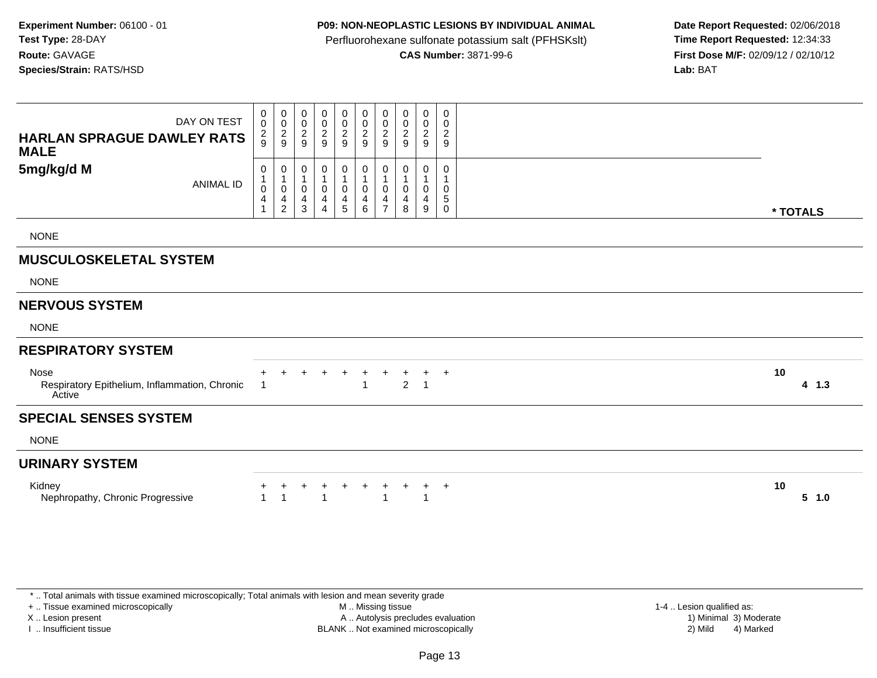### **P09: NON-NEOPLASTIC LESIONS BY INDIVIDUAL ANIMAL**

Perfluorohexane sulfonate potassium salt (PFHSKslt)<br>**CAS Number:** 3871-99-6

 **Date Report Requested:** 02/06/2018 **First Dose M/F:** 02/09/12 / 02/10/12<br>**Lab:** BAT **Lab:** BAT

| DAY ON TEST<br><b>HARLAN SPRAGUE DAWLEY RATS</b><br><b>MALE</b> | $\mathbf 0$<br>$\mathbf 0$<br>$\frac{2}{9}$ | 0<br>$\frac{0}{2}$                                                                            | 0<br>$\pmb{0}$<br>$\sqrt{2}$<br>9          | 0<br>$\mathbf 0$<br>$\boldsymbol{2}$<br>9 | 0<br>$\pmb{0}$<br>$\frac{2}{9}$ | 0<br>$\mathsf 0$<br>$\frac{2}{9}$           | 0<br>$\pmb{0}$<br>$\overline{2}$<br>9 | 0<br>0<br>$\sqrt{2}$<br>9 | 0<br>$\boldsymbol{0}$<br>$\overline{2}$<br>9 | 0<br>0<br>$\overline{2}$<br>9 |                 |  |
|-----------------------------------------------------------------|---------------------------------------------|-----------------------------------------------------------------------------------------------|--------------------------------------------|-------------------------------------------|---------------------------------|---------------------------------------------|---------------------------------------|---------------------------|----------------------------------------------|-------------------------------|-----------------|--|
| 5mg/kg/d M<br><b>ANIMAL ID</b>                                  | 0<br>$\pmb{0}$<br>$\overline{\mathbf{4}}$   | $\mathbf 0$<br>$\begin{smallmatrix}1\\0\end{smallmatrix}$<br>$\overline{4}$<br>$\overline{2}$ | 0<br>1<br>$\pmb{0}$<br>4<br>$\mathfrak{Z}$ | 0<br>1<br>$\pmb{0}$<br>4<br>4             | 0<br>$\pmb{0}$<br>4<br>5        | 0<br>1<br>0<br>$\overline{\mathbf{4}}$<br>6 | 0<br>$\pmb{0}$<br>4<br>$\overline{z}$ | 0<br>0<br>4<br>8          | 0<br>$\mathbf 0$<br>4<br>9                   | 0<br>0<br>5<br>0              | * TOTALS        |  |
| <b>NONE</b>                                                     |                                             |                                                                                               |                                            |                                           |                                 |                                             |                                       |                           |                                              |                               |                 |  |
| <b>MUSCULOSKELETAL SYSTEM</b>                                   |                                             |                                                                                               |                                            |                                           |                                 |                                             |                                       |                           |                                              |                               |                 |  |
| <b>NONE</b>                                                     |                                             |                                                                                               |                                            |                                           |                                 |                                             |                                       |                           |                                              |                               |                 |  |
| <b>NERVOUS SYSTEM</b>                                           |                                             |                                                                                               |                                            |                                           |                                 |                                             |                                       |                           |                                              |                               |                 |  |
| <b>NONE</b>                                                     |                                             |                                                                                               |                                            |                                           |                                 |                                             |                                       |                           |                                              |                               |                 |  |
| <b>RESPIRATORY SYSTEM</b>                                       |                                             |                                                                                               |                                            |                                           |                                 |                                             |                                       |                           |                                              |                               |                 |  |
| Nose<br>Respiratory Epithelium, Inflammation, Chronic<br>Active |                                             |                                                                                               |                                            |                                           |                                 |                                             | +                                     | 2                         | $\overline{1}$                               | $^{+}$                        | 10<br>$4$ 1.3   |  |
| <b>SPECIAL SENSES SYSTEM</b>                                    |                                             |                                                                                               |                                            |                                           |                                 |                                             |                                       |                           |                                              |                               |                 |  |
| <b>NONE</b>                                                     |                                             |                                                                                               |                                            |                                           |                                 |                                             |                                       |                           |                                              |                               |                 |  |
| <b>URINARY SYSTEM</b>                                           |                                             |                                                                                               |                                            |                                           |                                 |                                             |                                       |                           |                                              |                               |                 |  |
| Kidney<br>Nephropathy, Chronic Progressive                      |                                             |                                                                                               |                                            |                                           |                                 |                                             | $\overline{1}$                        |                           | -1                                           | $^{+}$                        | 10<br>$5 \t1.0$ |  |

\* .. Total animals with tissue examined microscopically; Total animals with lesion and mean severity grade

+ .. Tissue examined microscopically

X .. Lesion present

I .. Insufficient tissue

 M .. Missing tissueA .. Autolysis precludes evaluation

BLANK .. Not examined microscopically 2) Mild 4) Marked

1-4 .. Lesion qualified as:<br>1) Minimal 3) Moderate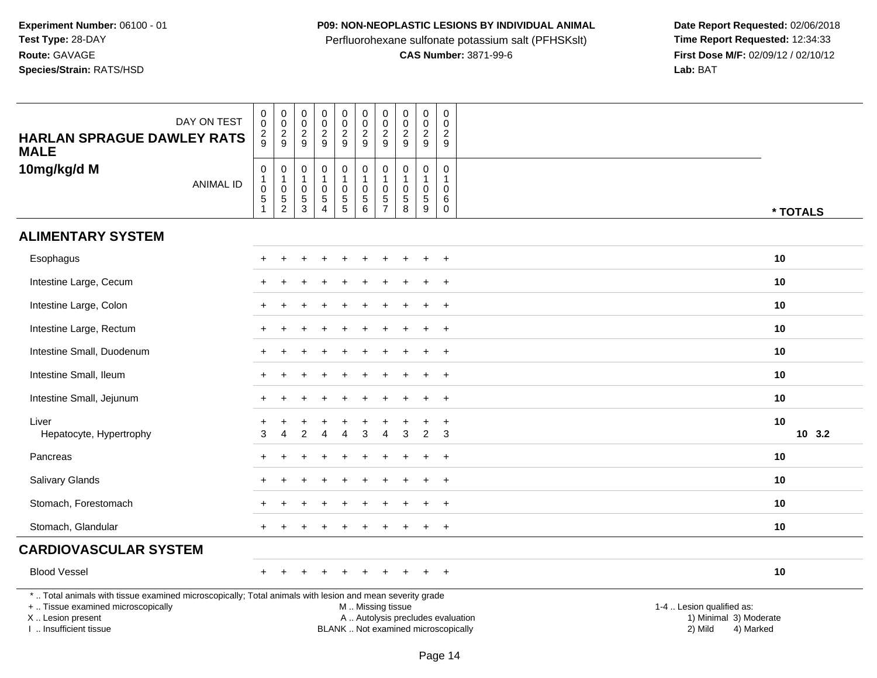## **P09: NON-NEOPLASTIC LESIONS BY INDIVIDUAL ANIMAL**

Perfluorohexane sulfonate potassium salt (PFHSKslt)<br>**CAS Number:** 3871-99-6

| <b>HARLAN SPRAGUE DAWLEY RATS</b><br><b>MALE</b>                                                                                                                                              | DAY ON TEST      | $\pmb{0}$<br>$\mathsf{O}\xspace$<br>$\frac{2}{9}$                       | $\mathbf 0$<br>$\ddot{\mathbf{0}}$<br>$\sqrt{2}$<br>9 | $\pmb{0}$<br>0<br>$\sqrt{2}$<br>9       | $_{\rm 0}^{\rm 0}$<br>$\overline{2}$<br>9                                 | $\pmb{0}$<br>0<br>$\overline{2}$<br>9                     | $\pmb{0}$<br>$\mathbf 0$<br>$\overline{2}$<br>9                            | 0<br>0<br>$\overline{2}$<br>9               | $\pmb{0}$<br>$\pmb{0}$<br>$\overline{2}$<br>9     | $\pmb{0}$<br>$\pmb{0}$<br>$\overline{2}$<br>9                      | $\pmb{0}$<br>$\mathbf 0$<br>$\overline{c}$<br>9 |                                                                           |                                     |
|-----------------------------------------------------------------------------------------------------------------------------------------------------------------------------------------------|------------------|-------------------------------------------------------------------------|-------------------------------------------------------|-----------------------------------------|---------------------------------------------------------------------------|-----------------------------------------------------------|----------------------------------------------------------------------------|---------------------------------------------|---------------------------------------------------|--------------------------------------------------------------------|-------------------------------------------------|---------------------------------------------------------------------------|-------------------------------------|
| 10mg/kg/d M                                                                                                                                                                                   | <b>ANIMAL ID</b> | $\pmb{0}$<br>$\mathbf{1}$<br>$\mathbf 0$<br>$\,$ 5 $\,$<br>$\mathbf{1}$ | $\mathbf 0$<br>$\mathbf{1}$<br>0<br>$\frac{5}{2}$     | 0<br>$\mathbf{1}$<br>0<br>$\frac{5}{3}$ | $\mathsf 0$<br>$\mathbf{1}$<br>$\pmb{0}$<br>$\,$ 5 $\,$<br>$\overline{4}$ | $\pmb{0}$<br>$\mathbf{1}$<br>$\mathbf 0$<br>$\frac{5}{5}$ | $\begin{smallmatrix}0\\1\end{smallmatrix}$<br>$\mathbf 0$<br>$\frac{5}{6}$ | 0<br>$\mathbf 0$<br>$\sqrt{5}$<br>$\bar{7}$ | 0<br>$\mathbf{1}$<br>$\mathbf 0$<br>$\frac{5}{8}$ | $\mathsf{O}$<br>$\mathbf{1}$<br>$\mathbf 0$<br>5<br>$\overline{9}$ | $\mathbf 0$<br>$\mathbf{1}$<br>0<br>6<br>0      |                                                                           | * TOTALS                            |
| <b>ALIMENTARY SYSTEM</b>                                                                                                                                                                      |                  |                                                                         |                                                       |                                         |                                                                           |                                                           |                                                                            |                                             |                                                   |                                                                    |                                                 |                                                                           |                                     |
| Esophagus                                                                                                                                                                                     |                  |                                                                         | $\ddot{}$                                             |                                         |                                                                           |                                                           |                                                                            |                                             |                                                   | $\ddot{}$                                                          | $+$                                             |                                                                           | 10                                  |
| Intestine Large, Cecum                                                                                                                                                                        |                  |                                                                         |                                                       |                                         |                                                                           |                                                           |                                                                            |                                             |                                                   |                                                                    | $\ddot{}$                                       |                                                                           | 10                                  |
| Intestine Large, Colon                                                                                                                                                                        |                  |                                                                         |                                                       |                                         |                                                                           |                                                           |                                                                            |                                             |                                                   |                                                                    | $\ddot{}$                                       |                                                                           | 10                                  |
| Intestine Large, Rectum                                                                                                                                                                       |                  |                                                                         |                                                       |                                         |                                                                           |                                                           |                                                                            |                                             |                                                   |                                                                    | $\ddot{}$                                       |                                                                           | 10                                  |
| Intestine Small, Duodenum                                                                                                                                                                     |                  |                                                                         |                                                       |                                         |                                                                           |                                                           |                                                                            |                                             |                                                   |                                                                    | $+$                                             |                                                                           | 10                                  |
| Intestine Small, Ileum                                                                                                                                                                        |                  |                                                                         |                                                       |                                         |                                                                           |                                                           |                                                                            |                                             |                                                   |                                                                    | $\ddot{}$                                       |                                                                           | 10                                  |
| Intestine Small, Jejunum                                                                                                                                                                      |                  |                                                                         |                                                       |                                         |                                                                           |                                                           |                                                                            |                                             |                                                   |                                                                    | $\ddot{}$                                       |                                                                           | 10                                  |
| Liver<br>Hepatocyte, Hypertrophy                                                                                                                                                              |                  | 3                                                                       | $\overline{4}$                                        | 2                                       | $\overline{A}$                                                            | 4                                                         | 3                                                                          | 4                                           | 3                                                 | $\overline{2}$                                                     | $\ddot{}$<br>3                                  |                                                                           | 10<br>10, 3.2                       |
| Pancreas                                                                                                                                                                                      |                  |                                                                         |                                                       |                                         |                                                                           |                                                           |                                                                            |                                             |                                                   |                                                                    | $\overline{+}$                                  |                                                                           | 10                                  |
| Salivary Glands                                                                                                                                                                               |                  |                                                                         |                                                       |                                         |                                                                           |                                                           |                                                                            |                                             |                                                   |                                                                    | $\ddot{}$                                       |                                                                           | 10                                  |
| Stomach, Forestomach                                                                                                                                                                          |                  |                                                                         |                                                       |                                         |                                                                           |                                                           |                                                                            |                                             |                                                   |                                                                    | $\ddot{}$                                       |                                                                           | 10                                  |
| Stomach, Glandular                                                                                                                                                                            |                  |                                                                         |                                                       |                                         |                                                                           |                                                           |                                                                            |                                             |                                                   | $\overline{+}$                                                     | $\overline{+}$                                  |                                                                           | 10                                  |
| <b>CARDIOVASCULAR SYSTEM</b>                                                                                                                                                                  |                  |                                                                         |                                                       |                                         |                                                                           |                                                           |                                                                            |                                             |                                                   |                                                                    |                                                 |                                                                           |                                     |
| <b>Blood Vessel</b>                                                                                                                                                                           |                  |                                                                         |                                                       |                                         |                                                                           |                                                           |                                                                            |                                             |                                                   | $\ddot{}$                                                          | $+$                                             |                                                                           | 10                                  |
| *  Total animals with tissue examined microscopically; Total animals with lesion and mean severity grade<br>+  Tissue examined microscopically<br>X  Lesion present<br>I  Insufficient tissue |                  |                                                                         |                                                       |                                         |                                                                           |                                                           | M  Missing tissue                                                          |                                             |                                                   | BLANK  Not examined microscopically                                |                                                 | 1-4  Lesion qualified as:<br>A  Autolysis precludes evaluation<br>2) Mild | 1) Minimal 3) Moderate<br>4) Marked |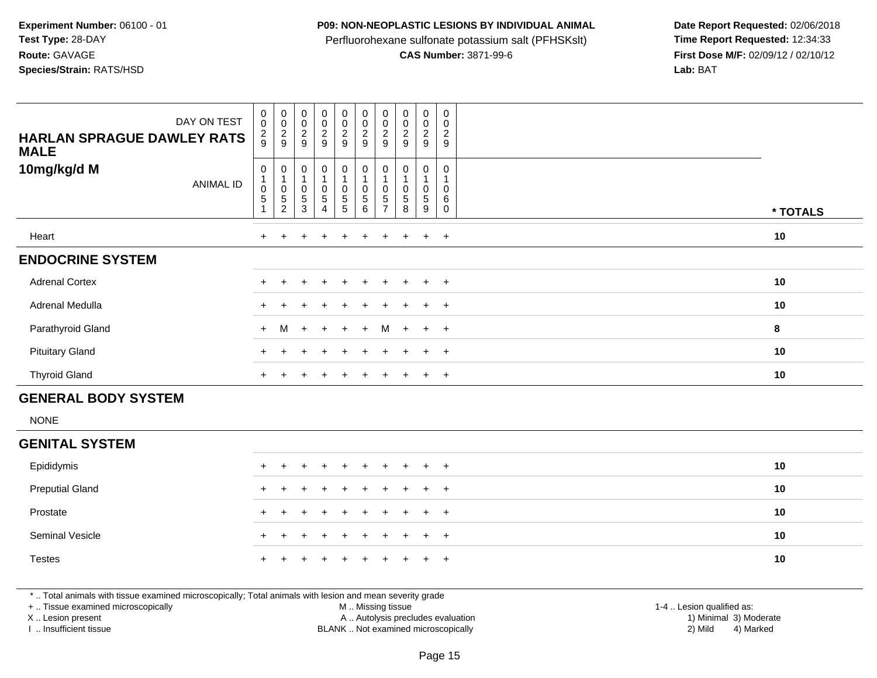#### **P09: NON-NEOPLASTIC LESIONS BY INDIVIDUAL ANIMAL**

Perfluorohexane sulfonate potassium salt (PFHSKslt)<br>**CAS Number:** 3871-99-6

 **Date Report Requested:** 02/06/2018 **First Dose M/F:** 02/09/12 / 02/10/12<br>Lab: BAT **Lab:** BAT

| <b>HARLAN SPRAGUE DAWLEY RATS</b><br><b>MALE</b> | DAY ON TEST      | $\pmb{0}$<br>$\ddot{\mathbf{0}}$<br>$\frac{2}{9}$ | $\begin{array}{c} 0 \\ 0 \\ 2 \\ 9 \end{array}$             | $_{\rm 0}^{\rm 0}$<br>$\frac{2}{9}$                                         | $\pmb{0}$<br>$\overline{0}$<br>$\frac{2}{9}$                             | $\mathbf 0$<br>$\ddot{\mathbf{0}}$<br>$\frac{2}{9}$                 | $\mathsf{O}\xspace$<br>$\pmb{0}$<br>$\frac{2}{9}$                          | $\pmb{0}$<br>$\pmb{0}$<br>$\overline{c}$<br>9    | $\begin{matrix} 0 \\ 0 \\ 2 \\ 9 \end{matrix}$ | $_{\rm 0}^{\rm 0}$<br>$\frac{2}{9}$                         | $\mathbf 0$<br>$\mathbf 0$<br>$\overline{2}$<br>9           |          |
|--------------------------------------------------|------------------|---------------------------------------------------|-------------------------------------------------------------|-----------------------------------------------------------------------------|--------------------------------------------------------------------------|---------------------------------------------------------------------|----------------------------------------------------------------------------|--------------------------------------------------|------------------------------------------------|-------------------------------------------------------------|-------------------------------------------------------------|----------|
| 10mg/kg/d M                                      | <b>ANIMAL ID</b> | $\mathbf 0$<br>$\pmb{0}$<br>$\sqrt{5}$            | $\begin{array}{c} 0 \\ 1 \\ 0 \end{array}$<br>$\frac{5}{2}$ | $\mathsf 0$<br>$\mathbf{1}$<br>$\mathbf 0$<br>$\,$ 5 $\,$<br>$\overline{3}$ | $\mathbf 0$<br>$\mathbf{1}$<br>$\pmb{0}$<br>$\sqrt{5}$<br>$\overline{4}$ | $\mathbf 0$<br>$\mathbf{1}$<br>$\mathsf{O}\xspace$<br>$\frac{5}{5}$ | $\mathbf 0$<br>$\mathbf{1}$<br>$\mathbf 0$<br>$\sqrt{5}$<br>$\overline{6}$ | 0<br>$\overline{1}$<br>$\Omega$<br>$\frac{5}{7}$ | $\mathbf 0$<br>$\mathbf 0$<br>$\frac{5}{8}$    | $\mathbf 0$<br>$\mathbf{1}$<br>$\mathbf 0$<br>$\frac{5}{9}$ | $\mathbf 0$<br>$\mathbf{1}$<br>$\Omega$<br>6<br>$\mathbf 0$ | * TOTALS |
| Heart                                            |                  | $\ddot{}$                                         |                                                             | ÷                                                                           | $\ddot{}$                                                                | $\div$                                                              | $\ddot{}$                                                                  | $\ddot{}$                                        | $\overline{+}$                                 | $\ddot{}$                                                   | $+$                                                         | 10       |
| <b>ENDOCRINE SYSTEM</b>                          |                  |                                                   |                                                             |                                                                             |                                                                          |                                                                     |                                                                            |                                                  |                                                |                                                             |                                                             |          |
| <b>Adrenal Cortex</b>                            |                  |                                                   |                                                             |                                                                             |                                                                          |                                                                     |                                                                            |                                                  | $\ddot{}$                                      | $\ddot{}$                                                   | $+$                                                         | 10       |
| Adrenal Medulla                                  |                  |                                                   |                                                             |                                                                             |                                                                          |                                                                     |                                                                            |                                                  |                                                |                                                             | $+$                                                         | 10       |
| Parathyroid Gland                                |                  | $+$                                               | M                                                           | $\ddot{}$                                                                   | $+$                                                                      |                                                                     | $\ddot{}$                                                                  | M                                                | $\overline{1}$                                 | $+$                                                         | $+$                                                         | 8        |
| <b>Pituitary Gland</b>                           |                  |                                                   |                                                             |                                                                             |                                                                          |                                                                     |                                                                            |                                                  |                                                |                                                             | $+$                                                         | 10       |
| <b>Thyroid Gland</b>                             |                  | $\ddot{}$                                         |                                                             |                                                                             |                                                                          |                                                                     |                                                                            |                                                  |                                                | $\pm$                                                       | $+$                                                         | 10       |
| <b>GENERAL BODY SYSTEM</b>                       |                  |                                                   |                                                             |                                                                             |                                                                          |                                                                     |                                                                            |                                                  |                                                |                                                             |                                                             |          |
| <b>NONE</b>                                      |                  |                                                   |                                                             |                                                                             |                                                                          |                                                                     |                                                                            |                                                  |                                                |                                                             |                                                             |          |
| <b>GENITAL SYSTEM</b>                            |                  |                                                   |                                                             |                                                                             |                                                                          |                                                                     |                                                                            |                                                  |                                                |                                                             |                                                             |          |
| Epididymis                                       |                  |                                                   |                                                             |                                                                             |                                                                          |                                                                     |                                                                            |                                                  |                                                |                                                             | $+$                                                         | 10       |
| <b>Preputial Gland</b>                           |                  |                                                   |                                                             |                                                                             |                                                                          |                                                                     |                                                                            |                                                  |                                                |                                                             | $+$                                                         | 10       |
| Prostate                                         |                  |                                                   |                                                             |                                                                             |                                                                          |                                                                     |                                                                            |                                                  |                                                | $+$                                                         | $+$                                                         | 10       |
| <b>Seminal Vesicle</b>                           |                  |                                                   |                                                             |                                                                             |                                                                          |                                                                     |                                                                            |                                                  |                                                | $\pm$                                                       | $+$                                                         | 10       |
| <b>Testes</b>                                    |                  |                                                   |                                                             |                                                                             |                                                                          |                                                                     |                                                                            |                                                  |                                                |                                                             | $\overline{+}$                                              | 10       |

\* .. Total animals with tissue examined microscopically; Total animals with lesion and mean severity grade

+ .. Tissue examined microscopically

X .. Lesion present

I .. Insufficient tissue

M .. Missing tissue

A .. Autolysis precludes evaluation

BLANK .. Not examined microscopically 2) Mild 4) Marked

1-4 .. Lesion qualified as:<br>1) Minimal 3) Moderate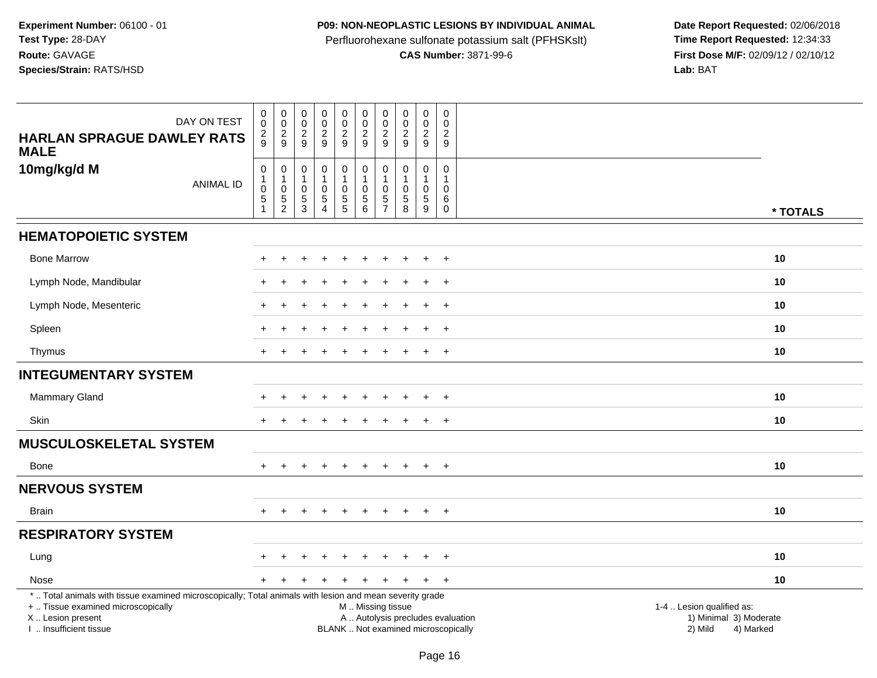## **P09: NON-NEOPLASTIC LESIONS BY INDIVIDUAL ANIMAL**

Perfluorohexane sulfonate potassium salt (PFHSKslt)<br>**CAS Number:** 3871-99-6

| DAY ON TEST<br><b>HARLAN SPRAGUE DAWLEY RATS</b>                                                                                               | $\pmb{0}$<br>$\mathbf 0$<br>$\overline{c}$ | $\pmb{0}$<br>$\mathbf 0$<br>$\overline{2}$ | $\mathsf 0$<br>$\mathsf 0$<br>$\overline{c}$ | $\pmb{0}$<br>$\mathsf 0$<br>$\overline{a}$ | $\mathsf{O}\xspace$<br>0<br>$\overline{2}$ | $\pmb{0}$<br>$\pmb{0}$<br>$\boldsymbol{2}$ | $\pmb{0}$<br>$\mathbf 0$<br>$\boldsymbol{2}$ | $\mathbf 0$<br>$\mathbf 0$<br>$\boldsymbol{2}$ | $\pmb{0}$<br>$\mathsf{O}\xspace$<br>$\overline{c}$ | $\pmb{0}$<br>$\mathbf 0$<br>$\overline{c}$ |                                                             |
|------------------------------------------------------------------------------------------------------------------------------------------------|--------------------------------------------|--------------------------------------------|----------------------------------------------|--------------------------------------------|--------------------------------------------|--------------------------------------------|----------------------------------------------|------------------------------------------------|----------------------------------------------------|--------------------------------------------|-------------------------------------------------------------|
| <b>MALE</b>                                                                                                                                    | 9                                          | 9                                          | 9                                            | 9                                          | 9                                          | 9                                          | 9                                            | 9                                              | 9                                                  | 9                                          |                                                             |
| 10mg/kg/d M                                                                                                                                    | $\boldsymbol{0}$<br>$\overline{1}$         | $\pmb{0}$<br>$\mathbf{1}$                  | 0<br>1                                       | $\mathbf 0$<br>1                           | $\pmb{0}$<br>$\mathbf{1}$                  | $\pmb{0}$<br>1                             | $\mathbf 0$<br>$\mathbf{1}$                  | $\mathbf 0$<br>$\mathbf{1}$                    | 0<br>$\mathbf{1}$                                  | $\mathbf 0$<br>$\mathbf{1}$                |                                                             |
| <b>ANIMAL ID</b>                                                                                                                               | $\mathbf 0$                                | 0                                          | $\mathbf 0$                                  | 0                                          | $\mathbf 0$<br>$\sqrt{5}$                  | $\mathbf 0$                                | $\mathbf 0$                                  | $\mathbf 0$                                    | $\mathsf{O}\xspace$<br>5                           | 0                                          |                                                             |
|                                                                                                                                                | $\overline{5}$<br>1                        | $\,$ 5 $\,$<br>$\overline{c}$              | 5<br>3                                       | $\overline{5}$<br>$\overline{4}$           | 5                                          | $\sqrt{5}$<br>$6\phantom{1}$               | $\sqrt{5}$<br>$\overline{7}$                 | $\sqrt{5}$<br>8                                | 9                                                  | 6<br>$\mathbf 0$                           | * TOTALS                                                    |
| <b>HEMATOPOIETIC SYSTEM</b>                                                                                                                    |                                            |                                            |                                              |                                            |                                            |                                            |                                              |                                                |                                                    |                                            |                                                             |
| <b>Bone Marrow</b>                                                                                                                             |                                            |                                            |                                              |                                            |                                            |                                            |                                              |                                                |                                                    | $\overline{ }$                             | 10                                                          |
| Lymph Node, Mandibular                                                                                                                         |                                            |                                            |                                              |                                            |                                            |                                            |                                              |                                                |                                                    | $\overline{1}$                             | 10                                                          |
| Lymph Node, Mesenteric                                                                                                                         |                                            |                                            |                                              |                                            |                                            |                                            |                                              |                                                | $\ddot{}$                                          | $^{+}$                                     | 10                                                          |
| Spleen                                                                                                                                         |                                            |                                            |                                              |                                            |                                            |                                            |                                              |                                                | $\ddot{}$                                          | $^{+}$                                     | 10                                                          |
| Thymus                                                                                                                                         |                                            |                                            |                                              |                                            |                                            |                                            |                                              |                                                | ÷                                                  | $+$                                        | 10                                                          |
| <b>INTEGUMENTARY SYSTEM</b>                                                                                                                    |                                            |                                            |                                              |                                            |                                            |                                            |                                              |                                                |                                                    |                                            |                                                             |
| <b>Mammary Gland</b>                                                                                                                           |                                            |                                            |                                              |                                            |                                            |                                            |                                              |                                                |                                                    | $\overline{ }$                             | 10                                                          |
| Skin                                                                                                                                           |                                            | $\div$                                     |                                              | +                                          | $\ddot{}$                                  | ÷                                          | +                                            | $\div$                                         | $\pm$                                              | $+$                                        | 10                                                          |
| <b>MUSCULOSKELETAL SYSTEM</b>                                                                                                                  |                                            |                                            |                                              |                                            |                                            |                                            |                                              |                                                |                                                    |                                            |                                                             |
| Bone                                                                                                                                           |                                            |                                            |                                              |                                            |                                            |                                            |                                              |                                                | $\pm$                                              | $+$                                        | 10                                                          |
| <b>NERVOUS SYSTEM</b>                                                                                                                          |                                            |                                            |                                              |                                            |                                            |                                            |                                              |                                                |                                                    |                                            |                                                             |
| <b>Brain</b>                                                                                                                                   | $+$                                        | $\ddot{}$                                  |                                              | $\div$                                     | $\ddot{}$                                  | $\ddot{}$                                  | $+$                                          | $\pm$                                          | $+$                                                | $+$                                        | 10                                                          |
| <b>RESPIRATORY SYSTEM</b>                                                                                                                      |                                            |                                            |                                              |                                            |                                            |                                            |                                              |                                                |                                                    |                                            |                                                             |
| Lung                                                                                                                                           |                                            |                                            |                                              |                                            |                                            |                                            |                                              |                                                |                                                    | $\overline{ }$                             | 10                                                          |
| Nose                                                                                                                                           |                                            |                                            |                                              |                                            |                                            |                                            |                                              | +                                              | $\ddot{}$                                          | $+$                                        | 10                                                          |
| *  Total animals with tissue examined microscopically; Total animals with lesion and mean severity grade<br>+  Tissue examined microscopically |                                            |                                            |                                              |                                            |                                            |                                            |                                              |                                                |                                                    |                                            | 1-4  Lesion qualified as:                                   |
| X  Lesion present                                                                                                                              |                                            |                                            |                                              |                                            |                                            | M  Missing tissue                          |                                              |                                                |                                                    |                                            | A  Autolysis precludes evaluation<br>1) Minimal 3) Moderate |
| I  Insufficient tissue                                                                                                                         |                                            |                                            |                                              |                                            |                                            | BLANK  Not examined microscopically        |                                              |                                                |                                                    |                                            | 2) Mild<br>4) Marked                                        |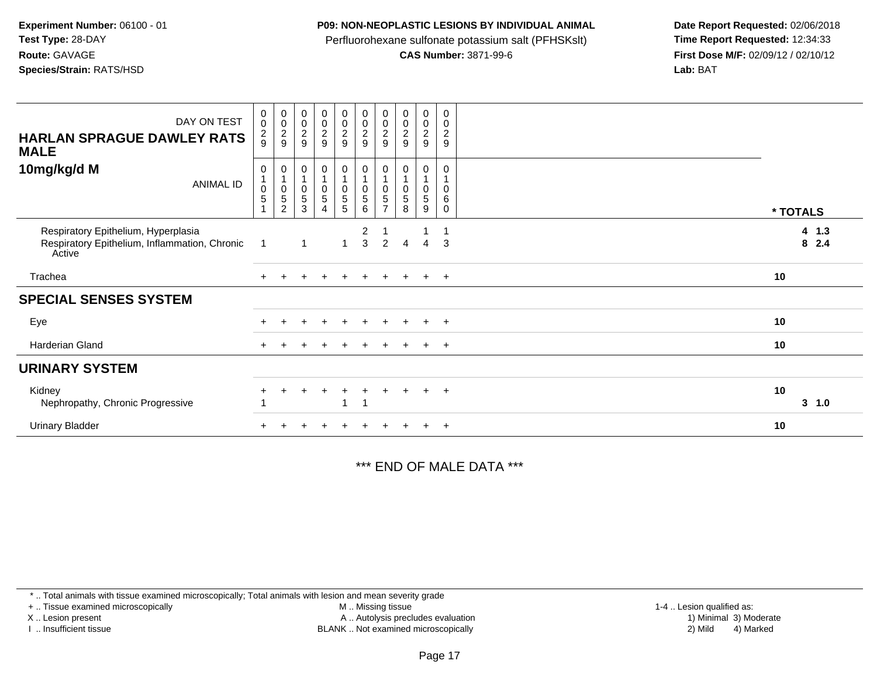#### **P09: NON-NEOPLASTIC LESIONS BY INDIVIDUAL ANIMAL**

Perfluorohexane sulfonate potassium salt (PFHSKslt)<br>**CAS Number:** 3871-99-6

 **Date Report Requested:** 02/06/2018 **First Dose M/F:** 02/09/12 / 02/10/12<br>**Lab:** BAT **Lab:** BAT

| DAY ON TEST<br><b>HARLAN SPRAGUE DAWLEY RATS</b><br><b>MALE</b>                                | $\pmb{0}$<br>$\pmb{0}$<br>$\frac{2}{9}$ | 00029                            | 00029                                              | $\begin{array}{c} 0 \\ 0 \\ 2 \\ 9 \end{array}$              | $\begin{array}{c} 0 \\ 0 \\ 2 \\ 9 \end{array}$                  |                                                                                   | $\begin{smallmatrix}0\\0\end{smallmatrix}$<br>$\boldsymbol{2}$<br>9 | $\begin{smallmatrix} 0\\0\\2 \end{smallmatrix}$<br>9 | $\begin{smallmatrix} 0\\0\\2 \end{smallmatrix}$<br>$9\,$ | 0<br>$\mathsf{O}\xspace$<br>$\frac{2}{9}$ |          |                |
|------------------------------------------------------------------------------------------------|-----------------------------------------|----------------------------------|----------------------------------------------------|--------------------------------------------------------------|------------------------------------------------------------------|-----------------------------------------------------------------------------------|---------------------------------------------------------------------|------------------------------------------------------|----------------------------------------------------------|-------------------------------------------|----------|----------------|
| 10mg/kg/d M<br><b>ANIMAL ID</b>                                                                | 0<br>$\pmb{0}$<br>5<br>1                | $\pmb{0}$<br>5<br>$\overline{c}$ | 0<br>1<br>$\pmb{0}$<br>$\mathbf 5$<br>$\mathbf{3}$ | 0<br>$\begin{array}{c} 0 \\ 5 \end{array}$<br>$\overline{4}$ | $\pmb{0}$<br>$\begin{array}{c} 0 \\ 5 \end{array}$<br>$\sqrt{5}$ | $\mathbf 0$<br>$\overline{1}$<br>$\begin{array}{c} 0 \\ 5 \end{array}$<br>$\,6\,$ | $\pmb{0}$<br>5<br>$\overline{ }$                                    | 0<br>5<br>8                                          | 0<br>$\pmb{0}$<br>$\sqrt{5}$<br>9                        | 0<br>0<br>6<br>$\mathbf 0$                | * TOTALS |                |
| Respiratory Epithelium, Hyperplasia<br>Respiratory Epithelium, Inflammation, Chronic<br>Active | - 1                                     |                                  | 1                                                  |                                                              | 1                                                                | $\overline{2}$<br>3                                                               | 2                                                                   | 4                                                    | $\overline{4}$                                           | 3                                         |          | 4 1.3<br>8 2.4 |
| Trachea                                                                                        |                                         |                                  |                                                    |                                                              |                                                                  |                                                                                   |                                                                     |                                                      | $\ddot{}$                                                | $+$                                       | 10       |                |
| <b>SPECIAL SENSES SYSTEM</b>                                                                   |                                         |                                  |                                                    |                                                              |                                                                  |                                                                                   |                                                                     |                                                      |                                                          |                                           |          |                |
| Eye                                                                                            |                                         |                                  |                                                    |                                                              |                                                                  |                                                                                   |                                                                     |                                                      |                                                          | $\div$                                    | 10       |                |
| Harderian Gland                                                                                |                                         |                                  |                                                    |                                                              |                                                                  |                                                                                   |                                                                     |                                                      | $\pm$                                                    | $+$                                       | 10       |                |
| <b>URINARY SYSTEM</b>                                                                          |                                         |                                  |                                                    |                                                              |                                                                  |                                                                                   |                                                                     |                                                      |                                                          |                                           |          |                |
| Kidney<br>Nephropathy, Chronic Progressive                                                     |                                         |                                  |                                                    |                                                              |                                                                  |                                                                                   |                                                                     |                                                      | $\ddot{}$                                                | $+$                                       | 10       | 3<br>1.0       |
| <b>Urinary Bladder</b>                                                                         |                                         |                                  |                                                    |                                                              |                                                                  |                                                                                   |                                                                     |                                                      |                                                          | $\overline{+}$                            | 10       |                |

\*\*\* END OF MALE DATA \*\*\*

\* .. Total animals with tissue examined microscopically; Total animals with lesion and mean severity grade

+ .. Tissue examined microscopically

X .. Lesion present

I .. Insufficient tissue

 M .. Missing tissueA .. Autolysis precludes evaluation

BLANK .. Not examined microscopically 2) Mild 4) Marked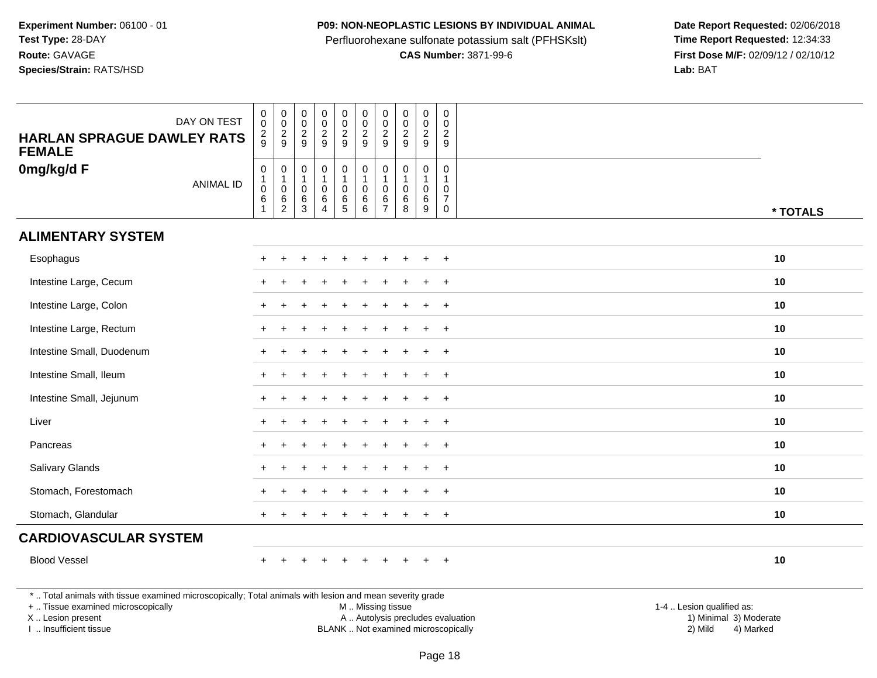## **P09: NON-NEOPLASTIC LESIONS BY INDIVIDUAL ANIMAL**

Perfluorohexane sulfonate potassium salt (PFHSKslt)<br>**CAS Number:** 3871-99-6

| DAY ON TEST<br><b>HARLAN SPRAGUE DAWLEY RATS</b><br><b>FEMALE</b>                                                                                                                             | $\mathsf 0$<br>0<br>$\overline{c}$<br>9                 | $\mathbf 0$<br>$\ddot{\mathbf{0}}$<br>$\overline{\mathbf{c}}$<br>9                   | $\mathsf{O}\xspace$<br>$\ddot{\mathbf{0}}$<br>$\overline{c}$<br>9 | $\mathbf 0$<br>$\ddot{\mathbf{0}}$<br>$\overline{a}$<br>9   | $\pmb{0}$<br>$\overline{0}$<br>$\overline{a}$<br>9        | $\pmb{0}$<br>$\ddot{\mathbf{0}}$<br>$\sqrt{2}$<br>9              | $\mathbf 0$<br>$\mathbf 0$<br>$\overline{2}$<br>9       | $\pmb{0}$<br>$\ddot{\mathbf{0}}$<br>$\boldsymbol{2}$<br>9  | $\pmb{0}$<br>$\mathbf 0$<br>$\boldsymbol{2}$<br>9 | $\mathbf 0$<br>$\mathbf 0$<br>$\overline{c}$<br>$\boldsymbol{9}$              |                                                                                                                                                         |
|-----------------------------------------------------------------------------------------------------------------------------------------------------------------------------------------------|---------------------------------------------------------|--------------------------------------------------------------------------------------|-------------------------------------------------------------------|-------------------------------------------------------------|-----------------------------------------------------------|------------------------------------------------------------------|---------------------------------------------------------|------------------------------------------------------------|---------------------------------------------------|-------------------------------------------------------------------------------|---------------------------------------------------------------------------------------------------------------------------------------------------------|
| 0mg/kg/d F<br><b>ANIMAL ID</b>                                                                                                                                                                | $\mathbf 0$<br>$\mathbf{1}$<br>0<br>6<br>$\overline{1}$ | $\boldsymbol{0}$<br>$\mathbf{1}$<br>$\mathbf 0$<br>$6\phantom{1}6$<br>$\overline{c}$ | $\mathsf{O}\xspace$<br>$\mathbf{1}$<br>$\mathbf 0$<br>6<br>3      | $\mathsf{O}$<br>$\mathbf{1}$<br>$\mathbf 0$<br>$\,6\,$<br>4 | $\pmb{0}$<br>$\mathbf{1}$<br>$\mathbf 0$<br>$\frac{6}{5}$ | $\mathsf 0$<br>$\mathbf{1}$<br>$\mathbf 0$<br>$\,6\,$<br>$\,6\,$ | $\mathbf 0$<br>-1<br>$\mathbf 0$<br>6<br>$\overline{7}$ | $\mathbf 0$<br>$\mathbf{1}$<br>$\mathbf 0$<br>$\,6\,$<br>8 | $\mathbf 0$<br>$\mathbf 0$<br>$\,6\,$<br>9        | $\mathbf 0$<br>$\mathbf{1}$<br>$\mathbf 0$<br>$\boldsymbol{7}$<br>$\mathbf 0$ | * TOTALS                                                                                                                                                |
| <b>ALIMENTARY SYSTEM</b>                                                                                                                                                                      |                                                         |                                                                                      |                                                                   |                                                             |                                                           |                                                                  |                                                         |                                                            |                                                   |                                                                               |                                                                                                                                                         |
| Esophagus                                                                                                                                                                                     |                                                         |                                                                                      |                                                                   |                                                             |                                                           |                                                                  |                                                         |                                                            | ÷.                                                | $\overline{+}$                                                                | 10                                                                                                                                                      |
| Intestine Large, Cecum                                                                                                                                                                        |                                                         |                                                                                      |                                                                   |                                                             |                                                           |                                                                  |                                                         |                                                            |                                                   |                                                                               | 10                                                                                                                                                      |
| Intestine Large, Colon                                                                                                                                                                        |                                                         |                                                                                      |                                                                   |                                                             |                                                           |                                                                  |                                                         |                                                            |                                                   | $\ddot{}$                                                                     | 10                                                                                                                                                      |
| Intestine Large, Rectum                                                                                                                                                                       |                                                         |                                                                                      |                                                                   |                                                             |                                                           |                                                                  |                                                         |                                                            |                                                   | $\overline{+}$                                                                | 10                                                                                                                                                      |
| Intestine Small, Duodenum                                                                                                                                                                     |                                                         |                                                                                      |                                                                   |                                                             |                                                           |                                                                  |                                                         |                                                            |                                                   | $\ddot{}$                                                                     | 10                                                                                                                                                      |
| Intestine Small, Ileum                                                                                                                                                                        |                                                         |                                                                                      |                                                                   |                                                             |                                                           |                                                                  |                                                         |                                                            |                                                   | $\ddot{}$                                                                     | 10                                                                                                                                                      |
| Intestine Small, Jejunum                                                                                                                                                                      |                                                         |                                                                                      |                                                                   |                                                             |                                                           |                                                                  |                                                         |                                                            |                                                   | $\ddot{}$                                                                     | 10                                                                                                                                                      |
| Liver                                                                                                                                                                                         |                                                         |                                                                                      |                                                                   |                                                             |                                                           |                                                                  |                                                         |                                                            | $\ddot{}$                                         | $\overline{+}$                                                                | 10                                                                                                                                                      |
| Pancreas                                                                                                                                                                                      |                                                         |                                                                                      |                                                                   |                                                             |                                                           |                                                                  |                                                         |                                                            |                                                   |                                                                               | 10                                                                                                                                                      |
| <b>Salivary Glands</b>                                                                                                                                                                        |                                                         |                                                                                      |                                                                   |                                                             |                                                           |                                                                  |                                                         |                                                            |                                                   | $\pm$                                                                         | 10                                                                                                                                                      |
| Stomach, Forestomach                                                                                                                                                                          |                                                         |                                                                                      |                                                                   |                                                             |                                                           |                                                                  |                                                         |                                                            |                                                   | $\ddot{}$                                                                     | 10                                                                                                                                                      |
| Stomach, Glandular                                                                                                                                                                            |                                                         |                                                                                      |                                                                   |                                                             |                                                           |                                                                  |                                                         |                                                            |                                                   | $\overline{ }$                                                                | 10                                                                                                                                                      |
| <b>CARDIOVASCULAR SYSTEM</b>                                                                                                                                                                  |                                                         |                                                                                      |                                                                   |                                                             |                                                           |                                                                  |                                                         |                                                            |                                                   |                                                                               |                                                                                                                                                         |
| <b>Blood Vessel</b>                                                                                                                                                                           |                                                         |                                                                                      |                                                                   |                                                             |                                                           |                                                                  |                                                         |                                                            |                                                   |                                                                               | 10                                                                                                                                                      |
| *  Total animals with tissue examined microscopically; Total animals with lesion and mean severity grade<br>+  Tissue examined microscopically<br>X  Lesion present<br>I. Insufficient tissue |                                                         |                                                                                      |                                                                   |                                                             |                                                           | M  Missing tissue                                                |                                                         |                                                            |                                                   |                                                                               | 1-4  Lesion qualified as:<br>A  Autolysis precludes evaluation<br>1) Minimal 3) Moderate<br>BLANK  Not examined microscopically<br>2) Mild<br>4) Marked |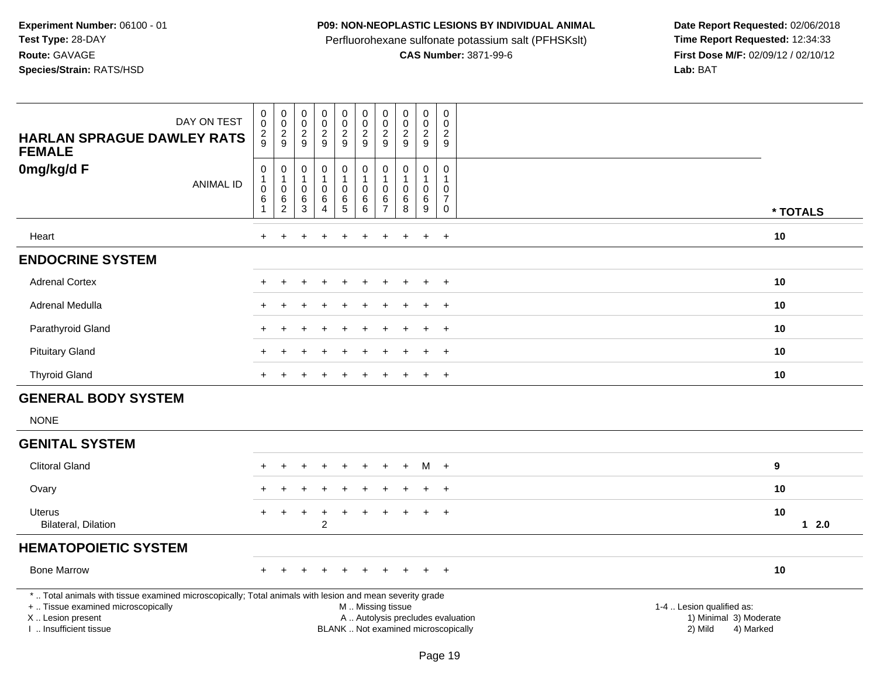## **P09: NON-NEOPLASTIC LESIONS BY INDIVIDUAL ANIMAL**

Perfluorohexane sulfonate potassium salt (PFHSKslt)<br>**CAS Number:** 3871-99-6

| DAY ON TEST<br><b>HARLAN SPRAGUE DAWLEY RATS</b><br><b>FEMALE</b>                                                                                                                             | $\,0\,$<br>$\pmb{0}$<br>$\sqrt{2}$<br>9                | $\begin{smallmatrix} 0\\0 \end{smallmatrix}$<br>$\frac{2}{9}$           | $\pmb{0}$<br>$\mathsf 0$<br>$\frac{2}{9}$                             | $\pmb{0}$<br>$\mathsf{O}\xspace$<br>$\frac{2}{9}$        | $\pmb{0}$<br>$\mathsf 0$<br>$\overline{2}$<br>9    | $\pmb{0}$<br>$\pmb{0}$<br>$\overline{2}$<br>9          | $\mathbf 0$<br>$\mathbf 0$<br>$\overline{2}$<br>9                     | $\pmb{0}$<br>$\pmb{0}$<br>$\overline{2}$<br>9           | $\pmb{0}$<br>$\mathsf{O}\xspace$<br>$\overline{2}$<br>9           | $\mathsf{O}\xspace$<br>$\boldsymbol{0}$<br>$\overline{2}$<br>9                |                                                                                                                                                         |
|-----------------------------------------------------------------------------------------------------------------------------------------------------------------------------------------------|--------------------------------------------------------|-------------------------------------------------------------------------|-----------------------------------------------------------------------|----------------------------------------------------------|----------------------------------------------------|--------------------------------------------------------|-----------------------------------------------------------------------|---------------------------------------------------------|-------------------------------------------------------------------|-------------------------------------------------------------------------------|---------------------------------------------------------------------------------------------------------------------------------------------------------|
| 0mg/kg/d F<br><b>ANIMAL ID</b>                                                                                                                                                                | $\pmb{0}$<br>$\mathbf 1$<br>$\mathbf 0$<br>$\,6$<br>-1 | $\mathbf 0$<br>$\mathbf{1}$<br>$\mathbf 0$<br>$\,6\,$<br>$\overline{2}$ | $\mathbf 0$<br>$\overline{1}$<br>$\mathbf 0$<br>$\,6$<br>$\mathbf{3}$ | $\pmb{0}$<br>1<br>$\pmb{0}$<br>$\,6\,$<br>$\overline{4}$ | $\mathbf 0$<br>$\mathbf{1}$<br>$\pmb{0}$<br>6<br>5 | $\pmb{0}$<br>$\mathbf{1}$<br>$\pmb{0}$<br>$\,6\,$<br>6 | $\mathbf 0$<br>$\mathbf{1}$<br>$\mathbf 0$<br>$\,6$<br>$\overline{7}$ | $\mathbf 0$<br>1<br>$\mathsf{O}\xspace$<br>$\,6\,$<br>8 | $\mathbf 0$<br>$\mathbf{1}$<br>$\mathbf 0$<br>6<br>$\overline{9}$ | $\mathbf 0$<br>$\overline{1}$<br>$\mathbf 0$<br>$\overline{7}$<br>$\mathbf 0$ | * TOTALS                                                                                                                                                |
| Heart                                                                                                                                                                                         | $+$                                                    | $\ddot{}$                                                               |                                                                       | $\ddot{}$                                                |                                                    | $\div$                                                 | ÷                                                                     | $\ddot{}$                                               | $\ddot{}$                                                         | $+$                                                                           | 10                                                                                                                                                      |
| <b>ENDOCRINE SYSTEM</b>                                                                                                                                                                       |                                                        |                                                                         |                                                                       |                                                          |                                                    |                                                        |                                                                       |                                                         |                                                                   |                                                                               |                                                                                                                                                         |
| <b>Adrenal Cortex</b>                                                                                                                                                                         |                                                        |                                                                         |                                                                       |                                                          |                                                    |                                                        |                                                                       |                                                         |                                                                   | $\ddot{}$                                                                     | 10                                                                                                                                                      |
| Adrenal Medulla                                                                                                                                                                               |                                                        |                                                                         |                                                                       |                                                          |                                                    |                                                        |                                                                       |                                                         |                                                                   | $\div$                                                                        | 10                                                                                                                                                      |
| Parathyroid Gland                                                                                                                                                                             |                                                        |                                                                         |                                                                       |                                                          |                                                    |                                                        |                                                                       |                                                         |                                                                   | $+$                                                                           | 10                                                                                                                                                      |
| <b>Pituitary Gland</b>                                                                                                                                                                        |                                                        |                                                                         |                                                                       |                                                          |                                                    |                                                        |                                                                       |                                                         |                                                                   | $+$                                                                           | 10                                                                                                                                                      |
| <b>Thyroid Gland</b>                                                                                                                                                                          |                                                        |                                                                         |                                                                       |                                                          |                                                    |                                                        |                                                                       |                                                         |                                                                   | $+$                                                                           | 10                                                                                                                                                      |
| <b>GENERAL BODY SYSTEM</b>                                                                                                                                                                    |                                                        |                                                                         |                                                                       |                                                          |                                                    |                                                        |                                                                       |                                                         |                                                                   |                                                                               |                                                                                                                                                         |
| <b>NONE</b>                                                                                                                                                                                   |                                                        |                                                                         |                                                                       |                                                          |                                                    |                                                        |                                                                       |                                                         |                                                                   |                                                                               |                                                                                                                                                         |
| <b>GENITAL SYSTEM</b>                                                                                                                                                                         |                                                        |                                                                         |                                                                       |                                                          |                                                    |                                                        |                                                                       |                                                         |                                                                   |                                                                               |                                                                                                                                                         |
| <b>Clitoral Gland</b>                                                                                                                                                                         |                                                        |                                                                         |                                                                       |                                                          |                                                    |                                                        |                                                                       |                                                         | м                                                                 | $+$                                                                           | $\bf{9}$                                                                                                                                                |
| Ovary                                                                                                                                                                                         |                                                        |                                                                         |                                                                       |                                                          |                                                    |                                                        |                                                                       |                                                         |                                                                   | $\ddot{}$                                                                     | 10                                                                                                                                                      |
| <b>Uterus</b><br>Bilateral, Dilation                                                                                                                                                          | $\ddot{}$                                              | +                                                                       | $\overline{+}$                                                        | $\ddot{}$<br>$\overline{2}$                              |                                                    |                                                        |                                                                       |                                                         |                                                                   | $\ddot{}$                                                                     | 10<br>$12.0$                                                                                                                                            |
| <b>HEMATOPOIETIC SYSTEM</b>                                                                                                                                                                   |                                                        |                                                                         |                                                                       |                                                          |                                                    |                                                        |                                                                       |                                                         |                                                                   |                                                                               |                                                                                                                                                         |
| <b>Bone Marrow</b>                                                                                                                                                                            |                                                        |                                                                         |                                                                       |                                                          |                                                    |                                                        |                                                                       |                                                         |                                                                   | $\pm$                                                                         | 10                                                                                                                                                      |
| *  Total animals with tissue examined microscopically; Total animals with lesion and mean severity grade<br>+  Tissue examined microscopically<br>X  Lesion present<br>I  Insufficient tissue |                                                        |                                                                         |                                                                       |                                                          |                                                    |                                                        |                                                                       | M  Missing tissue                                       |                                                                   |                                                                               | 1-4  Lesion qualified as:<br>A  Autolysis precludes evaluation<br>1) Minimal 3) Moderate<br>BLANK  Not examined microscopically<br>2) Mild<br>4) Marked |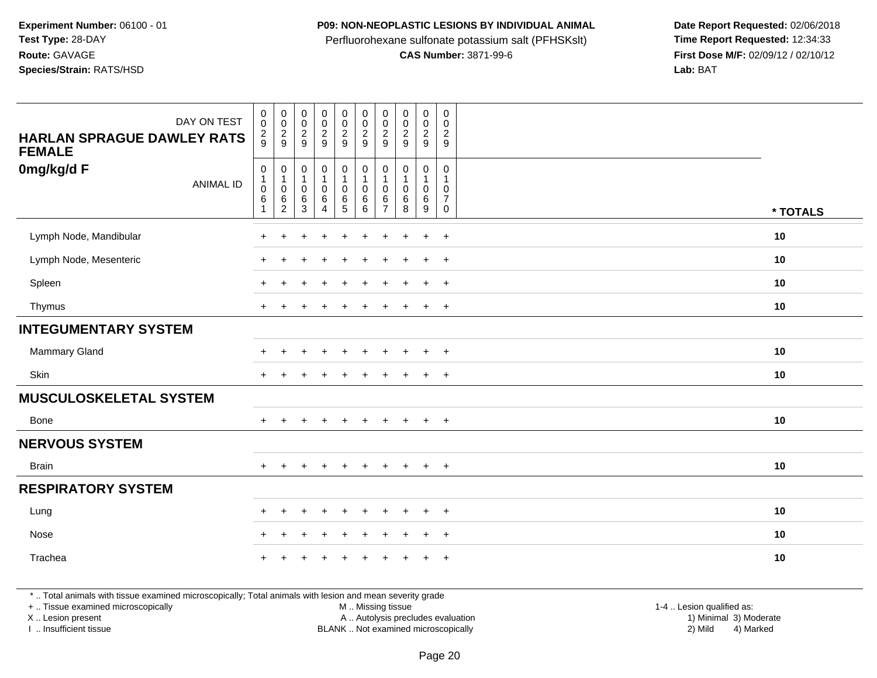#### **P09: NON-NEOPLASTIC LESIONS BY INDIVIDUAL ANIMAL**

Perfluorohexane sulfonate potassium salt (PFHSKslt)<br>**CAS Number:** 3871-99-6

 **Date Report Requested:** 02/06/2018 **First Dose M/F:** 02/09/12 / 02/10/12<br>Lab: BAT **Lab:** BAT

| 0mg/kg/d F<br>$\pmb{0}$<br>$\mathbf 0$<br>$\begin{smallmatrix}0\\1\end{smallmatrix}$<br>0<br>$\pmb{0}$<br>$\boldsymbol{0}$<br>$\mathbf 0$<br>0<br>$\mathbf 0$<br>$\mathbf 0$<br>$\mathbf{1}$<br>$\mathbf{1}$<br>$\mathbf{1}$<br>$\mathbf{1}$<br>$\mathbf{1}$<br>$\mathbf{1}$<br>$\mathbf{1}$<br>$\mathbf{1}$<br><b>ANIMAL ID</b><br>$\boldsymbol{0}$<br>$\mathbf 0$<br>$\pmb{0}$<br>$\pmb{0}$<br>$\pmb{0}$<br>$\mathbf 0$<br>0<br>0<br>$\mathbf 0$<br>$\mathbf 0$<br>$\frac{6}{5}$<br>$\,6\,$<br>$\,6\,$<br>$\overline{7}$<br>$\,6\,$<br>6<br>$\,6\,$<br>$\,6$<br>$\frac{6}{2}$<br>6<br>8<br>3<br>4<br>6<br>$\overline{7}$<br>9<br>$\mathbf 0$<br>* TOTALS<br>Lymph Node, Mandibular<br>10<br>$\ddot{}$<br>$+$<br>$\ddot{}$<br>$\div$<br>$\div$<br>Lymph Node, Mesenteric<br>10<br>$+$<br>$+$<br>$+$<br>$\ddot{}$<br>$\ddot{}$<br>$\ddot{}$<br>$\ddot{}$<br>$+$<br>$\overline{+}$<br>Spleen<br>10<br>$+$<br>$\ddot{}$<br>$\overline{+}$<br>$+$<br>$\pm$<br>$\pm$<br>$\ddot{}$<br>$\ddot{}$<br>10<br>Thymus<br>$+$<br>$+$<br>$\div$<br>$\ddot{}$<br>$\ddot{}$<br>$\div$<br>$\pm$<br>$\overline{ }$<br><b>INTEGUMENTARY SYSTEM</b><br>Mammary Gland<br>10<br>$+$<br>$\ddot{}$<br>$\div$<br>Skin<br>10<br>$+$<br>$+$<br>$\ddot{}$<br>$\ddot{}$<br>$\pm$<br>$\ddot{}$<br>$\ddot{}$<br>$\pm$<br><b>MUSCULOSKELETAL SYSTEM</b><br>10<br><b>Bone</b><br>$+$<br>$\ddot{}$<br>$+$<br>$\ddot{}$<br>$+$<br>$\ddot{}$<br>$+$<br>$+$<br>$\ddot{}$<br>$\ddot{}$<br><b>NERVOUS SYSTEM</b><br>10<br><b>Brain</b><br>$+$<br>$+$<br>$+$<br>$\ddot{}$<br>$\ddot{}$<br>$\ddot{}$<br>$\ddot{}$<br>$\ddot{}$<br>$\ddot{}$<br>$+$<br><b>RESPIRATORY SYSTEM</b><br>10<br>Lung<br>$+$<br>$+$<br>$\pm$<br>÷<br>÷.<br>$\ddot{}$<br>$\ddot{}$<br>$\pm$<br>$\pm$<br>÷<br>10<br>Nose<br>$\ddot{}$<br>$+$<br>$+$<br>÷<br>$\ddot{}$<br>$\div$<br>Trachea<br>10<br>$\ddot{}$<br>$+$ | <b>HARLAN SPRAGUE DAWLEY RATS</b><br><b>FEMALE</b> | DAY ON TEST | $_{\rm 0}^{\rm 0}$<br>$\frac{2}{9}$ | $\begin{matrix} 0 \\ 0 \\ 2 \\ 9 \end{matrix}$ | $_{\rm 0}^{\rm 0}$<br>$\frac{2}{9}$ | 0<br>$\ddot{\mathbf{0}}$<br>$\frac{2}{9}$ | $\begin{array}{c} 0 \\ 0 \\ 2 \\ 9 \end{array}$ | 0002 | $\pmb{0}$<br>$\pmb{0}$<br>$\overline{c}$<br>9 | $\begin{matrix} 0 \\ 0 \\ 2 \\ 9 \end{matrix}$ | $\pmb{0}$<br>$\pmb{0}$<br>$\overline{c}$<br>9 | $\pmb{0}$<br>$\mathbf 0$<br>$\overline{c}$<br>9 |  |
|----------------------------------------------------------------------------------------------------------------------------------------------------------------------------------------------------------------------------------------------------------------------------------------------------------------------------------------------------------------------------------------------------------------------------------------------------------------------------------------------------------------------------------------------------------------------------------------------------------------------------------------------------------------------------------------------------------------------------------------------------------------------------------------------------------------------------------------------------------------------------------------------------------------------------------------------------------------------------------------------------------------------------------------------------------------------------------------------------------------------------------------------------------------------------------------------------------------------------------------------------------------------------------------------------------------------------------------------------------------------------------------------------------------------------------------------------------------------------------------------------------------------------------------------------------------------------------------------------------------------------------------------------------------------------------------------------------------------------------------------------------------------------------------------------------------------------------------------------|----------------------------------------------------|-------------|-------------------------------------|------------------------------------------------|-------------------------------------|-------------------------------------------|-------------------------------------------------|------|-----------------------------------------------|------------------------------------------------|-----------------------------------------------|-------------------------------------------------|--|
|                                                                                                                                                                                                                                                                                                                                                                                                                                                                                                                                                                                                                                                                                                                                                                                                                                                                                                                                                                                                                                                                                                                                                                                                                                                                                                                                                                                                                                                                                                                                                                                                                                                                                                                                                                                                                                                    |                                                    |             |                                     |                                                |                                     |                                           |                                                 |      |                                               |                                                |                                               |                                                 |  |
|                                                                                                                                                                                                                                                                                                                                                                                                                                                                                                                                                                                                                                                                                                                                                                                                                                                                                                                                                                                                                                                                                                                                                                                                                                                                                                                                                                                                                                                                                                                                                                                                                                                                                                                                                                                                                                                    |                                                    |             |                                     |                                                |                                     |                                           |                                                 |      |                                               |                                                |                                               |                                                 |  |
|                                                                                                                                                                                                                                                                                                                                                                                                                                                                                                                                                                                                                                                                                                                                                                                                                                                                                                                                                                                                                                                                                                                                                                                                                                                                                                                                                                                                                                                                                                                                                                                                                                                                                                                                                                                                                                                    |                                                    |             |                                     |                                                |                                     |                                           |                                                 |      |                                               |                                                |                                               |                                                 |  |
|                                                                                                                                                                                                                                                                                                                                                                                                                                                                                                                                                                                                                                                                                                                                                                                                                                                                                                                                                                                                                                                                                                                                                                                                                                                                                                                                                                                                                                                                                                                                                                                                                                                                                                                                                                                                                                                    |                                                    |             |                                     |                                                |                                     |                                           |                                                 |      |                                               |                                                |                                               |                                                 |  |
|                                                                                                                                                                                                                                                                                                                                                                                                                                                                                                                                                                                                                                                                                                                                                                                                                                                                                                                                                                                                                                                                                                                                                                                                                                                                                                                                                                                                                                                                                                                                                                                                                                                                                                                                                                                                                                                    |                                                    |             |                                     |                                                |                                     |                                           |                                                 |      |                                               |                                                |                                               |                                                 |  |
|                                                                                                                                                                                                                                                                                                                                                                                                                                                                                                                                                                                                                                                                                                                                                                                                                                                                                                                                                                                                                                                                                                                                                                                                                                                                                                                                                                                                                                                                                                                                                                                                                                                                                                                                                                                                                                                    |                                                    |             |                                     |                                                |                                     |                                           |                                                 |      |                                               |                                                |                                               |                                                 |  |
|                                                                                                                                                                                                                                                                                                                                                                                                                                                                                                                                                                                                                                                                                                                                                                                                                                                                                                                                                                                                                                                                                                                                                                                                                                                                                                                                                                                                                                                                                                                                                                                                                                                                                                                                                                                                                                                    |                                                    |             |                                     |                                                |                                     |                                           |                                                 |      |                                               |                                                |                                               |                                                 |  |
|                                                                                                                                                                                                                                                                                                                                                                                                                                                                                                                                                                                                                                                                                                                                                                                                                                                                                                                                                                                                                                                                                                                                                                                                                                                                                                                                                                                                                                                                                                                                                                                                                                                                                                                                                                                                                                                    |                                                    |             |                                     |                                                |                                     |                                           |                                                 |      |                                               |                                                |                                               |                                                 |  |
|                                                                                                                                                                                                                                                                                                                                                                                                                                                                                                                                                                                                                                                                                                                                                                                                                                                                                                                                                                                                                                                                                                                                                                                                                                                                                                                                                                                                                                                                                                                                                                                                                                                                                                                                                                                                                                                    |                                                    |             |                                     |                                                |                                     |                                           |                                                 |      |                                               |                                                |                                               |                                                 |  |
|                                                                                                                                                                                                                                                                                                                                                                                                                                                                                                                                                                                                                                                                                                                                                                                                                                                                                                                                                                                                                                                                                                                                                                                                                                                                                                                                                                                                                                                                                                                                                                                                                                                                                                                                                                                                                                                    |                                                    |             |                                     |                                                |                                     |                                           |                                                 |      |                                               |                                                |                                               |                                                 |  |
|                                                                                                                                                                                                                                                                                                                                                                                                                                                                                                                                                                                                                                                                                                                                                                                                                                                                                                                                                                                                                                                                                                                                                                                                                                                                                                                                                                                                                                                                                                                                                                                                                                                                                                                                                                                                                                                    |                                                    |             |                                     |                                                |                                     |                                           |                                                 |      |                                               |                                                |                                               |                                                 |  |
|                                                                                                                                                                                                                                                                                                                                                                                                                                                                                                                                                                                                                                                                                                                                                                                                                                                                                                                                                                                                                                                                                                                                                                                                                                                                                                                                                                                                                                                                                                                                                                                                                                                                                                                                                                                                                                                    |                                                    |             |                                     |                                                |                                     |                                           |                                                 |      |                                               |                                                |                                               |                                                 |  |
|                                                                                                                                                                                                                                                                                                                                                                                                                                                                                                                                                                                                                                                                                                                                                                                                                                                                                                                                                                                                                                                                                                                                                                                                                                                                                                                                                                                                                                                                                                                                                                                                                                                                                                                                                                                                                                                    |                                                    |             |                                     |                                                |                                     |                                           |                                                 |      |                                               |                                                |                                               |                                                 |  |
|                                                                                                                                                                                                                                                                                                                                                                                                                                                                                                                                                                                                                                                                                                                                                                                                                                                                                                                                                                                                                                                                                                                                                                                                                                                                                                                                                                                                                                                                                                                                                                                                                                                                                                                                                                                                                                                    |                                                    |             |                                     |                                                |                                     |                                           |                                                 |      |                                               |                                                |                                               |                                                 |  |
|                                                                                                                                                                                                                                                                                                                                                                                                                                                                                                                                                                                                                                                                                                                                                                                                                                                                                                                                                                                                                                                                                                                                                                                                                                                                                                                                                                                                                                                                                                                                                                                                                                                                                                                                                                                                                                                    |                                                    |             |                                     |                                                |                                     |                                           |                                                 |      |                                               |                                                |                                               |                                                 |  |
|                                                                                                                                                                                                                                                                                                                                                                                                                                                                                                                                                                                                                                                                                                                                                                                                                                                                                                                                                                                                                                                                                                                                                                                                                                                                                                                                                                                                                                                                                                                                                                                                                                                                                                                                                                                                                                                    |                                                    |             |                                     |                                                |                                     |                                           |                                                 |      |                                               |                                                |                                               |                                                 |  |

\* .. Total animals with tissue examined microscopically; Total animals with lesion and mean severity grade

+ .. Tissue examined microscopically

X .. Lesion present

I .. Insufficient tissue

 M .. Missing tissueA .. Autolysis precludes evaluation

BLANK .. Not examined microscopically 2) Mild 4) Marked

1-4 .. Lesion qualified as:<br>1) Minimal 3) Moderate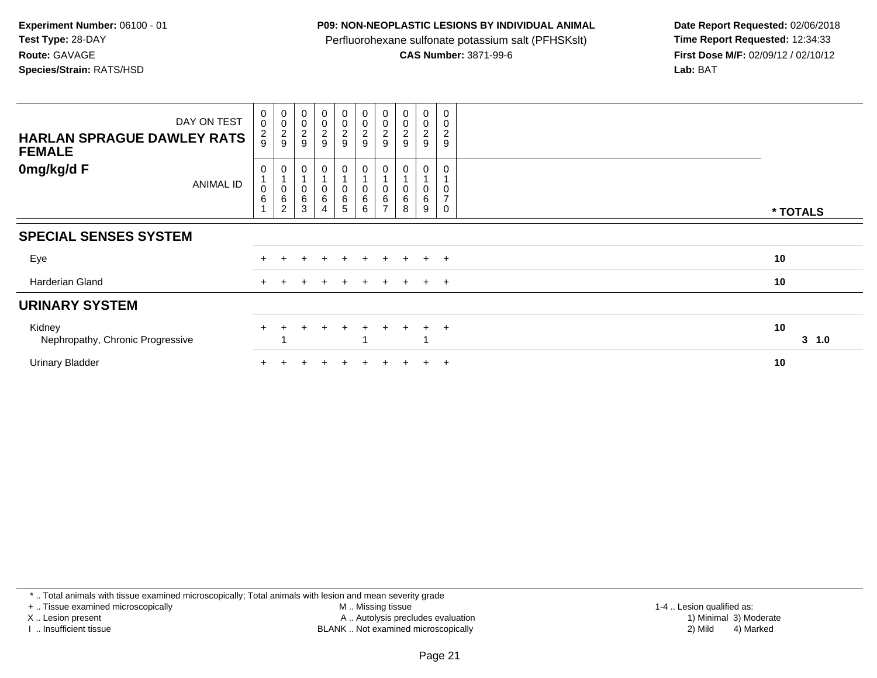## **P09: NON-NEOPLASTIC LESIONS BY INDIVIDUAL ANIMAL**

Perfluorohexane sulfonate potassium salt (PFHSKslt)<br>**CAS Number:** 3871-99-6

 **Date Report Requested:** 02/06/2018 **First Dose M/F:** 02/09/12 / 02/10/12<br>Lab: BAT **Lab:** BAT

| DAY ON TEST<br><b>HARLAN SPRAGUE DAWLEY RATS</b><br><b>FEMALE</b> | $\pmb{0}$<br>$\mathbf 0$<br>$\frac{2}{9}$ | $\begin{smallmatrix}0\\0\end{smallmatrix}$<br>$\frac{2}{9}$ | $\begin{smallmatrix}0\\0\end{smallmatrix}$<br>$\boldsymbol{2}$<br>9 | $\begin{array}{c} 0 \\ 0 \\ 2 \\ 9 \end{array}$ | $\begin{array}{c} 0 \\ 0 \\ 2 \\ 9 \end{array}$ | $\begin{array}{c} 0 \\ 0 \\ 2 \\ 9 \end{array}$       | $_{\rm 0}^{\rm 0}$<br>$\boldsymbol{2}$<br>9 | $\begin{smallmatrix} 0\\0 \end{smallmatrix}$<br>$\boldsymbol{2}$<br>9 | $\mathbf 0$<br>$\mathbf 0$<br>$\overline{\mathbf{c}}$<br>9 | $\pmb{0}$<br>$\mathbf 0$<br>$\overline{c}$<br>9 |              |
|-------------------------------------------------------------------|-------------------------------------------|-------------------------------------------------------------|---------------------------------------------------------------------|-------------------------------------------------|-------------------------------------------------|-------------------------------------------------------|---------------------------------------------|-----------------------------------------------------------------------|------------------------------------------------------------|-------------------------------------------------|--------------|
| 0mg/kg/d F<br><b>ANIMAL ID</b>                                    | 0<br>$\mathbf 0$<br>$\,6$                 | 0<br>$\pmb{0}$<br>$\,6$<br>$\overline{2}$                   | $\mathbf 0$<br>$\,6$<br>3                                           | 0<br>0<br>6<br>$\overline{4}$                   | $\mathbf 0$<br>$\pmb{0}$<br>6<br>5              | 0<br>$\begin{array}{c} 0 \\ 6 \end{array}$<br>$\,6\,$ | 0<br>6<br>$\overline{ }$                    | 0<br>6<br>8                                                           | 0<br>0<br>6<br>9                                           | $\overline{ }$<br>$\Omega$                      | * TOTALS     |
| <b>SPECIAL SENSES SYSTEM</b>                                      |                                           |                                                             |                                                                     |                                                 |                                                 |                                                       |                                             |                                                                       |                                                            |                                                 |              |
| Eye                                                               |                                           |                                                             |                                                                     |                                                 |                                                 |                                                       |                                             |                                                                       |                                                            | $+$                                             | 10           |
| Harderian Gland                                                   | $+$                                       |                                                             |                                                                     |                                                 | $+$                                             |                                                       | $\div$                                      |                                                                       | $\ddot{}$                                                  | $+$                                             | 10           |
| <b>URINARY SYSTEM</b>                                             |                                           |                                                             |                                                                     |                                                 |                                                 |                                                       |                                             |                                                                       |                                                            |                                                 |              |
| Kidney<br>Nephropathy, Chronic Progressive                        | $+$                                       |                                                             |                                                                     | $\div$                                          | $\pm$                                           | $+$                                                   | $+$                                         | $+$                                                                   | $+$                                                        | $+$                                             | 10<br>3, 1.0 |
| <b>Urinary Bladder</b>                                            |                                           |                                                             |                                                                     |                                                 |                                                 |                                                       |                                             |                                                                       | $\pm$                                                      | $+$                                             | 10           |

\* .. Total animals with tissue examined microscopically; Total animals with lesion and mean severity grade

+ .. Tissue examined microscopically

X .. Lesion present

I .. Insufficient tissue

M .. Missing tissue

Lesion present A .. Autolysis precludes evaluation 1) Minimal 3) Moderate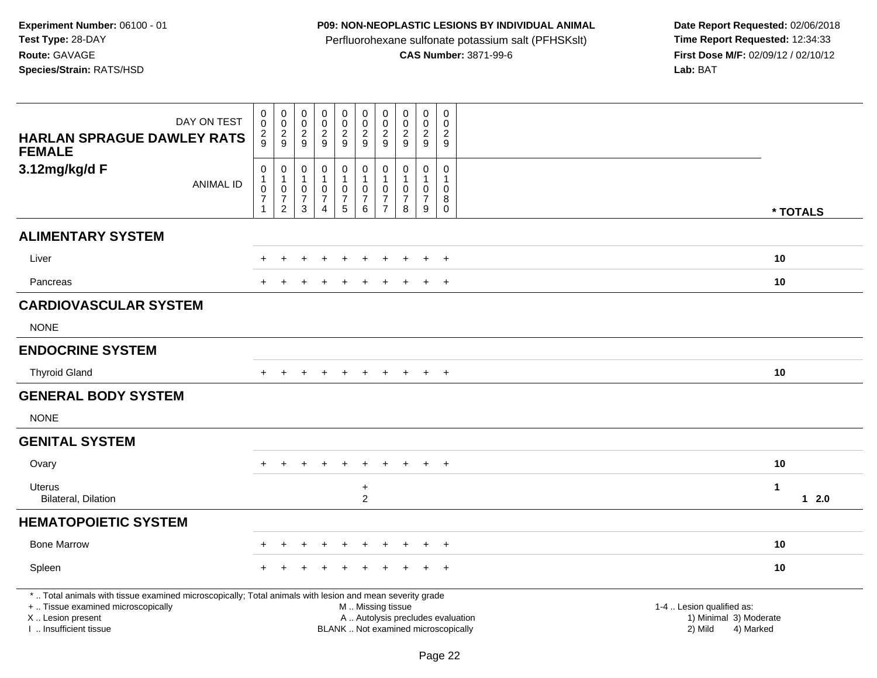# **P09: NON-NEOPLASTIC LESIONS BY INDIVIDUAL ANIMAL**

Perfluorohexane sulfonate potassium salt (PFHSKslt)<br>**CAS Number:** 3871-99-6

| DAY ON TEST<br><b>HARLAN SPRAGUE DAWLEY RATS</b><br><b>FEMALE</b>                                                                                                                             | 0<br>$\mathbf 0$<br>$\frac{2}{9}$                                        | $\mathbf 0$<br>$\mathbf 0$<br>$\frac{2}{9}$                                  | $\pmb{0}$<br>$\pmb{0}$<br>$\overline{2}$<br>9                        | $\pmb{0}$<br>$\ddot{\mathbf{0}}$<br>$\boldsymbol{2}$<br>9         | $\mathbf 0$<br>$\pmb{0}$<br>$\frac{2}{9}$                                  | $\mathbf 0$<br>$\mathbf 0$<br>$\sqrt{2}$<br>9                             | $\mathbf 0$<br>$\mathbf 0$<br>$\overline{c}$<br>9                              | $\mathbf 0$<br>$\pmb{0}$<br>$\overline{2}$<br>9                             | 0<br>$\mathbf 0$<br>$\overline{2}$<br>9                            | $\mathbf 0$<br>$\Omega$<br>$\overline{2}$<br>9                     |                                                                                                                  |
|-----------------------------------------------------------------------------------------------------------------------------------------------------------------------------------------------|--------------------------------------------------------------------------|------------------------------------------------------------------------------|----------------------------------------------------------------------|-------------------------------------------------------------------|----------------------------------------------------------------------------|---------------------------------------------------------------------------|--------------------------------------------------------------------------------|-----------------------------------------------------------------------------|--------------------------------------------------------------------|--------------------------------------------------------------------|------------------------------------------------------------------------------------------------------------------|
| 3.12mg/kg/d F<br><b>ANIMAL ID</b>                                                                                                                                                             | $\pmb{0}$<br>$\mathbf{1}$<br>$\pmb{0}$<br>$\overline{7}$<br>$\mathbf{1}$ | $\mathbf 0$<br>$\mathbf{1}$<br>$\pmb{0}$<br>$\overline{7}$<br>$\overline{c}$ | $\pmb{0}$<br>$\mathbf{1}$<br>0<br>$\boldsymbol{7}$<br>$\mathfrak{S}$ | $\mathsf{O}\xspace$<br>1<br>0<br>$\overline{7}$<br>$\overline{4}$ | $\mathbf 0$<br>$\mathbf{1}$<br>$\pmb{0}$<br>$\boldsymbol{7}$<br>$\sqrt{5}$ | $\mathbf 0$<br>$\mathbf{1}$<br>$\mathbf 0$<br>$\boldsymbol{7}$<br>$\,6\,$ | $\mathbf 0$<br>$\mathbf{1}$<br>$\mathbf 0$<br>$\overline{7}$<br>$\overline{7}$ | $\mathbf 0$<br>$\mathbf{1}$<br>$\mathbf 0$<br>$\overline{\mathcal{I}}$<br>8 | $\mathsf{O}$<br>$\mathbf{1}$<br>$\mathbf 0$<br>$\overline{7}$<br>9 | $\mathsf{O}\xspace$<br>$\mathbf{1}$<br>0<br>$\bf 8$<br>$\mathbf 0$ | * TOTALS                                                                                                         |
| <b>ALIMENTARY SYSTEM</b>                                                                                                                                                                      |                                                                          |                                                                              |                                                                      |                                                                   |                                                                            |                                                                           |                                                                                |                                                                             |                                                                    |                                                                    |                                                                                                                  |
| Liver                                                                                                                                                                                         |                                                                          |                                                                              |                                                                      |                                                                   |                                                                            |                                                                           |                                                                                |                                                                             | $\ddot{}$                                                          | $+$                                                                | 10                                                                                                               |
| Pancreas                                                                                                                                                                                      |                                                                          |                                                                              |                                                                      |                                                                   |                                                                            |                                                                           |                                                                                |                                                                             | $\ddot{}$                                                          | $+$                                                                | 10                                                                                                               |
| <b>CARDIOVASCULAR SYSTEM</b>                                                                                                                                                                  |                                                                          |                                                                              |                                                                      |                                                                   |                                                                            |                                                                           |                                                                                |                                                                             |                                                                    |                                                                    |                                                                                                                  |
| <b>NONE</b>                                                                                                                                                                                   |                                                                          |                                                                              |                                                                      |                                                                   |                                                                            |                                                                           |                                                                                |                                                                             |                                                                    |                                                                    |                                                                                                                  |
| <b>ENDOCRINE SYSTEM</b>                                                                                                                                                                       |                                                                          |                                                                              |                                                                      |                                                                   |                                                                            |                                                                           |                                                                                |                                                                             |                                                                    |                                                                    |                                                                                                                  |
| <b>Thyroid Gland</b>                                                                                                                                                                          |                                                                          |                                                                              |                                                                      |                                                                   | $\ddot{}$                                                                  | $\ddot{}$                                                                 | $\ddot{}$                                                                      | $+$                                                                         | $+$                                                                | $+$                                                                | 10                                                                                                               |
| <b>GENERAL BODY SYSTEM</b>                                                                                                                                                                    |                                                                          |                                                                              |                                                                      |                                                                   |                                                                            |                                                                           |                                                                                |                                                                             |                                                                    |                                                                    |                                                                                                                  |
| <b>NONE</b>                                                                                                                                                                                   |                                                                          |                                                                              |                                                                      |                                                                   |                                                                            |                                                                           |                                                                                |                                                                             |                                                                    |                                                                    |                                                                                                                  |
| <b>GENITAL SYSTEM</b>                                                                                                                                                                         |                                                                          |                                                                              |                                                                      |                                                                   |                                                                            |                                                                           |                                                                                |                                                                             |                                                                    |                                                                    |                                                                                                                  |
| Ovary                                                                                                                                                                                         | ÷                                                                        | $+$                                                                          | $\pm$                                                                | $\ddot{}$                                                         | $+$                                                                        | $\ddot{}$                                                                 |                                                                                |                                                                             | $+$                                                                | $+$                                                                | 10                                                                                                               |
| <b>Uterus</b><br>Bilateral, Dilation                                                                                                                                                          |                                                                          |                                                                              |                                                                      |                                                                   |                                                                            | $\ddot{}$<br>$\overline{c}$                                               |                                                                                |                                                                             |                                                                    |                                                                    | $\mathbf 1$<br>$12.0$                                                                                            |
| <b>HEMATOPOIETIC SYSTEM</b>                                                                                                                                                                   |                                                                          |                                                                              |                                                                      |                                                                   |                                                                            |                                                                           |                                                                                |                                                                             |                                                                    |                                                                    |                                                                                                                  |
| <b>Bone Marrow</b>                                                                                                                                                                            |                                                                          |                                                                              |                                                                      |                                                                   |                                                                            |                                                                           |                                                                                |                                                                             |                                                                    | $\overline{+}$                                                     | 10                                                                                                               |
| Spleen                                                                                                                                                                                        |                                                                          |                                                                              |                                                                      |                                                                   |                                                                            |                                                                           |                                                                                |                                                                             |                                                                    | $\ddot{}$                                                          | 10                                                                                                               |
| *  Total animals with tissue examined microscopically; Total animals with lesion and mean severity grade<br>+  Tissue examined microscopically<br>X  Lesion present<br>I  Insufficient tissue |                                                                          |                                                                              |                                                                      |                                                                   |                                                                            | M  Missing tissue<br>BLANK  Not examined microscopically                  |                                                                                |                                                                             |                                                                    |                                                                    | 1-4  Lesion qualified as:<br>A  Autolysis precludes evaluation<br>1) Minimal 3) Moderate<br>2) Mild<br>4) Marked |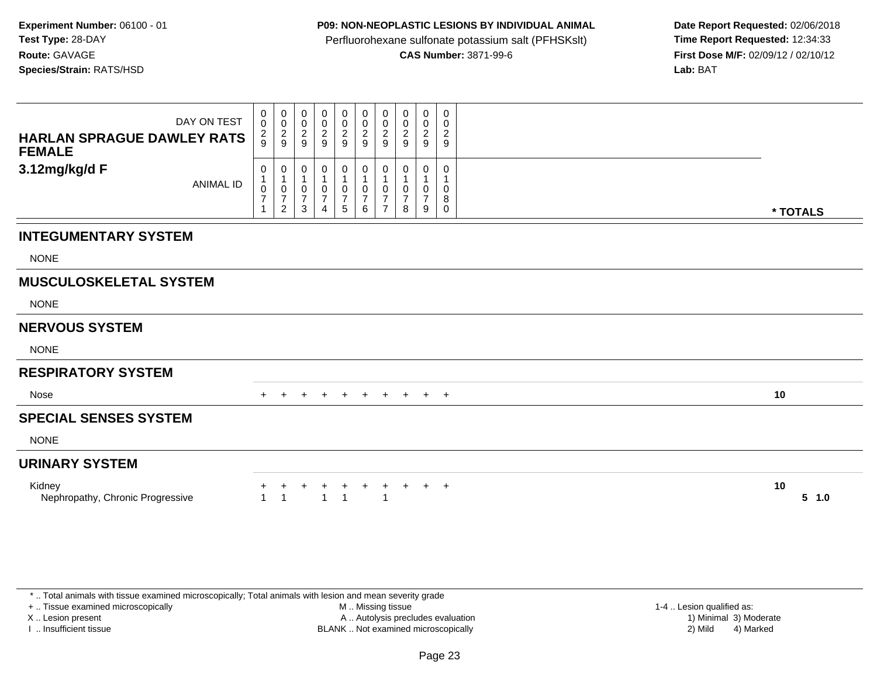## **P09: NON-NEOPLASTIC LESIONS BY INDIVIDUAL ANIMAL**

Perfluorohexane sulfonate potassium salt (PFHSKslt)<br>**CAS Number:** 3871-99-6

 **Date Report Requested:** 02/06/2018 **First Dose M/F:** 02/09/12 / 02/10/12<br>**Lab:** BAT **Lab:** BAT

| DAY ON TEST<br><b>HARLAN SPRAGUE DAWLEY RATS</b><br><b>FEMALE</b> | 0<br>$\pmb{0}$<br>$\frac{2}{9}$            | 0<br>$\overline{0}$<br>$\overline{c}$<br>$9\,$                    | 0<br>0<br>$\overline{2}$<br>9       | 0<br>$\pmb{0}$<br>$\sqrt{2}$<br>$\overline{9}$ | 0<br>$\mathsf{O}\xspace$<br>$\overline{a}$<br>$\overline{9}$ | 0<br>$\pmb{0}$<br>$\overline{a}$<br>$\boldsymbol{9}$  | 0<br>$\mathbf 0$<br>$\overline{2}$<br>9                    | 0<br>0<br>$\overline{c}$<br>9 | 0<br>$\pmb{0}$<br>$\boldsymbol{2}$<br>$9\,$   | 0<br>0<br>$\boldsymbol{2}$<br>9   |          |           |
|-------------------------------------------------------------------|--------------------------------------------|-------------------------------------------------------------------|-------------------------------------|------------------------------------------------|--------------------------------------------------------------|-------------------------------------------------------|------------------------------------------------------------|-------------------------------|-----------------------------------------------|-----------------------------------|----------|-----------|
| 3.12mg/kg/d F<br><b>ANIMAL ID</b>                                 | 0<br>1<br>$\pmb{0}$<br>$\overline{7}$<br>1 | 0<br>$\mathbf 1$<br>$\pmb{0}$<br>$\overline{7}$<br>$\overline{2}$ | 0<br>-1<br>0<br>$\overline{7}$<br>3 | 0<br>$\mathbf{1}$<br>0<br>$\overline{7}$<br>4  | 0<br>0<br>$\overline{7}$<br>5                                | 0<br>$\mathbf{1}$<br>$\pmb{0}$<br>$\overline{7}$<br>6 | 0<br>$\mathbf{1}$<br>0<br>$\overline{7}$<br>$\overline{7}$ | ი<br>0<br>8                   | 0<br>$\mathbf{1}$<br>0<br>$\overline{7}$<br>9 | $\Omega$<br>0<br>8<br>$\mathbf 0$ | * TOTALS |           |
| <b>INTEGUMENTARY SYSTEM</b>                                       |                                            |                                                                   |                                     |                                                |                                                              |                                                       |                                                            |                               |                                               |                                   |          |           |
| <b>NONE</b>                                                       |                                            |                                                                   |                                     |                                                |                                                              |                                                       |                                                            |                               |                                               |                                   |          |           |
| <b>MUSCULOSKELETAL SYSTEM</b>                                     |                                            |                                                                   |                                     |                                                |                                                              |                                                       |                                                            |                               |                                               |                                   |          |           |
| <b>NONE</b>                                                       |                                            |                                                                   |                                     |                                                |                                                              |                                                       |                                                            |                               |                                               |                                   |          |           |
| <b>NERVOUS SYSTEM</b>                                             |                                            |                                                                   |                                     |                                                |                                                              |                                                       |                                                            |                               |                                               |                                   |          |           |
| <b>NONE</b>                                                       |                                            |                                                                   |                                     |                                                |                                                              |                                                       |                                                            |                               |                                               |                                   |          |           |
| <b>RESPIRATORY SYSTEM</b>                                         |                                            |                                                                   |                                     |                                                |                                                              |                                                       |                                                            |                               |                                               |                                   |          |           |
| Nose                                                              | $+$                                        |                                                                   | $\pm$                               | $\ddot{}$                                      | $+$                                                          | $+$                                                   | $+$                                                        | $+$                           | $+$ $+$                                       |                                   | 10       |           |
| <b>SPECIAL SENSES SYSTEM</b>                                      |                                            |                                                                   |                                     |                                                |                                                              |                                                       |                                                            |                               |                                               |                                   |          |           |
| <b>NONE</b>                                                       |                                            |                                                                   |                                     |                                                |                                                              |                                                       |                                                            |                               |                                               |                                   |          |           |
| <b>URINARY SYSTEM</b>                                             |                                            |                                                                   |                                     |                                                |                                                              |                                                       |                                                            |                               |                                               |                                   |          |           |
| Kidney<br>Nephropathy, Chronic Progressive                        | $\mathbf{1}$                               | $\overline{1}$                                                    | +                                   | $\ddot{}$<br>$\mathbf{1}$                      | ÷<br>$\overline{1}$                                          | $+$                                                   | $\ddot{}$<br>$\overline{1}$                                | $+$                           | $+$                                           | $+$                               | 10       | $5 \t1.0$ |

\* .. Total animals with tissue examined microscopically; Total animals with lesion and mean severity grade

+ .. Tissue examined microscopically

X .. Lesion present

I .. Insufficient tissue

 M .. Missing tissueA .. Autolysis precludes evaluation

BLANK .. Not examined microscopically 2) Mild 4) Marked

1-4 .. Lesion qualified as:<br>1) Minimal 3) Moderate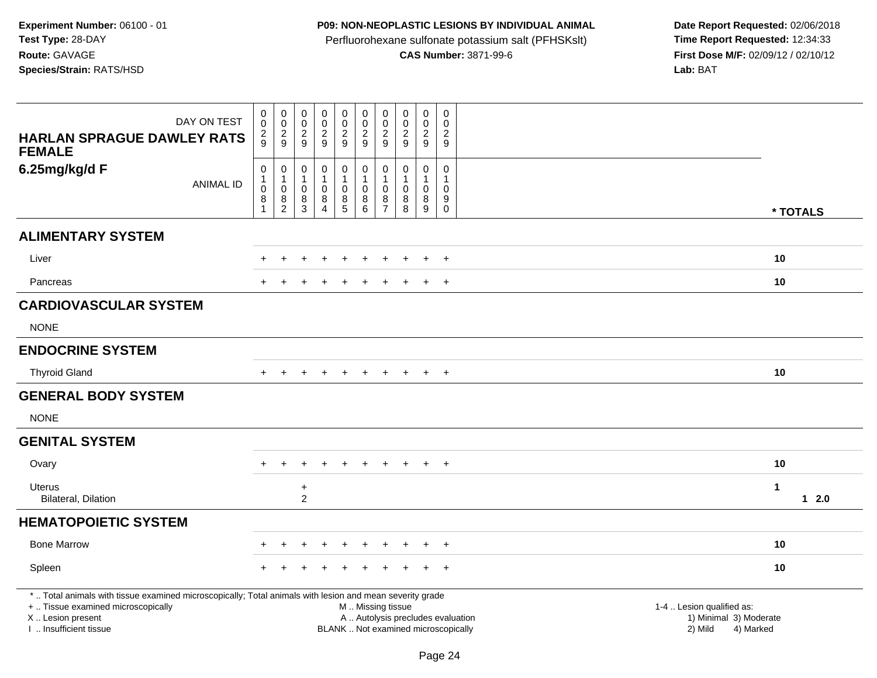# **P09: NON-NEOPLASTIC LESIONS BY INDIVIDUAL ANIMAL**

Perfluorohexane sulfonate potassium salt (PFHSKslt)<br>**CAS Number:** 3871-99-6

| DAY ON TEST<br><b>HARLAN SPRAGUE DAWLEY RATS</b>                                                                                                                                              | 0<br>0<br>2<br>9               | $\pmb{0}$<br>$\mathbf 0$<br>$\frac{2}{9}$ | $\pmb{0}$<br>$\mathbf 0$<br>$\overline{2}$<br>9 | $\mathbf 0$<br>$\mathsf{O}$<br>$\frac{2}{9}$ | $\pmb{0}$<br>$\mathbf 0$<br>$\frac{2}{9}$ | $\pmb{0}$<br>$\pmb{0}$<br>$\overline{2}$<br>$\boldsymbol{9}$                                  | $\mathbf 0$<br>$\mathbf 0$<br>$\overline{c}$<br>9 | $\mathsf{O}\xspace$<br>$\mathbf 0$<br>$\overline{2}$<br>9 | $\pmb{0}$<br>$\mathbf 0$<br>$\frac{2}{9}$ | $\mathbf 0$<br>$\Omega$<br>$\overline{2}$<br>9 |                                                                |             |
|-----------------------------------------------------------------------------------------------------------------------------------------------------------------------------------------------|--------------------------------|-------------------------------------------|-------------------------------------------------|----------------------------------------------|-------------------------------------------|-----------------------------------------------------------------------------------------------|---------------------------------------------------|-----------------------------------------------------------|-------------------------------------------|------------------------------------------------|----------------------------------------------------------------|-------------|
| <b>FEMALE</b>                                                                                                                                                                                 |                                |                                           |                                                 |                                              |                                           |                                                                                               |                                                   |                                                           |                                           |                                                |                                                                |             |
| 6.25mg/kg/d F<br><b>ANIMAL ID</b>                                                                                                                                                             | $\mathbf 0$<br>$\mathbf{1}$    | $\boldsymbol{0}$<br>$\mathbf{1}$          | $\pmb{0}$<br>$\mathbf{1}$                       | 0<br>$\mathbf{1}$                            | $\pmb{0}$<br>$\mathbf{1}$                 | $\pmb{0}$<br>1                                                                                | $\mathbf 0$<br>$\overline{1}$                     | 0<br>-1                                                   | $\pmb{0}$<br>$\mathbf{1}$                 | 0<br>$\mathbf{1}$                              |                                                                |             |
|                                                                                                                                                                                               | $\pmb{0}$<br>8<br>$\mathbf{1}$ | $\mathbf 0$<br>8<br>$\overline{c}$        | $\mathsf 0$<br>8<br>$\mathbf{3}$                | $\mathbf 0$<br>$\bf 8$<br>4                  | $\mathbf 0$<br>$\frac{8}{5}$              | $\mathbf 0$<br>8<br>$\,6\,$                                                                   | 0<br>8<br>$\overline{7}$                          | $\mathbf 0$<br>8<br>8                                     | $\mathbf 0$<br>$\bf8$<br>$\boldsymbol{9}$ | $\mathbf 0$<br>9<br>$\mathbf 0$                |                                                                | * TOTALS    |
| <b>ALIMENTARY SYSTEM</b>                                                                                                                                                                      |                                |                                           |                                                 |                                              |                                           |                                                                                               |                                                   |                                                           |                                           |                                                |                                                                |             |
| Liver                                                                                                                                                                                         |                                |                                           |                                                 |                                              |                                           |                                                                                               |                                                   |                                                           | $\ddot{}$                                 | $+$                                            |                                                                | 10          |
| Pancreas                                                                                                                                                                                      |                                |                                           |                                                 |                                              |                                           |                                                                                               |                                                   |                                                           |                                           | $\overline{ }$                                 |                                                                | 10          |
| <b>CARDIOVASCULAR SYSTEM</b>                                                                                                                                                                  |                                |                                           |                                                 |                                              |                                           |                                                                                               |                                                   |                                                           |                                           |                                                |                                                                |             |
| <b>NONE</b>                                                                                                                                                                                   |                                |                                           |                                                 |                                              |                                           |                                                                                               |                                                   |                                                           |                                           |                                                |                                                                |             |
| <b>ENDOCRINE SYSTEM</b>                                                                                                                                                                       |                                |                                           |                                                 |                                              |                                           |                                                                                               |                                                   |                                                           |                                           |                                                |                                                                |             |
| <b>Thyroid Gland</b>                                                                                                                                                                          |                                | $\ddot{}$                                 |                                                 | $\div$                                       | $\ddot{}$                                 | $\ddot{}$                                                                                     | $+$                                               | $+$                                                       | $+$                                       | $+$                                            |                                                                | 10          |
| <b>GENERAL BODY SYSTEM</b>                                                                                                                                                                    |                                |                                           |                                                 |                                              |                                           |                                                                                               |                                                   |                                                           |                                           |                                                |                                                                |             |
| <b>NONE</b>                                                                                                                                                                                   |                                |                                           |                                                 |                                              |                                           |                                                                                               |                                                   |                                                           |                                           |                                                |                                                                |             |
| <b>GENITAL SYSTEM</b>                                                                                                                                                                         |                                |                                           |                                                 |                                              |                                           |                                                                                               |                                                   |                                                           |                                           |                                                |                                                                |             |
| Ovary                                                                                                                                                                                         | $+$                            | $+$                                       | $\div$                                          | $\ddot{+}$                                   | $+$                                       | $+$                                                                                           | $+$                                               | $+$                                                       | $+$                                       | $+$                                            |                                                                | 10          |
| Uterus<br><b>Bilateral, Dilation</b>                                                                                                                                                          |                                |                                           | $\ddot{}$<br>$\overline{2}$                     |                                              |                                           |                                                                                               |                                                   |                                                           |                                           |                                                |                                                                | 1<br>$12.0$ |
| <b>HEMATOPOIETIC SYSTEM</b>                                                                                                                                                                   |                                |                                           |                                                 |                                              |                                           |                                                                                               |                                                   |                                                           |                                           |                                                |                                                                |             |
| <b>Bone Marrow</b>                                                                                                                                                                            |                                |                                           |                                                 |                                              |                                           |                                                                                               |                                                   |                                                           |                                           | $\overline{ }$                                 |                                                                | 10          |
| Spleen                                                                                                                                                                                        |                                |                                           |                                                 |                                              |                                           |                                                                                               |                                                   |                                                           |                                           | $\div$                                         |                                                                | 10          |
| *  Total animals with tissue examined microscopically; Total animals with lesion and mean severity grade<br>+  Tissue examined microscopically<br>X  Lesion present<br>I. Insufficient tissue |                                |                                           |                                                 |                                              |                                           | M  Missing tissue<br>A  Autolysis precludes evaluation<br>BLANK  Not examined microscopically |                                                   |                                                           |                                           |                                                | 1-4  Lesion qualified as:<br>1) Minimal 3) Moderate<br>2) Mild | 4) Marked   |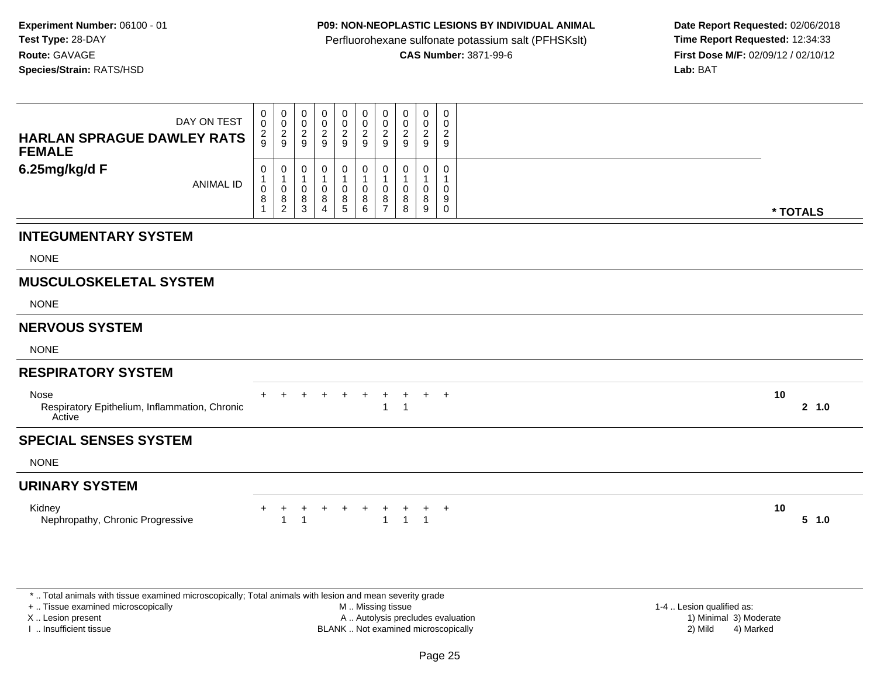## **P09: NON-NEOPLASTIC LESIONS BY INDIVIDUAL ANIMAL**

Perfluorohexane sulfonate potassium salt (PFHSKslt)<br>**CAS Number:** 3871-99-6

 **Date Report Requested:** 02/06/2018 **First Dose M/F:** 02/09/12 / 02/10/12<br>**Lab:** BAT **Lab:** BAT

| DAY ON TEST<br><b>HARLAN SPRAGUE DAWLEY RATS</b><br><b>FEMALE</b> | 0<br>$\mathbf 0$<br>$\frac{2}{9}$ | $\begin{smallmatrix} 0\\0 \end{smallmatrix}$<br>$\frac{2}{9}$ | 0<br>$\mathbf 0$<br>$\overline{c}$<br>9    | 0<br>$\mathsf 0$<br>$\boldsymbol{2}$<br>9    | 0<br>$\pmb{0}$<br>$\overline{2}$<br>9 | 0<br>$\pmb{0}$<br>$\sqrt{2}$<br>9                | 0<br>$\mathbf 0$<br>2<br>9              | 0<br>$\mathbf 0$<br>$\overline{\mathbf{c}}$<br>9 | 0<br>$\mathbf 0$<br>$\overline{2}$<br>9 | 0<br>0<br>$\overline{2}$<br>9               |                 |  |
|-------------------------------------------------------------------|-----------------------------------|---------------------------------------------------------------|--------------------------------------------|----------------------------------------------|---------------------------------------|--------------------------------------------------|-----------------------------------------|--------------------------------------------------|-----------------------------------------|---------------------------------------------|-----------------|--|
| 6.25mg/kg/d F<br><b>ANIMAL ID</b>                                 | 0<br>1<br>0<br>8<br>-1            | 0<br>$\mathbf 1$<br>$\pmb{0}$<br>8<br>$\overline{c}$          | 0<br>1<br>$\mathbf 0$<br>8<br>$\mathbf{3}$ | 0<br>1<br>$\mathbf 0$<br>8<br>$\overline{4}$ | 0<br>$\mathbf{1}$<br>0<br>8<br>5      | 0<br>$\mathbf{1}$<br>$\mathbf 0$<br>8<br>$\,6\,$ | 0<br>$\mathbf 0$<br>8<br>$\overline{7}$ | 0<br>1<br>0<br>8<br>8                            | 0<br>$\mathbf{1}$<br>0<br>8<br>9        | 0<br>$\mathbf{1}$<br>0<br>9<br>$\mathsf{O}$ | * TOTALS        |  |
| <b>INTEGUMENTARY SYSTEM</b>                                       |                                   |                                                               |                                            |                                              |                                       |                                                  |                                         |                                                  |                                         |                                             |                 |  |
| <b>NONE</b>                                                       |                                   |                                                               |                                            |                                              |                                       |                                                  |                                         |                                                  |                                         |                                             |                 |  |
| <b>MUSCULOSKELETAL SYSTEM</b>                                     |                                   |                                                               |                                            |                                              |                                       |                                                  |                                         |                                                  |                                         |                                             |                 |  |
| <b>NONE</b>                                                       |                                   |                                                               |                                            |                                              |                                       |                                                  |                                         |                                                  |                                         |                                             |                 |  |
| <b>NERVOUS SYSTEM</b>                                             |                                   |                                                               |                                            |                                              |                                       |                                                  |                                         |                                                  |                                         |                                             |                 |  |
| <b>NONE</b>                                                       |                                   |                                                               |                                            |                                              |                                       |                                                  |                                         |                                                  |                                         |                                             |                 |  |
| <b>RESPIRATORY SYSTEM</b>                                         |                                   |                                                               |                                            |                                              |                                       |                                                  |                                         |                                                  |                                         |                                             |                 |  |
| Nose<br>Respiratory Epithelium, Inflammation, Chronic<br>Active   |                                   |                                                               |                                            |                                              | $\ddot{}$                             | $+$                                              | $\pm$                                   | $\ddot{}$                                        | $+$                                     | $+$                                         | 10<br>2, 1.0    |  |
| <b>SPECIAL SENSES SYSTEM</b>                                      |                                   |                                                               |                                            |                                              |                                       |                                                  |                                         |                                                  |                                         |                                             |                 |  |
| <b>NONE</b>                                                       |                                   |                                                               |                                            |                                              |                                       |                                                  |                                         |                                                  |                                         |                                             |                 |  |
| <b>URINARY SYSTEM</b>                                             |                                   |                                                               |                                            |                                              |                                       |                                                  |                                         |                                                  |                                         |                                             |                 |  |
| Kidney<br>Nephropathy, Chronic Progressive                        |                                   | 1                                                             | +<br>$\overline{1}$                        | $\ddot{}$                                    | $+$                                   | $+$                                              |                                         | $\overline{1}$                                   | $\ddot{}$<br>$\overline{1}$             | $+$                                         | 10<br>$5 - 1.0$ |  |

\* .. Total animals with tissue examined microscopically; Total animals with lesion and mean severity grade

+ .. Tissue examined microscopically

X .. Lesion present

I .. Insufficient tissue

 M .. Missing tissueA .. Autolysis precludes evaluation

1-4 .. Lesion qualified as:<br>1) Minimal 3) Moderate BLANK .. Not examined microscopically 2) Mild 4) Marked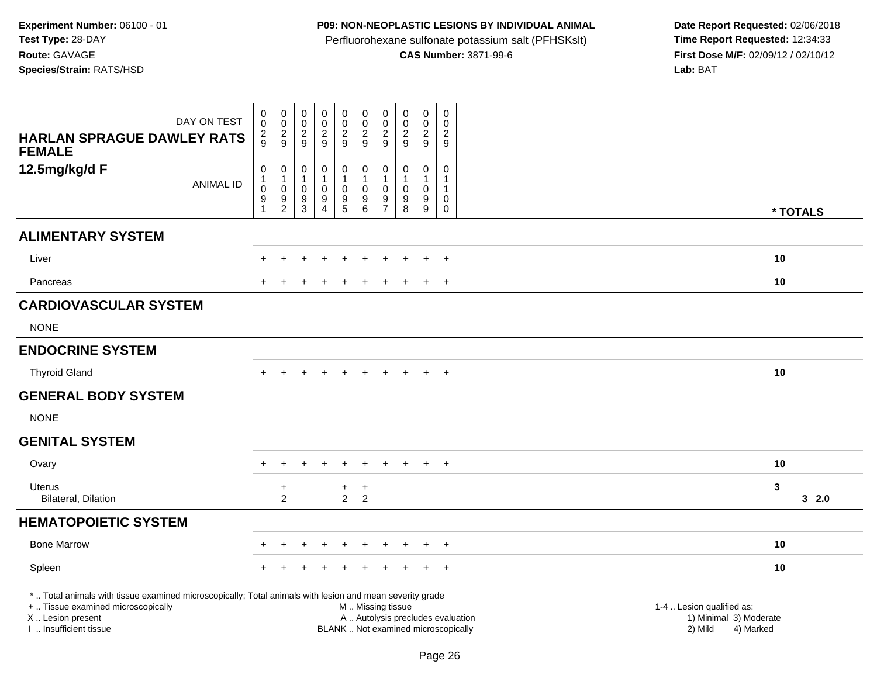# **P09: NON-NEOPLASTIC LESIONS BY INDIVIDUAL ANIMAL**

Perfluorohexane sulfonate potassium salt (PFHSKslt)<br>**CAS Number:** 3871-99-6

| DAY ON TEST<br><b>HARLAN SPRAGUE DAWLEY RATS</b>                                                                                                                                             | 0<br>$\mathbf 0$<br>$\overline{c}$<br>9               | $\pmb{0}$<br>$\mathbf 0$<br>$\frac{2}{9}$                       | $\pmb{0}$<br>$\mathbf 0$<br>$\overline{2}$<br>9      | $\mathbf 0$<br>$\mathsf{O}\xspace$<br>$\overline{a}$<br>$\boldsymbol{9}$ | $\pmb{0}$<br>$\pmb{0}$<br>$\overline{a}$<br>9                    | $\pmb{0}$<br>$\pmb{0}$<br>$\overline{2}$<br>$\boldsymbol{9}$                                  | $\mathbf 0$<br>$\pmb{0}$<br>$\sqrt{2}$<br>9                         | $\mathbf 0$<br>$\mathbf 0$<br>$\overline{2}$<br>9    | 0<br>$\mathbf 0$<br>$\overline{2}$<br>$\boldsymbol{9}$ | $\mathbf 0$<br>$\Omega$<br>2<br>9                             |                                                                             |      |
|----------------------------------------------------------------------------------------------------------------------------------------------------------------------------------------------|-------------------------------------------------------|-----------------------------------------------------------------|------------------------------------------------------|--------------------------------------------------------------------------|------------------------------------------------------------------|-----------------------------------------------------------------------------------------------|---------------------------------------------------------------------|------------------------------------------------------|--------------------------------------------------------|---------------------------------------------------------------|-----------------------------------------------------------------------------|------|
| <b>FEMALE</b><br>12.5mg/kg/d F<br><b>ANIMAL ID</b>                                                                                                                                           | $\mathbf 0$<br>$\mathbf{1}$<br>0<br>9<br>$\mathbf{1}$ | $\pmb{0}$<br>$\mathbf{1}$<br>$\mathbf 0$<br>9<br>$\overline{c}$ | 0<br>$\mathbf{1}$<br>$\mathbf 0$<br>9<br>$\mathsf 3$ | 0<br>$\mathbf 1$<br>0<br>9<br>$\overline{4}$                             | $\boldsymbol{0}$<br>$\mathbf{1}$<br>$\mathbf 0$<br>$\frac{9}{5}$ | $\pmb{0}$<br>$\mathbf{1}$<br>0<br>$\boldsymbol{9}$<br>$\,6\,$                                 | $\mathbf 0$<br>$\overline{1}$<br>$\mathbf 0$<br>9<br>$\overline{7}$ | $\mathbf 0$<br>$\mathbf{1}$<br>$\mathbf 0$<br>9<br>8 | 0<br>$\mathbf{1}$<br>0<br>$\boldsymbol{9}$<br>$9\,$    | 0<br>$\mathbf{1}$<br>$\mathbf{1}$<br>$\pmb{0}$<br>$\mathbf 0$ | * TOTALS                                                                    |      |
| <b>ALIMENTARY SYSTEM</b>                                                                                                                                                                     |                                                       |                                                                 |                                                      |                                                                          |                                                                  |                                                                                               |                                                                     |                                                      |                                                        |                                                               |                                                                             |      |
| Liver                                                                                                                                                                                        |                                                       |                                                                 |                                                      |                                                                          |                                                                  |                                                                                               |                                                                     |                                                      | $\ddot{}$                                              | $+$                                                           | 10                                                                          |      |
| Pancreas                                                                                                                                                                                     |                                                       |                                                                 |                                                      |                                                                          |                                                                  |                                                                                               |                                                                     |                                                      |                                                        | $^{+}$                                                        | 10                                                                          |      |
| <b>CARDIOVASCULAR SYSTEM</b>                                                                                                                                                                 |                                                       |                                                                 |                                                      |                                                                          |                                                                  |                                                                                               |                                                                     |                                                      |                                                        |                                                               |                                                                             |      |
| <b>NONE</b>                                                                                                                                                                                  |                                                       |                                                                 |                                                      |                                                                          |                                                                  |                                                                                               |                                                                     |                                                      |                                                        |                                                               |                                                                             |      |
| <b>ENDOCRINE SYSTEM</b>                                                                                                                                                                      |                                                       |                                                                 |                                                      |                                                                          |                                                                  |                                                                                               |                                                                     |                                                      |                                                        |                                                               |                                                                             |      |
| <b>Thyroid Gland</b>                                                                                                                                                                         |                                                       |                                                                 |                                                      |                                                                          | $\ddot{}$                                                        | $\ddot{}$                                                                                     | $+$                                                                 | $+$                                                  | $+$                                                    | $^{+}$                                                        | 10                                                                          |      |
| <b>GENERAL BODY SYSTEM</b>                                                                                                                                                                   |                                                       |                                                                 |                                                      |                                                                          |                                                                  |                                                                                               |                                                                     |                                                      |                                                        |                                                               |                                                                             |      |
| <b>NONE</b>                                                                                                                                                                                  |                                                       |                                                                 |                                                      |                                                                          |                                                                  |                                                                                               |                                                                     |                                                      |                                                        |                                                               |                                                                             |      |
| <b>GENITAL SYSTEM</b>                                                                                                                                                                        |                                                       |                                                                 |                                                      |                                                                          |                                                                  |                                                                                               |                                                                     |                                                      |                                                        |                                                               |                                                                             |      |
| Ovary                                                                                                                                                                                        | $+$                                                   | $\ddot{}$                                                       | $\div$                                               | $\div$                                                                   | $\ddot{}$                                                        | $\ddot{}$                                                                                     | $+$                                                                 | $\overline{+}$                                       | $+$                                                    | $+$                                                           | 10                                                                          |      |
| Uterus<br>Bilateral, Dilation                                                                                                                                                                |                                                       | $\ddot{}$<br>$\overline{2}$                                     |                                                      |                                                                          | $+$<br>$2^{\circ}$                                               | $\ddot{}$<br>$\overline{2}$                                                                   |                                                                     |                                                      |                                                        |                                                               | $\mathbf{3}$                                                                | 32.0 |
| <b>HEMATOPOIETIC SYSTEM</b>                                                                                                                                                                  |                                                       |                                                                 |                                                      |                                                                          |                                                                  |                                                                                               |                                                                     |                                                      |                                                        |                                                               |                                                                             |      |
| <b>Bone Marrow</b>                                                                                                                                                                           |                                                       |                                                                 |                                                      |                                                                          |                                                                  |                                                                                               |                                                                     |                                                      |                                                        | $\overline{+}$                                                | 10                                                                          |      |
| Spleen                                                                                                                                                                                       |                                                       |                                                                 |                                                      |                                                                          |                                                                  |                                                                                               |                                                                     |                                                      |                                                        | $\ddot{}$                                                     | 10                                                                          |      |
| *  Total animals with tissue examined microscopically; Total animals with lesion and mean severity grade<br>+  Tissue examined microscopically<br>X Lesion present<br>I  Insufficient tissue |                                                       |                                                                 |                                                      |                                                                          |                                                                  | M  Missing tissue<br>A  Autolysis precludes evaluation<br>BLANK  Not examined microscopically |                                                                     |                                                      |                                                        |                                                               | 1-4  Lesion qualified as:<br>1) Minimal 3) Moderate<br>2) Mild<br>4) Marked |      |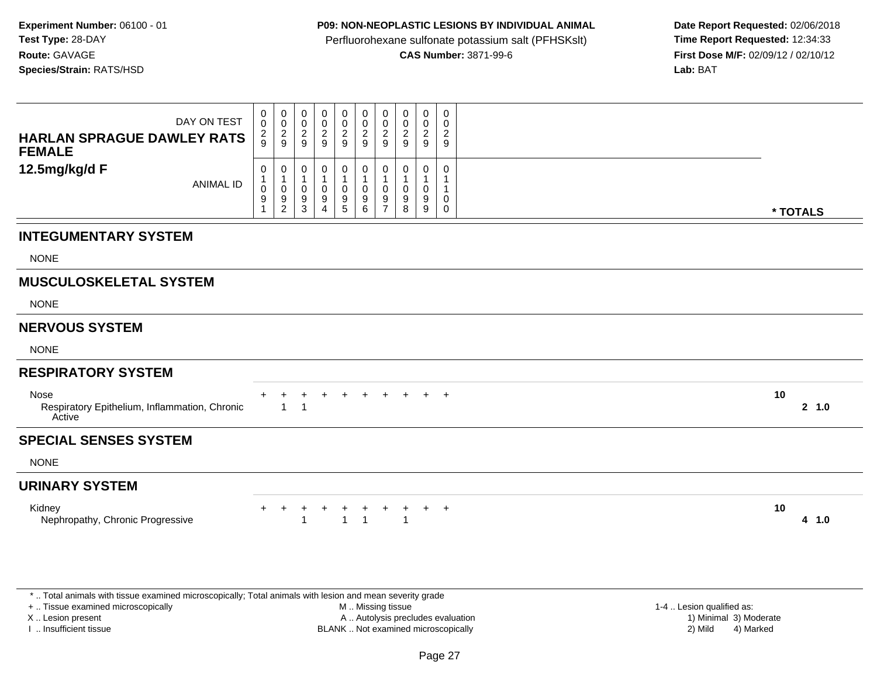## **P09: NON-NEOPLASTIC LESIONS BY INDIVIDUAL ANIMAL**

Perfluorohexane sulfonate potassium salt (PFHSKslt)<br>**CAS Number:** 3871-99-6

 **Date Report Requested:** 02/06/2018 **First Dose M/F:** 02/09/12 / 02/10/12<br>**Lab:** BAT **Lab:** BAT

| DAY ON TEST<br><b>HARLAN SPRAGUE DAWLEY RATS</b><br><b>FEMALE</b> | 0<br>$\pmb{0}$<br>$\frac{2}{9}$                     | 0<br>$\mathsf{O}\xspace$<br>$\frac{2}{9}$ | 0<br>$\pmb{0}$<br>$\overline{2}$<br>$9\,$ | $\mathbf 0$<br>$\pmb{0}$<br>$\boldsymbol{2}$<br>$\boldsymbol{9}$ | 0<br>$\mathsf{O}\xspace$<br>$\overline{c}$<br>$\mathsf g$ | 0<br>$\mathbf 0$<br>$\overline{2}$<br>9      | 0<br>$\mathbf 0$<br>$\overline{2}$<br>9 | 0<br>0<br>$\overline{c}$<br>9 | 0<br>$\mathbf 0$<br>$\overline{2}$<br>$\boldsymbol{9}$ | 0<br>$\mathbf 0$<br>$\overline{2}$<br>$\boldsymbol{9}$ |          |        |
|-------------------------------------------------------------------|-----------------------------------------------------|-------------------------------------------|-------------------------------------------|------------------------------------------------------------------|-----------------------------------------------------------|----------------------------------------------|-----------------------------------------|-------------------------------|--------------------------------------------------------|--------------------------------------------------------|----------|--------|
| 12.5mg/kg/d F<br><b>ANIMAL ID</b>                                 | 0<br>$\mathbf{1}$<br>$\pmb{0}$<br>9<br>$\mathbf{1}$ | 0<br>1<br>0<br>9<br>$\overline{a}$        | 0<br>$\mathbf 1$<br>0<br>9<br>3           | 0<br>0<br>9<br>4                                                 | 0<br>$\overline{1}$<br>$\mathbf 0$<br>$9\,$<br>$\sqrt{5}$ | $\mathbf 0$<br>$\overline{1}$<br>0<br>9<br>6 | 0<br>-1<br>0<br>9<br>$\overline{7}$     | 0<br>1<br>0<br>9<br>8         | 0<br>1<br>0<br>9<br>$\boldsymbol{9}$                   | $\mathbf{0}$<br>-1<br>0<br>0                           | * TOTALS |        |
| <b>INTEGUMENTARY SYSTEM</b>                                       |                                                     |                                           |                                           |                                                                  |                                                           |                                              |                                         |                               |                                                        |                                                        |          |        |
| <b>NONE</b>                                                       |                                                     |                                           |                                           |                                                                  |                                                           |                                              |                                         |                               |                                                        |                                                        |          |        |
| <b>MUSCULOSKELETAL SYSTEM</b>                                     |                                                     |                                           |                                           |                                                                  |                                                           |                                              |                                         |                               |                                                        |                                                        |          |        |
| <b>NONE</b>                                                       |                                                     |                                           |                                           |                                                                  |                                                           |                                              |                                         |                               |                                                        |                                                        |          |        |
| <b>NERVOUS SYSTEM</b>                                             |                                                     |                                           |                                           |                                                                  |                                                           |                                              |                                         |                               |                                                        |                                                        |          |        |
| <b>NONE</b>                                                       |                                                     |                                           |                                           |                                                                  |                                                           |                                              |                                         |                               |                                                        |                                                        |          |        |
| <b>RESPIRATORY SYSTEM</b>                                         |                                                     |                                           |                                           |                                                                  |                                                           |                                              |                                         |                               |                                                        |                                                        |          |        |
| Nose<br>Respiratory Epithelium, Inflammation, Chronic<br>Active   |                                                     | $\mathbf{1}$                              | +<br>$\overline{1}$                       | +                                                                | $\ddot{}$                                                 |                                              |                                         |                               | $\ddot{}$                                              | $+$                                                    | 10       | 2, 1.0 |
| <b>SPECIAL SENSES SYSTEM</b>                                      |                                                     |                                           |                                           |                                                                  |                                                           |                                              |                                         |                               |                                                        |                                                        |          |        |
| <b>NONE</b>                                                       |                                                     |                                           |                                           |                                                                  |                                                           |                                              |                                         |                               |                                                        |                                                        |          |        |
| <b>URINARY SYSTEM</b>                                             |                                                     |                                           |                                           |                                                                  |                                                           |                                              |                                         |                               |                                                        |                                                        |          |        |
| Kidney<br>Nephropathy, Chronic Progressive                        |                                                     | ٠                                         | ÷<br>1                                    | $\ddot{}$                                                        | +<br>$\mathbf{1}$                                         | +<br>$\overline{1}$                          | $\ddot{}$                               | -1                            | $\ddot{}$                                              | $+$                                                    | 10       | 4 1.0  |

\* .. Total animals with tissue examined microscopically; Total animals with lesion and mean severity grade

+ .. Tissue examined microscopically

X .. Lesion present

I .. Insufficient tissue

M .. Missing tissue

A .. Autolysis precludes evaluation

BLANK .. Not examined microscopically 2) Mild 4) Marked

1-4 .. Lesion qualified as:<br>1) Minimal 3) Moderate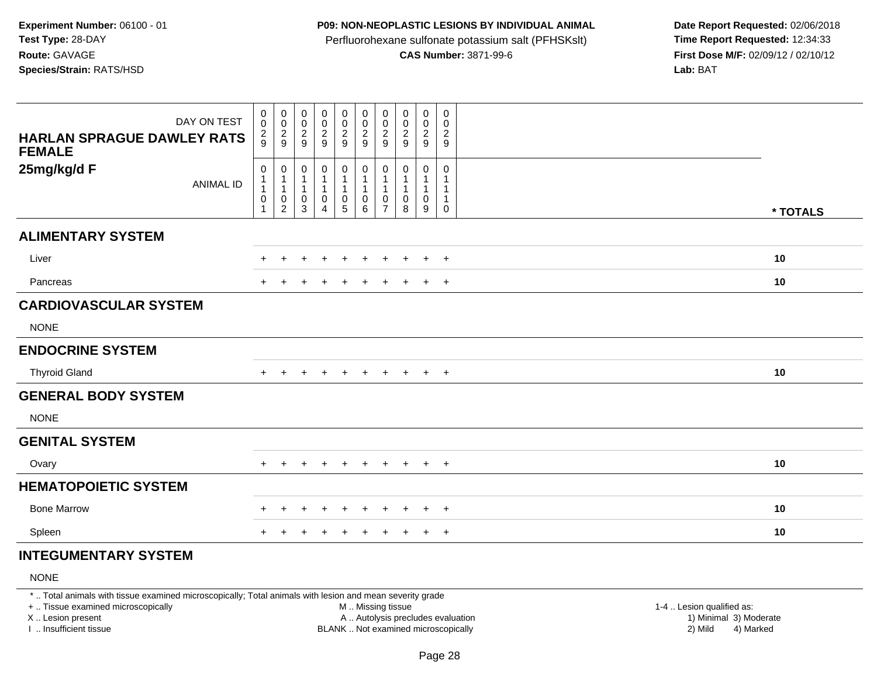#### **P09: NON-NEOPLASTIC LESIONS BY INDIVIDUAL ANIMAL**

Perfluorohexane sulfonate potassium salt (PFHSKslt)<br>**CAS Number:** 3871-99-6

 **Date Report Requested:** 02/06/2018 **First Dose M/F:** 02/09/12 / 02/10/12<br>**Lab:** BAT **Lab:** BAT

| DAY ON TEST<br><b>HARLAN SPRAGUE DAWLEY RATS</b><br><b>FEMALE</b> | $\,0\,$<br>$\pmb{0}$<br>$\frac{2}{9}$                                      | $_{\rm 0}^{\rm 0}$<br>$\frac{2}{9}$        | $\begin{smallmatrix} 0\\0 \end{smallmatrix}$<br>$\frac{2}{9}$ | $_{\rm 0}^{\rm 0}$<br>$\frac{2}{9}$           | $\begin{smallmatrix}0\0\0\end{smallmatrix}$<br>$\frac{2}{9}$ | $\begin{array}{c} 0 \\ 0 \\ 2 \\ 9 \end{array}$                           | $\pmb{0}$<br>$\pmb{0}$<br>$\overline{2}$<br>$\boldsymbol{9}$ | $\pmb{0}$<br>$\pmb{0}$<br>$\frac{2}{9}$ | $\mathbf 0$<br>$\boldsymbol{0}$<br>$\frac{2}{9}$ | $\boldsymbol{0}$<br>$\mathbf 0$<br>$\frac{2}{9}$ |    |          |
|-------------------------------------------------------------------|----------------------------------------------------------------------------|--------------------------------------------|---------------------------------------------------------------|-----------------------------------------------|--------------------------------------------------------------|---------------------------------------------------------------------------|--------------------------------------------------------------|-----------------------------------------|--------------------------------------------------|--------------------------------------------------|----|----------|
| 25mg/kg/d F<br><b>ANIMAL ID</b>                                   | $\mathbf 0$<br>$\mathbf{1}$<br>$\mathbf{1}$<br>$\mathbf 0$<br>$\mathbf{1}$ | 0<br>1<br>1<br>$\pmb{0}$<br>$\overline{c}$ | 0<br>$\mathbf 1$<br>0<br>3                                    | $\pmb{0}$<br>1<br>$\pmb{0}$<br>$\overline{4}$ | $\pmb{0}$<br>1<br>$\pmb{0}$<br>$5\phantom{.0}$               | $\overline{0}$<br>$\overline{1}$<br>$\overline{1}$<br>$\overline{0}$<br>6 | 0<br>1<br>1<br>0<br>$\overline{7}$                           | 0<br>0<br>8                             | 0<br>1<br>$\mathbf 0$<br>9                       | $\mathbf 0$<br>$\mathbf{1}$<br>1<br>0            |    | * TOTALS |
| <b>ALIMENTARY SYSTEM</b>                                          |                                                                            |                                            |                                                               |                                               |                                                              |                                                                           |                                                              |                                         |                                                  |                                                  |    |          |
| Liver                                                             | $+$                                                                        | $\pm$                                      | $\pm$                                                         | $\overline{+}$                                | $\ddot{}$                                                    | $\pm$                                                                     | $\pm$                                                        | $\pm$                                   | $+$                                              | $+$                                              | 10 |          |
| Pancreas                                                          | $+$                                                                        |                                            |                                                               | $\ddot{}$                                     | $\ddot{}$                                                    | $\ddot{}$                                                                 | $\ddot{}$                                                    | $\ddot{}$                               | $+$                                              | $+$                                              | 10 |          |
| <b>CARDIOVASCULAR SYSTEM</b>                                      |                                                                            |                                            |                                                               |                                               |                                                              |                                                                           |                                                              |                                         |                                                  |                                                  |    |          |
| <b>NONE</b>                                                       |                                                                            |                                            |                                                               |                                               |                                                              |                                                                           |                                                              |                                         |                                                  |                                                  |    |          |
| <b>ENDOCRINE SYSTEM</b>                                           |                                                                            |                                            |                                                               |                                               |                                                              |                                                                           |                                                              |                                         |                                                  |                                                  |    |          |
| <b>Thyroid Gland</b>                                              | $+$                                                                        | $\pm$                                      | $\ddot{}$                                                     | $+$                                           | $+$                                                          | $+$                                                                       | $+$                                                          | $+$                                     | $+$ $+$                                          |                                                  | 10 |          |
| <b>GENERAL BODY SYSTEM</b>                                        |                                                                            |                                            |                                                               |                                               |                                                              |                                                                           |                                                              |                                         |                                                  |                                                  |    |          |
| <b>NONE</b>                                                       |                                                                            |                                            |                                                               |                                               |                                                              |                                                                           |                                                              |                                         |                                                  |                                                  |    |          |
| <b>GENITAL SYSTEM</b>                                             |                                                                            |                                            |                                                               |                                               |                                                              |                                                                           |                                                              |                                         |                                                  |                                                  |    |          |
| Ovary                                                             | $+$                                                                        | $+$                                        | $+$                                                           | $+$                                           | $+$                                                          | $+$                                                                       |                                                              | $+$ $+$                                 | $+$ $+$                                          |                                                  | 10 |          |
| <b>HEMATOPOIETIC SYSTEM</b>                                       |                                                                            |                                            |                                                               |                                               |                                                              |                                                                           |                                                              |                                         |                                                  |                                                  |    |          |
| <b>Bone Marrow</b>                                                |                                                                            | $\div$                                     | $\pm$                                                         | $\pm$                                         | $\pm$                                                        | $\pm$                                                                     | $\pm$                                                        | $\pm$                                   | $+$                                              | $+$                                              | 10 |          |
| Spleen                                                            |                                                                            |                                            |                                                               |                                               |                                                              |                                                                           |                                                              |                                         | $\ddot{}$                                        | $+$                                              | 10 |          |

# **INTEGUMENTARY SYSTEM**

NONE

\* .. Total animals with tissue examined microscopically; Total animals with lesion and mean severity grade

+ .. Tissue examined microscopically

X .. Lesion present

I .. Insufficient tissue

 M .. Missing tissueA .. Autolysis precludes evaluation

BLANK .. Not examined microscopically 2) Mild 4) Marked

1-4 .. Lesion qualified as: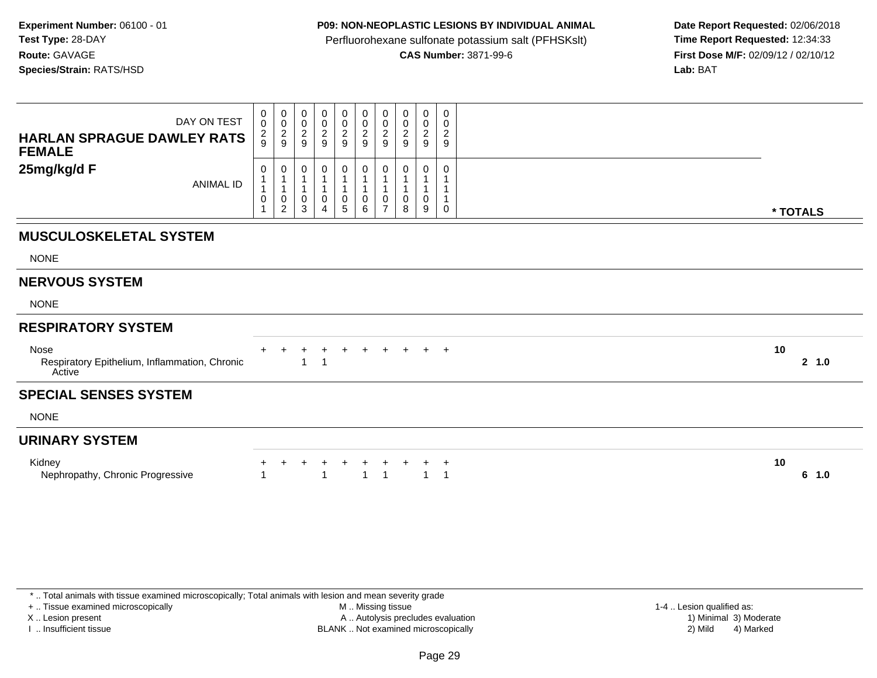## **P09: NON-NEOPLASTIC LESIONS BY INDIVIDUAL ANIMAL**

Perfluorohexane sulfonate potassium salt (PFHSKslt)<br>**CAS Number:** 3871-99-6

 **Date Report Requested:** 02/06/2018 **First Dose M/F:** 02/09/12 / 02/10/12<br>**Lab:** BAT **Lab:** BAT

| DAY ON TEST<br><b>HARLAN SPRAGUE DAWLEY RATS</b><br><b>FEMALE</b>      | $\begin{smallmatrix} 0\\0 \end{smallmatrix}$<br>$\frac{2}{9}$ | 0<br>$\mathbf 0$<br>$\frac{2}{9}$                                         | 0<br>0<br>$\frac{2}{9}$                | 0<br>0<br>$\frac{2}{9}$    | $\pmb{0}$<br>$\frac{0}{2}$        | $\mathbf 0$<br>$\begin{smallmatrix} 0\\2\\9 \end{smallmatrix}$ | $\boldsymbol{0}$<br>$\frac{0}{2}$                              | 0<br>0<br>$\sqrt{2}$<br>9                   | 0<br>0<br>$\overline{2}$<br>9                                    | 0<br>0<br>$\overline{c}$<br>$\boldsymbol{9}$ |          |        |
|------------------------------------------------------------------------|---------------------------------------------------------------|---------------------------------------------------------------------------|----------------------------------------|----------------------------|-----------------------------------|----------------------------------------------------------------|----------------------------------------------------------------|---------------------------------------------|------------------------------------------------------------------|----------------------------------------------|----------|--------|
| 25mg/kg/d F<br><b>ANIMAL ID</b>                                        | 0<br>$\mathbf{1}$<br>$\mathbf{1}$<br>$\,0\,$<br>$\mathbf{1}$  | 0<br>$\overline{1}$<br>$\mathbf{1}$<br>$\overline{0}$<br>$\boldsymbol{2}$ | 0<br>$\mathbf{1}$<br>0<br>$\mathbf{3}$ | 0<br>$\mathbf 1$<br>0<br>4 | 0<br>1<br>$\pmb{0}$<br>$\sqrt{5}$ | 0<br>$\mathbf 0$<br>6                                          | 0<br>1<br>$\overline{1}$<br>$\boldsymbol{0}$<br>$\overline{7}$ | 0<br>$\mathbf{1}$<br>$\mathbf{1}$<br>0<br>8 | 0<br>$\overline{\mathbf{1}}$<br>$\mathbf{1}$<br>$\mathbf 0$<br>9 | 0<br>0                                       | * TOTALS |        |
| <b>MUSCULOSKELETAL SYSTEM</b>                                          |                                                               |                                                                           |                                        |                            |                                   |                                                                |                                                                |                                             |                                                                  |                                              |          |        |
| <b>NONE</b>                                                            |                                                               |                                                                           |                                        |                            |                                   |                                                                |                                                                |                                             |                                                                  |                                              |          |        |
| <b>NERVOUS SYSTEM</b>                                                  |                                                               |                                                                           |                                        |                            |                                   |                                                                |                                                                |                                             |                                                                  |                                              |          |        |
| <b>NONE</b>                                                            |                                                               |                                                                           |                                        |                            |                                   |                                                                |                                                                |                                             |                                                                  |                                              |          |        |
| <b>RESPIRATORY SYSTEM</b>                                              |                                                               |                                                                           |                                        |                            |                                   |                                                                |                                                                |                                             |                                                                  |                                              |          |        |
| <b>Nose</b><br>Respiratory Epithelium, Inflammation, Chronic<br>Active |                                                               |                                                                           |                                        | $\pm$                      | $\div$                            |                                                                |                                                                |                                             |                                                                  | $\pm$                                        | 10       | 2, 1.0 |
| <b>SPECIAL SENSES SYSTEM</b>                                           |                                                               |                                                                           |                                        |                            |                                   |                                                                |                                                                |                                             |                                                                  |                                              |          |        |
| <b>NONE</b>                                                            |                                                               |                                                                           |                                        |                            |                                   |                                                                |                                                                |                                             |                                                                  |                                              |          |        |
| <b>URINARY SYSTEM</b>                                                  |                                                               |                                                                           |                                        |                            |                                   |                                                                |                                                                |                                             |                                                                  |                                              |          |        |
| Kidney<br>Nephropathy, Chronic Progressive                             | 1                                                             |                                                                           |                                        |                            | $\ddot{}$                         | $\ddot{}$<br>$\overline{1}$                                    | $\overline{1}$                                                 |                                             | $\mathbf{1}$                                                     | $\ddot{}$<br>$\overline{1}$                  | 10       | 6 1.0  |

I .. Insufficient tissue

 M .. Missing tissueA .. Autolysis precludes evaluation

BLANK .. Not examined microscopically 2) Mild 4) Marked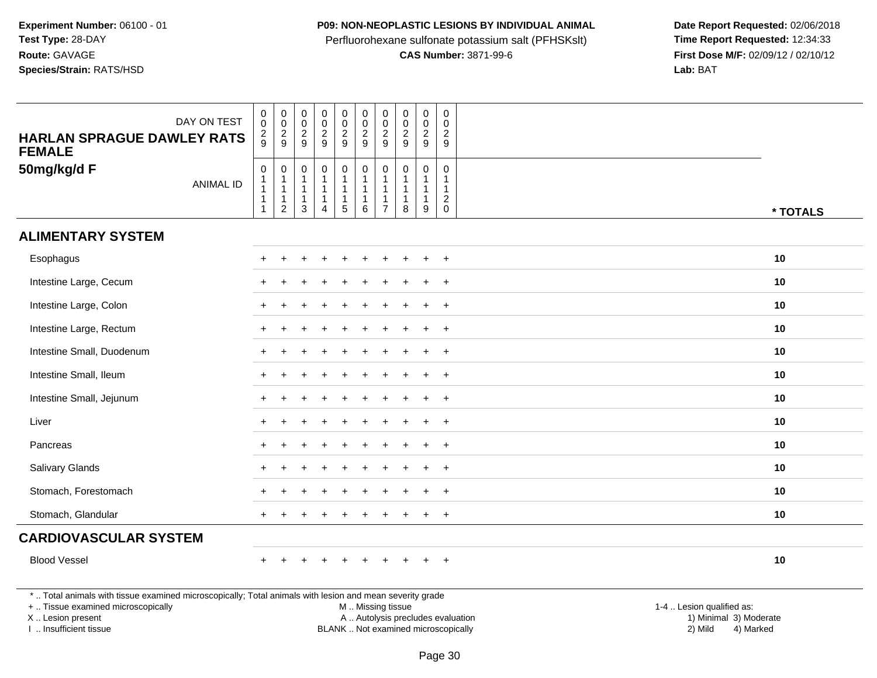## **P09: NON-NEOPLASTIC LESIONS BY INDIVIDUAL ANIMAL**

Perfluorohexane sulfonate potassium salt (PFHSKslt)<br>**CAS Number:** 3871-99-6

| DAY ON TEST<br><b>HARLAN SPRAGUE DAWLEY RATS</b><br><b>FEMALE</b>                                                                                                                             | $\mathsf 0$<br>$\mathbf 0$<br>$\overline{c}$<br>9                    | $\mathbf 0$<br>$\ddot{\mathbf{0}}$<br>$\overline{c}$<br>$9\,$                      | $\mathsf{O}\xspace$<br>$\mathsf{O}\xspace$<br>$\overline{c}$<br>9        | $\mathbf 0$<br>$\ddot{\mathbf{0}}$<br>$\overline{a}$<br>$\boldsymbol{9}$ | $\pmb{0}$<br>$\overline{0}$<br>$\sqrt{2}$<br>9                              | $\mathbf 0$<br>$\ddot{\mathbf{0}}$<br>$\boldsymbol{2}$<br>$9\,$      | $\mathbf 0$<br>$\mathbf 0$<br>$\overline{2}$<br>9 | $\pmb{0}$<br>$\pmb{0}$<br>$\boldsymbol{2}$<br>9                  | $\pmb{0}$<br>$\mathbf 0$<br>$\sqrt{2}$<br>$\boldsymbol{9}$ | $\mathbf 0$<br>$\mathbf 0$<br>$\overline{c}$<br>$\boldsymbol{9}$             |                                                                                                                                                         |
|-----------------------------------------------------------------------------------------------------------------------------------------------------------------------------------------------|----------------------------------------------------------------------|------------------------------------------------------------------------------------|--------------------------------------------------------------------------|--------------------------------------------------------------------------|-----------------------------------------------------------------------------|----------------------------------------------------------------------|---------------------------------------------------|------------------------------------------------------------------|------------------------------------------------------------|------------------------------------------------------------------------------|---------------------------------------------------------------------------------------------------------------------------------------------------------|
| 50mg/kg/d F<br><b>ANIMAL ID</b>                                                                                                                                                               | $\mathbf 0$<br>1<br>$\mathbf{1}$<br>$\overline{1}$<br>$\overline{1}$ | $\boldsymbol{0}$<br>$\mathbf{1}$<br>$\mathbf{1}$<br>$\mathbf{1}$<br>$\overline{c}$ | $\mathsf{O}\xspace$<br>$\mathbf{1}$<br>$\mathbf{1}$<br>$\mathbf{1}$<br>3 | $\mathsf{O}$<br>$\mathbf{1}$<br>$\mathbf 1$<br>$\mathbf{1}$<br>4         | $\pmb{0}$<br>$\mathbf{1}$<br>$\mathbf{1}$<br>$\mathbf{1}$<br>$\overline{5}$ | $\mathbf 0$<br>$\mathbf{1}$<br>$\overline{1}$<br>$\overline{1}$<br>6 | $\mathbf 0$<br>-1<br>$\overline{7}$               | $\mathbf 0$<br>$\mathbf{1}$<br>$\mathbf{1}$<br>$\mathbf{1}$<br>8 | $\mathbf 0$<br>9                                           | $\mathbf 0$<br>$\mathbf{1}$<br>$\mathbf{1}$<br>$\overline{c}$<br>$\mathbf 0$ | * TOTALS                                                                                                                                                |
| <b>ALIMENTARY SYSTEM</b>                                                                                                                                                                      |                                                                      |                                                                                    |                                                                          |                                                                          |                                                                             |                                                                      |                                                   |                                                                  |                                                            |                                                                              |                                                                                                                                                         |
| Esophagus                                                                                                                                                                                     |                                                                      |                                                                                    |                                                                          |                                                                          |                                                                             |                                                                      |                                                   |                                                                  |                                                            | $\overline{+}$                                                               | 10                                                                                                                                                      |
| Intestine Large, Cecum                                                                                                                                                                        |                                                                      |                                                                                    |                                                                          |                                                                          |                                                                             |                                                                      |                                                   |                                                                  |                                                            |                                                                              | 10                                                                                                                                                      |
| Intestine Large, Colon                                                                                                                                                                        |                                                                      |                                                                                    |                                                                          |                                                                          |                                                                             |                                                                      |                                                   |                                                                  |                                                            | $\overline{+}$                                                               | 10                                                                                                                                                      |
| Intestine Large, Rectum                                                                                                                                                                       |                                                                      |                                                                                    |                                                                          |                                                                          |                                                                             |                                                                      |                                                   |                                                                  |                                                            | $\ddot{}$                                                                    | 10                                                                                                                                                      |
| Intestine Small, Duodenum                                                                                                                                                                     |                                                                      |                                                                                    |                                                                          |                                                                          |                                                                             |                                                                      |                                                   |                                                                  |                                                            | $\div$                                                                       | 10                                                                                                                                                      |
| Intestine Small, Ileum                                                                                                                                                                        |                                                                      |                                                                                    |                                                                          |                                                                          |                                                                             |                                                                      |                                                   |                                                                  |                                                            |                                                                              | 10                                                                                                                                                      |
| Intestine Small, Jejunum                                                                                                                                                                      |                                                                      |                                                                                    |                                                                          |                                                                          |                                                                             |                                                                      |                                                   |                                                                  |                                                            | $\ddot{}$                                                                    | 10                                                                                                                                                      |
| Liver                                                                                                                                                                                         |                                                                      |                                                                                    |                                                                          |                                                                          |                                                                             |                                                                      |                                                   |                                                                  | ÷.                                                         | $+$                                                                          | 10                                                                                                                                                      |
| Pancreas                                                                                                                                                                                      |                                                                      |                                                                                    |                                                                          |                                                                          |                                                                             |                                                                      |                                                   |                                                                  |                                                            | $\ddot{}$                                                                    | 10                                                                                                                                                      |
| Salivary Glands                                                                                                                                                                               |                                                                      |                                                                                    |                                                                          |                                                                          |                                                                             |                                                                      |                                                   |                                                                  |                                                            | $\pm$                                                                        | 10                                                                                                                                                      |
| Stomach, Forestomach                                                                                                                                                                          |                                                                      |                                                                                    |                                                                          |                                                                          |                                                                             |                                                                      |                                                   |                                                                  | $\div$                                                     | $\overline{+}$                                                               | 10                                                                                                                                                      |
| Stomach, Glandular                                                                                                                                                                            |                                                                      |                                                                                    |                                                                          |                                                                          |                                                                             |                                                                      |                                                   |                                                                  |                                                            |                                                                              | 10                                                                                                                                                      |
| <b>CARDIOVASCULAR SYSTEM</b>                                                                                                                                                                  |                                                                      |                                                                                    |                                                                          |                                                                          |                                                                             |                                                                      |                                                   |                                                                  |                                                            |                                                                              |                                                                                                                                                         |
| <b>Blood Vessel</b>                                                                                                                                                                           |                                                                      |                                                                                    |                                                                          |                                                                          |                                                                             |                                                                      |                                                   |                                                                  |                                                            | $\ddot{}$                                                                    | 10                                                                                                                                                      |
| *  Total animals with tissue examined microscopically; Total animals with lesion and mean severity grade<br>+  Tissue examined microscopically<br>X  Lesion present<br>I  Insufficient tissue |                                                                      |                                                                                    |                                                                          |                                                                          |                                                                             | M  Missing tissue                                                    |                                                   |                                                                  |                                                            |                                                                              | 1-4  Lesion qualified as:<br>A  Autolysis precludes evaluation<br>1) Minimal 3) Moderate<br>BLANK  Not examined microscopically<br>2) Mild<br>4) Marked |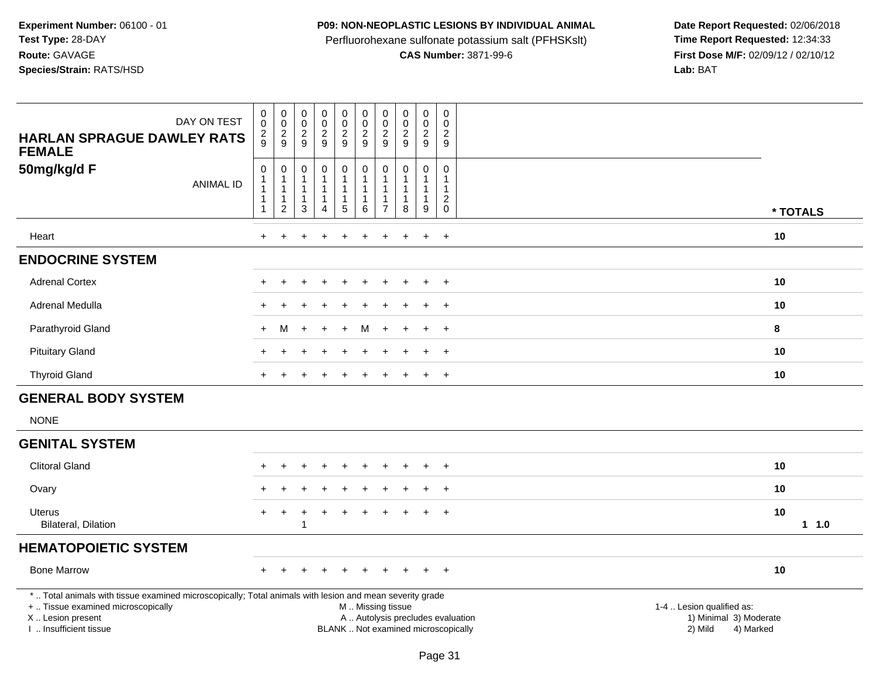## **P09: NON-NEOPLASTIC LESIONS BY INDIVIDUAL ANIMAL**

Perfluorohexane sulfonate potassium salt (PFHSKslt)<br>**CAS Number:** 3871-99-6

| DAY ON TEST<br><b>HARLAN SPRAGUE DAWLEY RATS</b><br><b>FEMALE</b>                                                                                                                             | $\begin{smallmatrix} 0\\0 \end{smallmatrix}$<br>$\frac{2}{9}$ | $\begin{smallmatrix} 0\\0 \end{smallmatrix}$<br>$\frac{2}{9}$                   | $_{\rm 0}^{\rm 0}$<br>$\frac{2}{9}$                                          | 0<br>$\ddot{\mathbf{0}}$<br>$\frac{2}{9}$              | $\mathbf 0$<br>$\mathbf 0$<br>$\boldsymbol{2}$<br>9              | $\pmb{0}$<br>$\pmb{0}$<br>$\frac{2}{9}$ | $\mathbf 0$<br>$\mathbf 0$<br>$\sqrt{2}$<br>9 | $_{\rm 0}^{\rm 0}$<br>$\frac{2}{9}$                                                           | $\mathbf 0$<br>$\mathbf 0$<br>$\frac{2}{9}$                            | $\mathsf{O}\xspace$<br>$\mathbf 0$<br>$\sqrt{2}$<br>9                     |                                                                             |             |
|-----------------------------------------------------------------------------------------------------------------------------------------------------------------------------------------------|---------------------------------------------------------------|---------------------------------------------------------------------------------|------------------------------------------------------------------------------|--------------------------------------------------------|------------------------------------------------------------------|-----------------------------------------|-----------------------------------------------|-----------------------------------------------------------------------------------------------|------------------------------------------------------------------------|---------------------------------------------------------------------------|-----------------------------------------------------------------------------|-------------|
| 50mg/kg/d F<br><b>ANIMAL ID</b>                                                                                                                                                               | 0<br>1<br>$\mathbf{1}$<br>$\mathbf{1}$<br>1                   | $\mathbf 0$<br>$\mathbf{1}$<br>$\overline{1}$<br>$\mathbf{1}$<br>$\overline{c}$ | $\mathsf{O}\xspace$<br>$\mathbf{1}$<br>$\overline{1}$<br>$\overline{1}$<br>3 | 0<br>$\mathbf{1}$<br>$\mathbf{1}$<br>$\mathbf{1}$<br>4 | $\pmb{0}$<br>$\mathbf{1}$<br>$\overline{1}$<br>$\mathbf{1}$<br>5 | 0<br>1<br>1<br>1<br>6                   | $\mathbf 0$<br>-1<br>-1<br>$\overline{7}$     | $\pmb{0}$<br>1<br>1<br>8                                                                      | $\mathbf 0$<br>$\overline{1}$<br>$\overline{1}$<br>$\overline{1}$<br>9 | $\mathbf 0$<br>$\overline{1}$<br>$\overline{\mathbf{1}}$<br>$\frac{2}{0}$ |                                                                             | * TOTALS    |
| Heart                                                                                                                                                                                         | $+$                                                           | $+$                                                                             | $\ddot{}$                                                                    | $\ddot{}$                                              | $\ddot{}$                                                        | $\ddot{}$                               | $\ddot{}$                                     | $\ddot{}$                                                                                     | $\ddot{}$                                                              | $+$                                                                       |                                                                             | 10          |
| <b>ENDOCRINE SYSTEM</b>                                                                                                                                                                       |                                                               |                                                                                 |                                                                              |                                                        |                                                                  |                                         |                                               |                                                                                               |                                                                        |                                                                           |                                                                             |             |
| <b>Adrenal Cortex</b>                                                                                                                                                                         |                                                               |                                                                                 |                                                                              |                                                        |                                                                  |                                         |                                               |                                                                                               |                                                                        | $\overline{+}$                                                            |                                                                             | 10          |
| Adrenal Medulla                                                                                                                                                                               |                                                               |                                                                                 |                                                                              |                                                        |                                                                  |                                         |                                               |                                                                                               |                                                                        | $\div$                                                                    |                                                                             | 10          |
| Parathyroid Gland                                                                                                                                                                             | $+$                                                           | м                                                                               |                                                                              |                                                        |                                                                  | м                                       |                                               |                                                                                               |                                                                        | $+$                                                                       |                                                                             | 8           |
| <b>Pituitary Gland</b>                                                                                                                                                                        |                                                               |                                                                                 |                                                                              |                                                        |                                                                  |                                         |                                               |                                                                                               | $\ddot{}$                                                              | $+$                                                                       |                                                                             | 10          |
| <b>Thyroid Gland</b>                                                                                                                                                                          |                                                               |                                                                                 |                                                                              |                                                        |                                                                  |                                         |                                               |                                                                                               |                                                                        | $+$                                                                       |                                                                             | 10          |
| <b>GENERAL BODY SYSTEM</b>                                                                                                                                                                    |                                                               |                                                                                 |                                                                              |                                                        |                                                                  |                                         |                                               |                                                                                               |                                                                        |                                                                           |                                                                             |             |
| <b>NONE</b>                                                                                                                                                                                   |                                                               |                                                                                 |                                                                              |                                                        |                                                                  |                                         |                                               |                                                                                               |                                                                        |                                                                           |                                                                             |             |
| <b>GENITAL SYSTEM</b>                                                                                                                                                                         |                                                               |                                                                                 |                                                                              |                                                        |                                                                  |                                         |                                               |                                                                                               |                                                                        |                                                                           |                                                                             |             |
| <b>Clitoral Gland</b>                                                                                                                                                                         |                                                               |                                                                                 |                                                                              | ÷                                                      |                                                                  |                                         |                                               |                                                                                               | $\ddot{}$                                                              | $+$                                                                       |                                                                             | 10          |
| Ovary                                                                                                                                                                                         |                                                               |                                                                                 |                                                                              |                                                        |                                                                  |                                         |                                               |                                                                                               |                                                                        | $\ddot{}$                                                                 |                                                                             | 10          |
| <b>Uterus</b><br>Bilateral, Dilation                                                                                                                                                          | $+$                                                           | $\ddot{}$                                                                       | $\div$<br>$\overline{1}$                                                     | +                                                      |                                                                  |                                         |                                               |                                                                                               |                                                                        | $\overline{+}$                                                            |                                                                             | 10<br>1 1.0 |
| <b>HEMATOPOIETIC SYSTEM</b>                                                                                                                                                                   |                                                               |                                                                                 |                                                                              |                                                        |                                                                  |                                         |                                               |                                                                                               |                                                                        |                                                                           |                                                                             |             |
| <b>Bone Marrow</b>                                                                                                                                                                            | $\ddot{}$                                                     |                                                                                 |                                                                              |                                                        |                                                                  |                                         |                                               |                                                                                               | $\ddot{}$                                                              | $+$                                                                       |                                                                             | 10          |
| *  Total animals with tissue examined microscopically; Total animals with lesion and mean severity grade<br>+  Tissue examined microscopically<br>X  Lesion present<br>I. Insufficient tissue |                                                               |                                                                                 |                                                                              |                                                        |                                                                  |                                         |                                               | M  Missing tissue<br>A  Autolysis precludes evaluation<br>BLANK  Not examined microscopically |                                                                        |                                                                           | 1-4  Lesion qualified as:<br>1) Minimal 3) Moderate<br>2) Mild<br>4) Marked |             |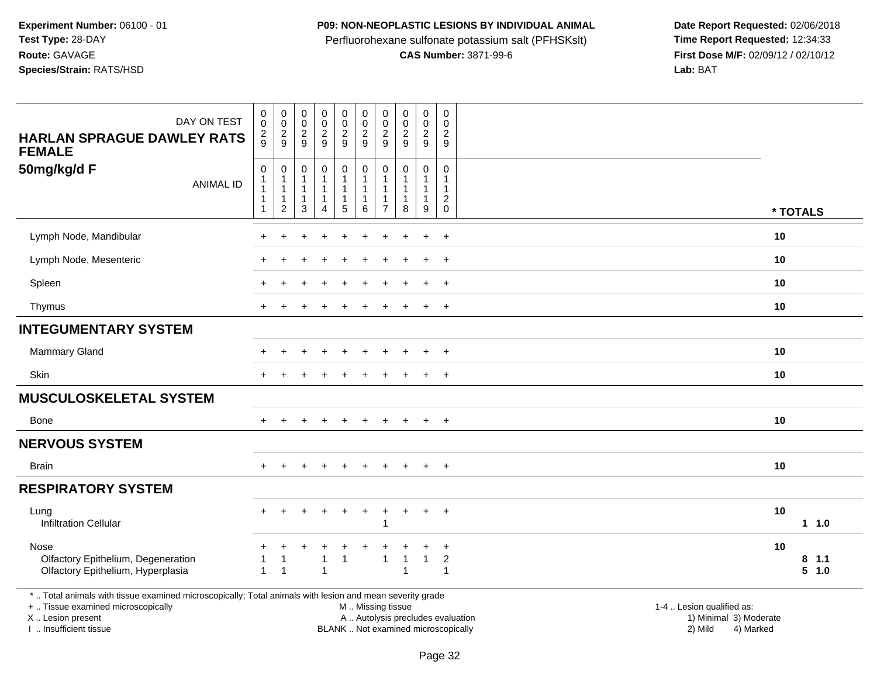## **P09: NON-NEOPLASTIC LESIONS BY INDIVIDUAL ANIMAL**

Perfluorohexane sulfonate potassium salt (PFHSKslt)<br>**CAS Number:** 3871-99-6

Date Report Requested: 02/06/2018<br>Time Report Requested: 12:34:33 **First Dose M/F:** 02/09/12 / 02/10/12<br>Lab: BAT **Lab:** BAT

| DAY ON TEST<br><b>HARLAN SPRAGUE DAWLEY RATS</b><br><b>FEMALE</b>                                                                                                                             | $\pmb{0}$<br>$\mathbf 0$<br>$\overline{c}$<br>9 | $\begin{array}{c} 0 \\ 0 \\ 2 \\ 9 \end{array}$                                          | $\pmb{0}$<br>$\pmb{0}$<br>$\frac{2}{9}$                | $\pmb{0}$<br>$\mathbf 0$<br>$\frac{2}{9}$                        | $\pmb{0}$<br>$\mathbf 0$<br>$\frac{2}{9}$                       | $\mathsf{O}\xspace$<br>$\mathbf 0$<br>$\overline{a}$<br>9 | $\pmb{0}$<br>$\mathbf 0$<br>$\overline{2}$<br>9                     | $\pmb{0}$<br>$\frac{0}{2}$<br>$9\,$   | $\pmb{0}$<br>$\mathbf 0$<br>$\frac{2}{9}$                            | $\mathsf 0$<br>$\Omega$<br>$\overline{2}$<br>9                         |                                                                                                                  |
|-----------------------------------------------------------------------------------------------------------------------------------------------------------------------------------------------|-------------------------------------------------|------------------------------------------------------------------------------------------|--------------------------------------------------------|------------------------------------------------------------------|-----------------------------------------------------------------|-----------------------------------------------------------|---------------------------------------------------------------------|---------------------------------------|----------------------------------------------------------------------|------------------------------------------------------------------------|------------------------------------------------------------------------------------------------------------------|
| 50mg/kg/d F<br><b>ANIMAL ID</b>                                                                                                                                                               | 0                                               | $\boldsymbol{0}$<br>$\overline{1}$<br>$\overline{1}$<br>$\overline{1}$<br>$\overline{2}$ | 0<br>$\mathbf{1}$<br>$\mathbf{1}$<br>$\mathbf{1}$<br>3 | $\mathbf 0$<br>$\mathbf{1}$<br>$\mathbf{1}$<br>$\mathbf{1}$<br>4 | $\mathbf 0$<br>$\mathbf 1$<br>$\mathbf{1}$<br>$\mathbf{1}$<br>5 | 0<br>$\mathbf{1}$<br>$\mathbf{1}$<br>$\mathbf{1}$<br>6    | 0<br>$\mathbf{1}$<br>$\mathbf{1}$<br>$\mathbf{1}$<br>$\overline{7}$ | $\mathbf 0$<br>$\mathbf{1}$<br>1<br>8 | $\mathbf 0$<br>$\overline{1}$<br>$\overline{1}$<br>$\mathbf{1}$<br>9 | 0<br>$\mathbf{1}$<br>$\overline{1}$<br>$\boldsymbol{2}$<br>$\mathbf 0$ | * TOTALS                                                                                                         |
| Lymph Node, Mandibular                                                                                                                                                                        | ÷                                               |                                                                                          |                                                        | $+$                                                              |                                                                 | $\ddot{}$                                                 |                                                                     |                                       | $+$                                                                  | $+$                                                                    | 10                                                                                                               |
| Lymph Node, Mesenteric                                                                                                                                                                        |                                                 |                                                                                          |                                                        |                                                                  |                                                                 |                                                           |                                                                     |                                       |                                                                      | $\div$                                                                 | 10                                                                                                               |
| Spleen                                                                                                                                                                                        |                                                 |                                                                                          |                                                        |                                                                  |                                                                 |                                                           |                                                                     |                                       |                                                                      | $+$                                                                    | 10                                                                                                               |
| Thymus                                                                                                                                                                                        | $\pm$                                           |                                                                                          |                                                        |                                                                  |                                                                 |                                                           |                                                                     |                                       | $\pm$                                                                | $+$                                                                    | 10                                                                                                               |
| <b>INTEGUMENTARY SYSTEM</b>                                                                                                                                                                   |                                                 |                                                                                          |                                                        |                                                                  |                                                                 |                                                           |                                                                     |                                       |                                                                      |                                                                        |                                                                                                                  |
| <b>Mammary Gland</b>                                                                                                                                                                          |                                                 |                                                                                          |                                                        |                                                                  |                                                                 |                                                           |                                                                     |                                       |                                                                      | $\ddot{}$                                                              | 10                                                                                                               |
| Skin                                                                                                                                                                                          |                                                 |                                                                                          |                                                        |                                                                  |                                                                 |                                                           |                                                                     |                                       |                                                                      | $\div$                                                                 | 10                                                                                                               |
| <b>MUSCULOSKELETAL SYSTEM</b>                                                                                                                                                                 |                                                 |                                                                                          |                                                        |                                                                  |                                                                 |                                                           |                                                                     |                                       |                                                                      |                                                                        |                                                                                                                  |
| Bone                                                                                                                                                                                          | $+$                                             | $+$                                                                                      | $\ddot{}$                                              | $+$                                                              | $+$                                                             | $+$                                                       | $+$                                                                 | $\overline{+}$                        | $+$                                                                  | $+$                                                                    | 10                                                                                                               |
| <b>NERVOUS SYSTEM</b>                                                                                                                                                                         |                                                 |                                                                                          |                                                        |                                                                  |                                                                 |                                                           |                                                                     |                                       |                                                                      |                                                                        |                                                                                                                  |
| <b>Brain</b>                                                                                                                                                                                  |                                                 |                                                                                          |                                                        |                                                                  |                                                                 |                                                           |                                                                     |                                       | $\ddot{}$                                                            | $+$                                                                    | 10                                                                                                               |
| <b>RESPIRATORY SYSTEM</b>                                                                                                                                                                     |                                                 |                                                                                          |                                                        |                                                                  |                                                                 |                                                           |                                                                     |                                       |                                                                      |                                                                        |                                                                                                                  |
| Lung<br><b>Infiltration Cellular</b>                                                                                                                                                          |                                                 |                                                                                          |                                                        | $\ddot{}$                                                        |                                                                 | $\ddot{}$                                                 | ÷                                                                   | $\overline{1}$                        | $\pm$                                                                | $+$                                                                    | 10<br>1 1.0                                                                                                      |
| Nose                                                                                                                                                                                          | ٠                                               |                                                                                          |                                                        |                                                                  |                                                                 |                                                           |                                                                     |                                       |                                                                      | $\ddot{}$                                                              | 10                                                                                                               |
| Olfactory Epithelium, Degeneration<br>Olfactory Epithelium, Hyperplasia                                                                                                                       | $\mathbf{1}$                                    | 1<br>$\overline{1}$                                                                      |                                                        | $\mathbf{1}$<br>$\overline{1}$                                   | $\mathbf{1}$                                                    |                                                           | $\mathbf{1}$                                                        | $\mathbf{1}$<br>$\overline{1}$        | $\mathbf{1}$                                                         | $\overline{2}$<br>$\overline{1}$                                       | $8$ 1.1<br>5 1.0                                                                                                 |
| *  Total animals with tissue examined microscopically; Total animals with lesion and mean severity grade<br>+  Tissue examined microscopically<br>X  Lesion present<br>I  Insufficient tissue |                                                 |                                                                                          |                                                        |                                                                  |                                                                 | M  Missing tissue                                         |                                                                     | BLANK  Not examined microscopically   |                                                                      |                                                                        | 1-4  Lesion qualified as:<br>A  Autolysis precludes evaluation<br>1) Minimal 3) Moderate<br>2) Mild<br>4) Marked |